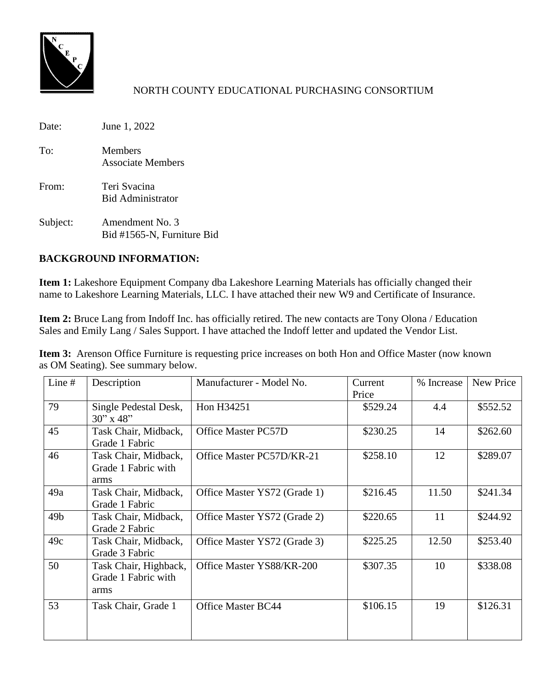

Date: June 1, 2022 To: Members Associate Members From: Teri Svacina Bid Administrator Subject: Amendment No. 3

# Bid #1565-N, Furniture Bid

# **BACKGROUND INFORMATION:**

**Item 1:** Lakeshore Equipment Company dba Lakeshore Learning Materials has officially changed their name to Lakeshore Learning Materials, LLC. I have attached their new W9 and Certificate of Insurance.

**Item 2:** Bruce Lang from Indoff Inc. has officially retired. The new contacts are Tony Olona / Education Sales and Emily Lang / Sales Support. I have attached the Indoff letter and updated the Vendor List.

**Item 3:** Arenson Office Furniture is requesting price increases on both Hon and Office Master (now known as OM Seating). See summary below.

| Line #          | Description                                          | Manufacturer - Model No.     | Current<br>Price | % Increase | New Price |
|-----------------|------------------------------------------------------|------------------------------|------------------|------------|-----------|
| 79              | Single Pedestal Desk,<br>$30''$ x 48"                | Hon H34251                   | \$529.24         | 4.4        | \$552.52  |
| 45              | Task Chair, Midback,<br>Grade 1 Fabric               | <b>Office Master PC57D</b>   | \$230.25         | 14         | \$262.60  |
| 46              | Task Chair, Midback,<br>Grade 1 Fabric with<br>arms  | Office Master PC57D/KR-21    | \$258.10         | 12         | \$289.07  |
| 49a             | Task Chair, Midback,<br>Grade 1 Fabric               | Office Master YS72 (Grade 1) | \$216.45         | 11.50      | \$241.34  |
| 49 <sub>b</sub> | Task Chair, Midback,<br>Grade 2 Fabric               | Office Master YS72 (Grade 2) | \$220.65         | 11         | \$244.92  |
| 49c             | Task Chair, Midback,<br>Grade 3 Fabric               | Office Master YS72 (Grade 3) | \$225.25         | 12.50      | \$253.40  |
| 50              | Task Chair, Highback,<br>Grade 1 Fabric with<br>arms | Office Master YS88/KR-200    | \$307.35         | 10         | \$338.08  |
| 53              | Task Chair, Grade 1                                  | <b>Office Master BC44</b>    | \$106.15         | 19         | \$126.31  |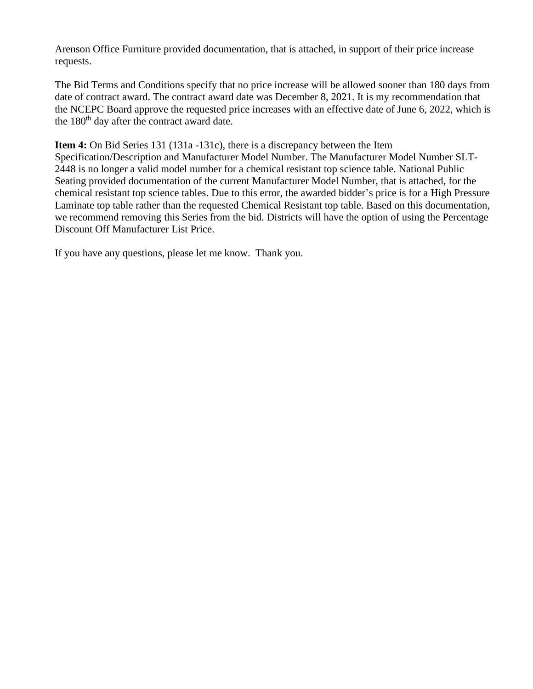Arenson Office Furniture provided documentation, that is attached, in support of their price increase requests.

The Bid Terms and Conditions specify that no price increase will be allowed sooner than 180 days from date of contract award. The contract award date was December 8, 2021. It is my recommendation that the NCEPC Board approve the requested price increases with an effective date of June 6, 2022, which is the  $180<sup>th</sup>$  day after the contract award date.

**Item 4:** On Bid Series 131 (131a -131c), there is a discrepancy between the Item

Specification/Description and Manufacturer Model Number. The Manufacturer Model Number SLT-2448 is no longer a valid model number for a chemical resistant top science table. National Public Seating provided documentation of the current Manufacturer Model Number, that is attached, for the chemical resistant top science tables. Due to this error, the awarded bidder's price is for a High Pressure Laminate top table rather than the requested Chemical Resistant top table. Based on this documentation, we recommend removing this Series from the bid. Districts will have the option of using the Percentage Discount Off Manufacturer List Price.

If you have any questions, please let me know. Thank you.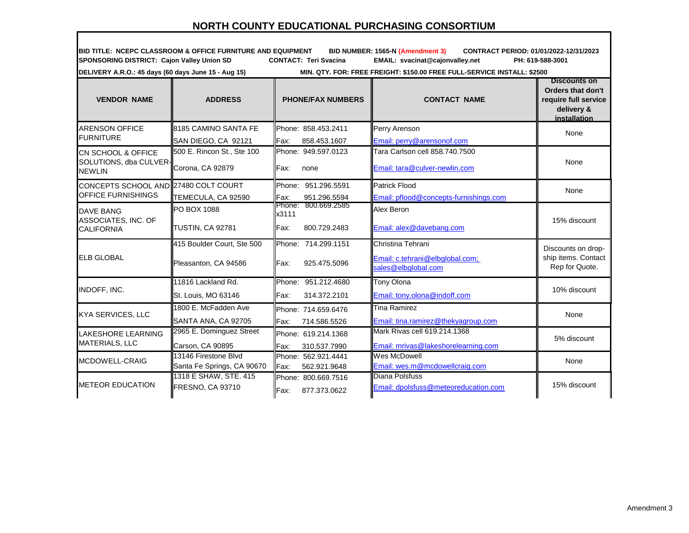**BID TITLE: NCEPC CLASSROOM & OFFICE FURNITURE AND EQUIPMENT BID NUMBER: 1565-N (Amendment 3) CONTRACT PERIOD: 01/01/2022-12/31/2023 SPONSORING DISTRICT: Cajon Valley Union SD CONTACT: Teri Svacina EMAIL: svacinat@cajonvalley.net PH: 619-588-3001** 

**DELIVERY A.R.O.: 45 days (60 days June 15 - Aug 15) MIN. QTY. FOR: FREE FREIGHT: \$150.00 FREE FULL-SERVICE INSTALL: \$2500** 

| <b>VENDOR NAME</b>                                                       | <b>ADDRESS</b>                                     | <b>PHONE/FAX NUMBERS</b>                                | <b>CONTACT NAME</b>                                                         | <b>Discounts on</b><br>Orders that don't<br>require full service<br>delivery &<br>installation |
|--------------------------------------------------------------------------|----------------------------------------------------|---------------------------------------------------------|-----------------------------------------------------------------------------|------------------------------------------------------------------------------------------------|
| <b>ARENSON OFFICE</b><br><b>FURNITURE</b>                                | 8185 CAMINO SANTA FE                               | Phone: 858.453.2411                                     | Perry Arenson                                                               | None                                                                                           |
|                                                                          | SAN DIEGO, CA 92121                                | Fax:<br>858.453.1607                                    | Email: perry@arensonof.com                                                  |                                                                                                |
| <b>CN SCHOOL &amp; OFFICE</b><br>SOLUTIONS, dba CULVER-<br><b>NEWLIN</b> | 500 E. Rincon St., Ste 100<br>Corona, CA 92879     | Phone: 949.597.0123<br>Fax:<br>none                     | Tara Carlson cell 858,740,7500<br>Email: tara@culver-newlin.com             | None                                                                                           |
| CONCEPTS SCHOOL AND 27480 COLT COURT<br><b>OFFICE FURNISHINGS</b>        | TEMECULA, CA 92590                                 | Phone: 951.296.5591<br>Fax:<br>951.296.5594             | <b>Patrick Flood</b><br>Email: pflood@concepts-furnishings.com              | None                                                                                           |
| <b>DAVE BANG</b><br>ASSOCIATES, INC. OF<br><b>CALIFORNIA</b>             | <b>PO BOX 1088</b><br><b>TUSTIN, CA 92781</b>      | 800.669.2585<br>Phone:<br>x3111<br>Fax:<br>800.729.2483 | Alex Beron<br>Email: alex@davebang.com                                      | 15% discount                                                                                   |
| <b>ELB GLOBAL</b>                                                        | 415 Boulder Court, Ste 500<br>Pleasanton, CA 94586 | Phone: 714.299.1151<br>Fax:<br>925.475.5096             | Christina Tehrani<br>Email: c.tehrani@elbglobal.com;<br>sales@elbglobal.com | Discounts on drop-<br>ship items. Contact<br>Rep for Quote.                                    |
| INDOFF, INC.                                                             | 11816 Lackland Rd.<br>St. Louis, MO 63146          | Phone: 951.212.4680<br>Fax:<br>314.372.2101             | Tony Olona<br>Email: tony.olona@indoff.com                                  | 10% discount                                                                                   |
| <b>KYA SERVICES, LLC</b>                                                 | 1800 E. McFadden Ave<br>SANTA ANA, CA 92705        | Phone: 714.659.6476<br>Fax:<br>714.586.5526             | <b>Tina Ramirez</b><br>Email: tina.ramirez@thekvagroup.com                  | None                                                                                           |
| <b>LAKESHORE LEARNING</b><br><b>MATERIALS, LLC</b>                       | 2965 E. Dominguez Street<br>Carson, CA 90895       | Phone: 619.214.1368<br>Fax:<br>310.537.7990             | Mark Rivas cell 619.214.1368<br>Email: mrivas@lakeshorelearning.com         | 5% discount                                                                                    |
| MCDOWELL-CRAIG                                                           | 13146 Firestone Blvd<br>Santa Fe Springs, CA 90670 | Phone: 562.921.4441<br>lFax:<br>562.921.9648            | Wes McDowell<br>Email: wes.m@mcdowellcraig.com                              | None                                                                                           |
| <b>METEOR EDUCATION</b>                                                  | 1318 E SHAW, STE. 415<br>FRESNO, CA 93710          | Phone: 800.669.7516<br>Fax:<br>877.373.0622             | Diana Polsfuss<br>Email: dpolsfuss@meteoreducation.com                      | 15% discount                                                                                   |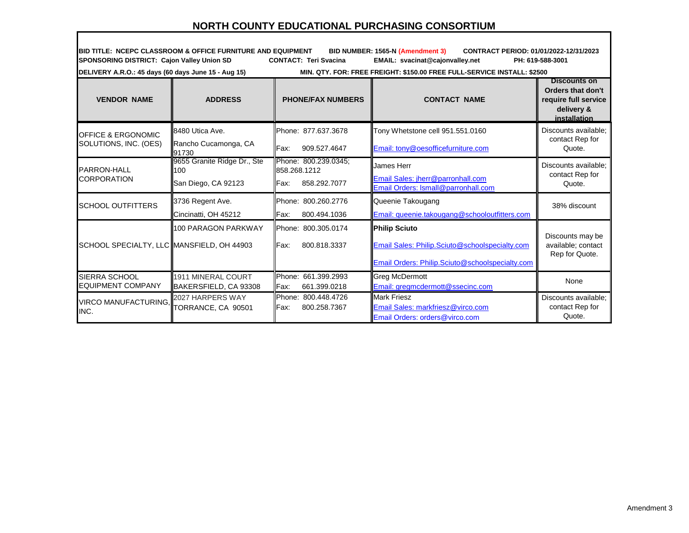**BID TITLE: NCEPC CLASSROOM & OFFICE FURNITURE AND EQUIPMENT BID NUMBER: 1565-N (Amendment 3) CONTRACT PERIOD: 01/01/2022-12/31/2023 SPONSORING DISTRICT: Cajon Valley Union SD CONTACT: Teri Svacina EMAIL: svacinat@cajonvalley.net PH: 619-588-3001** 

**DELIVERY A.R.O.: 45 days (60 days June 15 - Aug 15) MIN. QTY. FOR: FREE FREIGHT: \$150.00 FREE FULL-SERVICE INSTALL: \$2500** 

| <b>VENDOR NAME</b>                        | <b>ADDRESS</b>                     | <b>PHONE/FAX NUMBERS</b>             | <b>CONTACT NAME</b>                                                      | <b>Discounts on</b><br>Orders that don't<br>require full service<br>delivery &<br>installation |
|-------------------------------------------|------------------------------------|--------------------------------------|--------------------------------------------------------------------------|------------------------------------------------------------------------------------------------|
| <b>OFFICE &amp; ERGONOMIC</b>             | 8480 Utica Ave.                    | Phone: 877.637.3678                  | Tony Whetstone cell 951.551.0160                                         | Discounts available;                                                                           |
| SOLUTIONS, INC. (OES)                     | Rancho Cucamonga, CA<br>91730      | llFax:<br>909.527.4647               | Email: tony@oesofficefurniture.com                                       | contact Rep for<br>Quote.                                                                      |
| <b>PARRON-HALL</b>                        | 9655 Granite Ridge Dr., Ste<br>100 | Phone: 800.239.0345;<br>858.268.1212 | James Herr                                                               | Discounts available;                                                                           |
| <b>CORPORATION</b>                        | San Diego, CA 92123                | <b>IFax:</b><br>858.292.7077         | Email Sales: jherr@parronhall.com<br>Email Orders: Ismall@parronhall.com | contact Rep for<br>Quote.                                                                      |
| <b>SCHOOL OUTFITTERS</b>                  | 3736 Regent Ave.                   | Phone: 800.260.2776                  | Queenie Takougang                                                        | 38% discount                                                                                   |
|                                           | Cincinatti, OH 45212               | llFax:<br>800.494.1036               | Email: queenie.takougang@schooloutfitters.com                            |                                                                                                |
|                                           | 100 PARAGON PARKWAY                | Phone: 800.305.0174                  | <b>Philip Sciuto</b>                                                     |                                                                                                |
| SCHOOL SPECIALTY, LLC MANSFIELD, OH 44903 |                                    | IFax:<br>800.818.3337                | Email Sales: Philip.Sciuto@schoolspecialty.com                           | Discounts may be<br>available; contact<br>Rep for Quote.                                       |
|                                           |                                    |                                      | Email Orders: Philip.Sciuto@schoolspecialty.com                          |                                                                                                |
| SIERRA SCHOOL                             | <b>1911 MINERAL COURT</b>          | Phone: 661.399.2993                  | <b>Greg McDermott</b>                                                    | None                                                                                           |
| <b>EQUIPMENT COMPANY</b>                  | BAKERSFIELD, CA 93308              | Fax:<br>661.399.0218                 | Email: gregmcdermott@ssecinc.com                                         |                                                                                                |
| VIRCO MANUFACTURING,                      | 2027 HARPERS WAY                   | Phone: 800.448.4726                  | <b>Mark Friesz</b>                                                       | Discounts available;                                                                           |
| INC.                                      | TORRANCE, CA 90501                 | Fax:<br>800.258.7367                 | Email Sales: markfriesz@virco.com<br>Email Orders: orders@virco.com      | contact Rep for<br>Quote.                                                                      |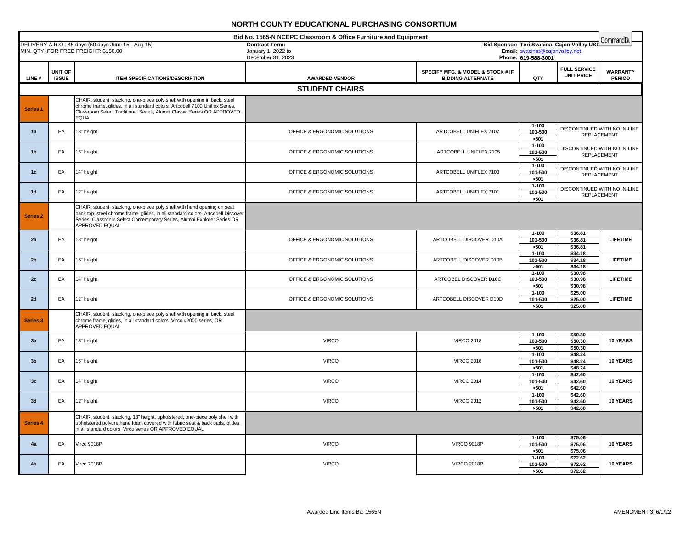|                     | Bid No. 1565-N NCEPC Classroom & Office Furniture and Equipment<br>CommandBu<br>Bid Sponsor: Teri Svacina, Cajon Valley USL |                                                                                                                                                                                                                                                           |                                             |                                                               |                                 |                                          |                                                    |
|---------------------|-----------------------------------------------------------------------------------------------------------------------------|-----------------------------------------------------------------------------------------------------------------------------------------------------------------------------------------------------------------------------------------------------------|---------------------------------------------|---------------------------------------------------------------|---------------------------------|------------------------------------------|----------------------------------------------------|
|                     |                                                                                                                             | DELIVERY A.R.O.: 45 days (60 days June 15 - Aug 15)<br>MIN. QTY. FOR FREE FREIGHT: \$150.00                                                                                                                                                               | <b>Contract Term:</b><br>January 1, 2022 to |                                                               | Email: svacinat@cajonvalley.net |                                          |                                                    |
|                     |                                                                                                                             |                                                                                                                                                                                                                                                           | December 31, 2023                           |                                                               | Phone: 619-588-3001             |                                          |                                                    |
| LINE#               | UNIT OF<br><b>ISSUE</b>                                                                                                     | ITEM SPECIFICATIONS/DESCRIPTION                                                                                                                                                                                                                           | <b>AWARDED VENDOR</b>                       | SPECIFY MFG. & MODEL & STOCK # IF<br><b>BIDDING ALTERNATE</b> | QTY                             | <b>FULL SERVICE</b><br><b>UNIT PRICE</b> | <b>WARRANTY</b><br><b>PERIOD</b>                   |
|                     |                                                                                                                             |                                                                                                                                                                                                                                                           | <b>STUDENT CHAIRS</b>                       |                                                               |                                 |                                          |                                                    |
|                     |                                                                                                                             | CHAIR, student, stacking, one-piece poly shell with opening in back, steel                                                                                                                                                                                |                                             |                                                               |                                 |                                          |                                                    |
| <b>Series 1</b>     |                                                                                                                             | chrome frame, glides, in all standard colors. Artcobell 7100 Uniflex Series,<br>Classroom Select Traditional Series, Alumni Classic Series OR APPROVED<br><b>EQUAL</b>                                                                                    |                                             |                                                               |                                 |                                          |                                                    |
| 1a                  | EA                                                                                                                          | 18" height                                                                                                                                                                                                                                                | OFFICE & ERGONOMIC SOLUTIONS                | ARTCOBELL UNIFLEX 7107                                        | $1 - 100$<br>101-500<br>>501    |                                          | DISCONTINUED WITH NO IN-LINE<br><b>REPLACEMENT</b> |
| 1 <sub>b</sub>      | EA                                                                                                                          | 16" height                                                                                                                                                                                                                                                | OFFICE & ERGONOMIC SOLUTIONS                | ARTCOBELL UNIFLEX 7105                                        | $1 - 100$<br>101-500<br>>501    |                                          | DISCONTINUED WITH NO IN-LINE<br><b>REPLACEMENT</b> |
| 1c                  | EA                                                                                                                          | 14" height                                                                                                                                                                                                                                                | OFFICE & ERGONOMIC SOLUTIONS                | ARTCOBELL UNIFLEX 7103                                        | $1 - 100$<br>101-500<br>>501    |                                          | DISCONTINUED WITH NO IN-LINE<br><b>REPLACEMENT</b> |
| 1 <sub>d</sub>      | EA                                                                                                                          | 12" height                                                                                                                                                                                                                                                | OFFICE & ERGONOMIC SOLUTIONS                | ARTCOBELL UNIFLEX 7101                                        | $1 - 100$<br>101-500<br>>501    |                                          | DISCONTINUED WITH NO IN-LINE<br><b>REPLACEMENT</b> |
| Series <sub>2</sub> |                                                                                                                             | CHAIR, student, stacking, one-piece poly shell with hand opening on seat<br>back top, steel chrome frame, glides, in all standard colors, Artcobell Discover<br>Series, Classroom Select Contemporary Series, Alumni Explorer Series OR<br>APPROVED EQUAL |                                             |                                                               |                                 |                                          |                                                    |
| 2a                  | EA                                                                                                                          | 18" height                                                                                                                                                                                                                                                | OFFICE & ERGONOMIC SOLUTIONS                | ARTCOBELL DISCOVER D10A                                       | $1 - 100$<br>101-500<br>>501    | \$36.81<br>\$36.81<br>\$36.81            | <b>LIFETIME</b>                                    |
| 2 <sub>b</sub>      | EA                                                                                                                          | 16" height                                                                                                                                                                                                                                                | OFFICE & ERGONOMIC SOLUTIONS                | ARTCOBELL DISCOVER D10B                                       | $1 - 100$<br>101-500<br>>501    | \$34.18<br>\$34.18<br>\$34.18            | <b>LIFETIME</b>                                    |
| 2c                  | EA                                                                                                                          | 14" height                                                                                                                                                                                                                                                | OFFICE & ERGONOMIC SOLUTIONS                | ARTCOBEL DISCOVER D10C                                        | $1 - 100$<br>101-500<br>>501    | \$30.98<br>\$30.98<br>\$30.98            | <b>LIFETIME</b>                                    |
| 2d                  | EA                                                                                                                          | 12" height                                                                                                                                                                                                                                                | OFFICE & ERGONOMIC SOLUTIONS                | ARTCOBELL DISCOVER D10D                                       | $1 - 100$<br>101-500<br>>501    | \$25.00<br>\$25.00<br>\$25.00            | <b>LIFETIME</b>                                    |
| <b>Series 3</b>     |                                                                                                                             | CHAIR, student, stacking, one-piece poly shell with opening in back, steel<br>chrome frame, glides, in all standard colors. Virco #2000 series, OR<br><b>APPROVED EQUAL</b>                                                                               |                                             |                                                               |                                 |                                          |                                                    |
| 3a                  | EA                                                                                                                          | 18" height                                                                                                                                                                                                                                                | <b>VIRCO</b>                                | <b>VIRCO 2018</b>                                             | $1 - 100$<br>101-500<br>>501    | \$50.30<br>\$50.30<br>\$50.30            | 10 YEARS                                           |
| 3 <sub>b</sub>      | EA                                                                                                                          | 16" height                                                                                                                                                                                                                                                | <b>VIRCO</b>                                | <b>VIRCO 2016</b>                                             | $1 - 100$<br>101-500<br>>501    | \$48.24<br>\$48.24<br>\$48.24            | 10 YEARS                                           |
| 3 <sub>c</sub>      | EA                                                                                                                          | 14" height                                                                                                                                                                                                                                                | <b>VIRCO</b>                                | <b>VIRCO 2014</b>                                             | $1 - 100$<br>101-500<br>>501    | \$42.60<br>\$42.60<br>\$42.60            | 10 YEARS                                           |
| 3d                  | EA                                                                                                                          | 12" height                                                                                                                                                                                                                                                | <b>VIRCO</b>                                | <b>VIRCO 2012</b>                                             | $1 - 100$<br>101-500<br>>501    | \$42.60<br>\$42.60<br>\$42.60            | 10 YEARS                                           |
| Series 4            |                                                                                                                             | CHAIR, student, stacking, 18" height, upholstered, one-piece poly shell with<br>upholstered polyurethane foam covered with fabric seat & back pads, glides,<br>in all standard colors, Virco series OR APPROVED EQUAL                                     |                                             |                                                               |                                 |                                          |                                                    |
| 4a                  | EA                                                                                                                          | Virco 9018P                                                                                                                                                                                                                                               | <b>VIRCO</b>                                | <b>VIRCO 9018P</b>                                            | $1 - 100$<br>101-500<br>>501    | \$75.06<br>\$75.06<br>\$75.06            | 10 YEARS                                           |
| 4 <sub>b</sub>      | EA                                                                                                                          | Virco 2018P                                                                                                                                                                                                                                               | <b>VIRCO</b>                                | <b>VIRCO 2018P</b>                                            | $1 - 100$<br>101-500<br>>501    | \$72.62<br>\$72.62<br>\$72.62            | 10 YEARS                                           |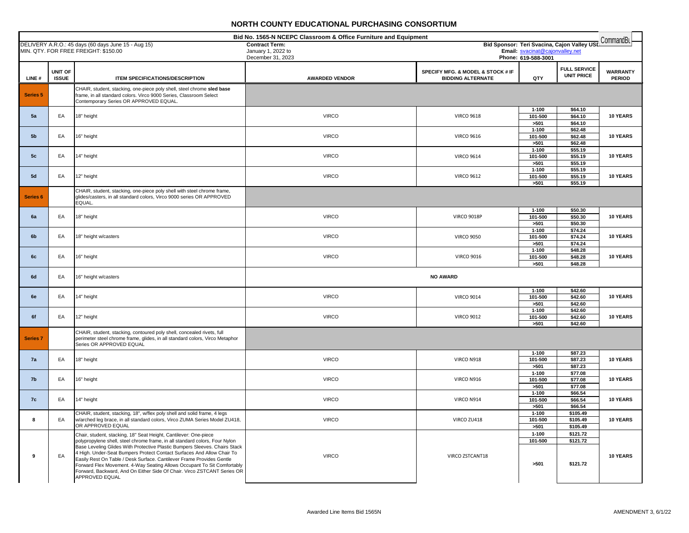| Bid No. 1565-N NCEPC Classroom & Office Furniture and Equipment |                         |                                                                                                                                                                                        |                                             |                                   |                                 |                                             | CommandBL                        |
|-----------------------------------------------------------------|-------------------------|----------------------------------------------------------------------------------------------------------------------------------------------------------------------------------------|---------------------------------------------|-----------------------------------|---------------------------------|---------------------------------------------|----------------------------------|
|                                                                 |                         | DELIVERY A.R.O.: 45 days (60 days June 15 - Aug 15)<br>MIN. QTY. FOR FREE FREIGHT: \$150.00                                                                                            | <b>Contract Term:</b><br>January 1, 2022 to |                                   | Email: svacinat@cajonvalley.net | Bid Sponsor: Teri Svacina, Cajon Valley USL |                                  |
|                                                                 |                         |                                                                                                                                                                                        | December 31, 2023                           |                                   | Phone: 619-588-3001             |                                             |                                  |
|                                                                 |                         |                                                                                                                                                                                        |                                             |                                   |                                 | <b>FULL SERVICE</b>                         |                                  |
| LINE#                                                           | UNIT OF<br><b>ISSUE</b> |                                                                                                                                                                                        |                                             | SPECIFY MFG. & MODEL & STOCK # IF | QTY                             | <b>UNIT PRICE</b>                           | <b>WARRANTY</b><br><b>PERIOD</b> |
|                                                                 |                         | ITEM SPECIFICATIONS/DESCRIPTION                                                                                                                                                        | <b>AWARDED VENDOR</b>                       | <b>BIDDING ALTERNATE</b>          |                                 |                                             |                                  |
| Series <sub>5</sub>                                             |                         | CHAIR, student, stacking, one-piece poly shell, steel chrome sled base<br>frame, in all standard colors. Virco 9000 Series, Classroom Select<br>Contemporary Series OR APPROVED EQUAL. |                                             |                                   |                                 |                                             |                                  |
|                                                                 |                         |                                                                                                                                                                                        |                                             |                                   | $1 - 100$                       | \$64.10                                     |                                  |
| 5a                                                              | EA                      | 18" height                                                                                                                                                                             | <b>VIRCO</b>                                | <b>VIRCO 9618</b>                 | 101-500                         | \$64.10                                     | 10 YEARS                         |
|                                                                 |                         |                                                                                                                                                                                        |                                             |                                   | >501                            | \$64.10                                     |                                  |
| 5 <sub>b</sub>                                                  | EA                      | 16" height                                                                                                                                                                             | <b>VIRCO</b>                                | <b>VIRCO 9616</b>                 | $1 - 100$<br>101-500            | \$62.48<br>\$62.48                          | 10 YEARS                         |
|                                                                 |                         |                                                                                                                                                                                        |                                             |                                   | >501                            | \$62.48                                     |                                  |
|                                                                 |                         |                                                                                                                                                                                        |                                             |                                   | $1 - 100$                       | \$55.19                                     |                                  |
| 5 <sub>c</sub>                                                  | EA                      | 14" height                                                                                                                                                                             | <b>VIRCO</b>                                | <b>VIRCO 9614</b>                 | 101-500                         | \$55.19                                     | 10 YEARS                         |
|                                                                 |                         |                                                                                                                                                                                        |                                             |                                   | >501<br>$1 - 100$               | \$55.19<br>\$55.19                          |                                  |
| 5d                                                              | EA                      | 12" height                                                                                                                                                                             | <b>VIRCO</b>                                | <b>VIRCO 9612</b>                 | 101-500                         | \$55.19                                     | 10 YEARS                         |
|                                                                 |                         |                                                                                                                                                                                        |                                             |                                   | >501                            | \$55.19                                     |                                  |
| Series <sub>6</sub>                                             |                         | CHAIR, student, stacking, one-piece poly shell with steel chrome frame,<br>glides/casters, in all standard colors, Virco 9000 series OR APPROVED<br>EQUAL.                             |                                             |                                   |                                 |                                             |                                  |
|                                                                 |                         |                                                                                                                                                                                        |                                             |                                   | $1 - 100$                       | \$50.30                                     |                                  |
| 6a                                                              | EA                      | 18" height                                                                                                                                                                             | <b>VIRCO</b>                                | <b>VIRCO 9018P</b>                | 101-500                         | \$50.30                                     | 10 YEARS                         |
|                                                                 |                         |                                                                                                                                                                                        |                                             |                                   | >501<br>$1 - 100$               | \$50.30<br>\$74.24                          |                                  |
| 6 <sub>b</sub>                                                  | EA                      | 18" height w/casters                                                                                                                                                                   | <b>VIRCO</b>                                | <b>VIRCO 9050</b>                 | 101-500                         | \$74.24                                     | 10 YEARS                         |
|                                                                 |                         |                                                                                                                                                                                        |                                             |                                   | >501                            | \$74.24                                     |                                  |
| 6c                                                              | EA                      | 16" height                                                                                                                                                                             | <b>VIRCO</b>                                | <b>VIRCO 9016</b>                 | $1 - 100$<br>101-500            | \$48.28<br>\$48.28                          | 10 YEARS                         |
|                                                                 |                         |                                                                                                                                                                                        |                                             |                                   | >501                            | \$48.28                                     |                                  |
| 6d                                                              | EA                      | 16" height w/casters                                                                                                                                                                   |                                             | <b>NO AWARD</b>                   |                                 |                                             |                                  |
|                                                                 |                         |                                                                                                                                                                                        |                                             |                                   | $1 - 100$                       | \$42.60                                     |                                  |
| 6e                                                              | EA                      | 14" height                                                                                                                                                                             | <b>VIRCO</b>                                | <b>VIRCO 9014</b>                 | 101-500                         | \$42.60                                     | 10 YEARS                         |
|                                                                 |                         |                                                                                                                                                                                        |                                             |                                   | >501                            | \$42.60                                     |                                  |
|                                                                 |                         |                                                                                                                                                                                        |                                             |                                   | $1 - 100$                       | \$42.60                                     |                                  |
| 6f                                                              | EA                      | 12" height                                                                                                                                                                             | <b>VIRCO</b>                                | <b>VIRCO 9012</b>                 | 101-500<br>>501                 | \$42.60<br>\$42.60                          | 10 YEARS                         |
|                                                                 |                         | CHAIR, student, stacking, contoured poly shell, concealed rivets, full                                                                                                                 |                                             |                                   |                                 |                                             |                                  |
| <b>Series 7</b>                                                 |                         | perimeter steel chrome frame, glides, in all standard colors, Virco Metaphor<br>Series OR APPROVED EQUAL                                                                               |                                             |                                   |                                 |                                             |                                  |
|                                                                 |                         |                                                                                                                                                                                        |                                             |                                   | $1 - 100$                       | \$87.23                                     |                                  |
| 7a                                                              | EA                      | 18" height                                                                                                                                                                             | <b>VIRCO</b>                                | VIRCO N918                        | 101-500<br>>501                 | \$87.23<br>\$87.23                          | 10 YEARS                         |
|                                                                 |                         |                                                                                                                                                                                        |                                             |                                   | $1 - 100$                       | \$77.08                                     |                                  |
| 7b                                                              | EA                      | 16" height                                                                                                                                                                             | <b>VIRCO</b>                                | VIRCO N916                        | 101-500<br>>501                 | \$77.08<br>\$77.08                          | 10 YEARS                         |
| 7c                                                              | EA                      | 14" height                                                                                                                                                                             | <b>VIRCO</b>                                | VIRCO N914                        | $1 - 100$<br>101-500            | \$66.54<br>\$66.54                          | 10 YEARS                         |
|                                                                 |                         |                                                                                                                                                                                        |                                             |                                   | >501                            | \$66.54                                     |                                  |
| 8                                                               | EA                      | CHAIR, student, stacking, 18", w/flex poly shell and solid frame, 4 legs<br>w/arched leg brace, in all standard colors, Virco ZUMA Series Model ZU418,                                 | <b>VIRCO</b>                                | VIRCO ZU418                       | $1 - 100$<br>101-500            | \$105.49<br>\$105.49                        | 10 YEARS                         |
|                                                                 |                         | OR APPROVED EQUAL                                                                                                                                                                      |                                             |                                   | >501                            | \$105.49                                    |                                  |
|                                                                 |                         | Chair, student, stacking, 18" Seat Height, Cantilever: One-piece                                                                                                                       |                                             |                                   | $1 - 100$                       | \$121.72                                    |                                  |
|                                                                 |                         | polypropylene shell, steel chrome frame, in all standard colors, Four Nylon                                                                                                            |                                             |                                   | 101-500                         | \$121.72                                    |                                  |
|                                                                 |                         | Base Leveling Glides With Protective Plastic Bumpers Sleeves. Chairs Stack<br>4 High. Under-Seat Bumpers Protect Contact Surfaces And Allow Chair To                                   |                                             |                                   |                                 |                                             |                                  |
| 9                                                               | EA                      | Easily Rest On Table / Desk Surface. Cantilever Frame Provides Gentle                                                                                                                  | <b>VIRCO</b>                                | VIRCO ZSTCANT18                   | >501                            | \$121.72                                    | 10 YEARS                         |
|                                                                 |                         | Forward Flex Movement. 4-Way Seating Allows Occupant To Sit Comfortably<br>Forward, Backward, And On Either Side Of Chair. Virco ZSTCANT Series OR                                     |                                             |                                   |                                 |                                             |                                  |
|                                                                 |                         | APPROVED EQUAL                                                                                                                                                                         |                                             |                                   |                                 |                                             |                                  |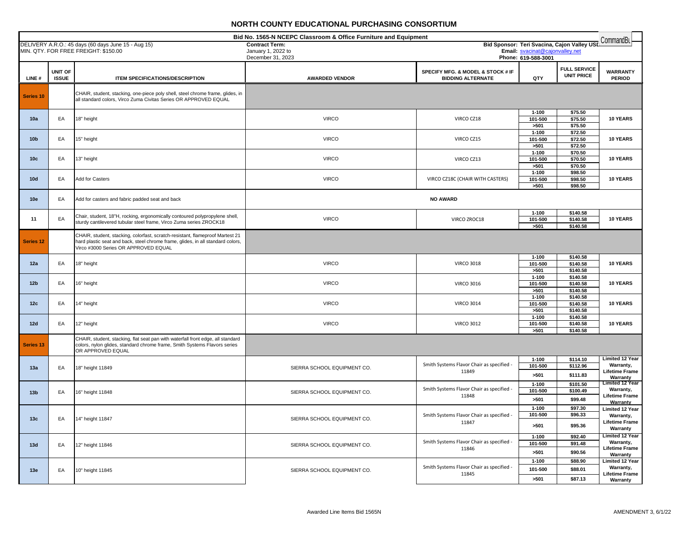| Bid No. 1565-N NCEPC Classroom & Office Furniture and Equipment<br>CommandBu |                                |                                                                                                                                                                                                          |                                         |                                                               |                                 |                                             |                                                                                 |
|------------------------------------------------------------------------------|--------------------------------|----------------------------------------------------------------------------------------------------------------------------------------------------------------------------------------------------------|-----------------------------------------|---------------------------------------------------------------|---------------------------------|---------------------------------------------|---------------------------------------------------------------------------------|
|                                                                              |                                | DELIVERY A.R.O.: 45 days (60 days June 15 - Aug 15)                                                                                                                                                      | <b>Contract Term:</b>                   |                                                               | Email: svacinat@cajonvalley.net | Bid Sponsor: Teri Svacina, Cajon Valley USL |                                                                                 |
|                                                                              |                                | MIN. QTY. FOR FREE FREIGHT: \$150.00                                                                                                                                                                     | January 1, 2022 to<br>December 31, 2023 |                                                               | Phone: 619-588-3001             |                                             |                                                                                 |
| LINE#                                                                        | <b>UNIT OF</b><br><b>ISSUE</b> | ITEM SPECIFICATIONS/DESCRIPTION                                                                                                                                                                          | <b>AWARDED VENDOR</b>                   | SPECIFY MFG. & MODEL & STOCK # IF<br><b>BIDDING ALTERNATE</b> | QTY                             | <b>FULL SERVICE</b><br><b>UNIT PRICE</b>    | <b>WARRANTY</b><br><b>PERIOD</b>                                                |
| Series <sub>10</sub>                                                         |                                | CHAIR, student, stacking, one-piece poly shell, steel chrome frame, glides, in<br>all standard colors, Virco Zuma Civitas Series OR APPROVED EQUAL                                                       |                                         |                                                               |                                 |                                             |                                                                                 |
| 10a                                                                          | EA                             | 18" height                                                                                                                                                                                               | <b>VIRCO</b>                            | VIRCO CZ18                                                    | $1 - 100$<br>101-500<br>>501    | \$75.50<br>\$75.50<br>\$75.50               | 10 YEARS                                                                        |
| 10 <sub>b</sub>                                                              | EA                             | 15" height                                                                                                                                                                                               | <b>VIRCO</b>                            | VIRCO CZ15                                                    | $1 - 100$<br>101-500<br>>501    | \$72.50<br>\$72.50<br>\$72.50               | 10 YEARS                                                                        |
| 10 <sub>c</sub>                                                              | EA                             | 13" height                                                                                                                                                                                               | <b>VIRCO</b>                            | VIRCO CZ13                                                    | $1 - 100$<br>101-500<br>>501    | \$70.50<br>\$70.50<br>\$70.50               | <b>10 YEARS</b>                                                                 |
| 10d                                                                          | EA                             | Add for Casters                                                                                                                                                                                          | <b>VIRCO</b>                            | VIRCO CZ18C (CHAIR WITH CASTERS)                              | $1 - 100$<br>101-500<br>>501    | \$98.50<br>\$98.50<br>\$98.50               | 10 YEARS                                                                        |
| 10e                                                                          | EA                             | Add for casters and fabric padded seat and back                                                                                                                                                          |                                         | <b>NO AWARD</b>                                               |                                 |                                             |                                                                                 |
| 11                                                                           | EA                             | Chair, student, 18"H, rocking, ergonomically contoured polypropylene shell,<br>sturdy cantilevered tubular steel frame, Virco Zuma series ZROCK18                                                        | <b>VIRCO</b>                            | VIRCO ZROC18                                                  | $1 - 100$<br>101-500<br>>501    | \$140.58<br>\$140.58<br>\$140.58            | 10 YEARS                                                                        |
| Series <sub>12</sub>                                                         |                                | CHAIR, student, stacking, colorfast, scratch-resistant, flameproof Martest 21<br>hard plastic seat and back, steel chrome frame, glides, in all standard colors,<br>Virco #3000 Series OR APPROVED EQUAL |                                         |                                                               |                                 |                                             |                                                                                 |
| 12a                                                                          | EA                             | 18" height                                                                                                                                                                                               | <b>VIRCO</b>                            | <b>VIRCO 3018</b>                                             | $1 - 100$<br>101-500<br>>501    | \$140.58<br>\$140.58<br>\$140.58            | 10 YEARS                                                                        |
| 12 <sub>b</sub>                                                              | EA                             | 16" height                                                                                                                                                                                               | <b>VIRCO</b>                            | <b>VIRCO 3016</b>                                             | $1 - 100$<br>101-500<br>>501    | \$140.58<br>\$140.58<br>\$140.58            | 10 YEARS                                                                        |
| 12c                                                                          | EA                             | 14" height                                                                                                                                                                                               | <b>VIRCO</b>                            | <b>VIRCO 3014</b>                                             | $1 - 100$<br>101-500<br>>501    | \$140.58<br>\$140.58<br>\$140.58            | 10 YEARS                                                                        |
| 12d                                                                          | EA                             | 12" height                                                                                                                                                                                               | <b>VIRCO</b>                            | <b>VIRCO 3012</b>                                             | $1 - 100$<br>101-500<br>>501    | \$140.58<br>\$140.58<br>\$140.58            | 10 YEARS                                                                        |
| <b>Series 13</b>                                                             |                                | CHAIR, student, stacking, flat seat pan with waterfall front edge, all standard<br>colors, nylon glides, standard chrome frame, Smith Systems Flavors series<br>OR APPROVED EQUAL                        |                                         |                                                               |                                 |                                             |                                                                                 |
| 13a                                                                          | EA                             | 18" height 11849                                                                                                                                                                                         | SIERRA SCHOOL EQUIPMENT CO.             | Smith Systems Flavor Chair as specified -<br>11849            | $1 - 100$<br>101-500<br>>501    | \$114.10<br>\$112.96<br>\$111.83            | <b>Limited 12 Year</b><br>Warranty,<br><b>Lifetime Frame</b><br>Warranty        |
| 13 <sub>b</sub>                                                              | EA                             | 16" height 11848                                                                                                                                                                                         | SIERRA SCHOOL EQUIPMENT CO.             | Smith Systems Flavor Chair as specified -<br>11848            | $1 - 100$<br>101-500<br>>501    | \$101.50<br>\$100.49<br>\$99.48             | Limited 12 Year<br>Warranty,<br><b>Lifetime Frame</b><br>Warranty               |
| 13 <sub>c</sub>                                                              | EA                             | 14" height 11847                                                                                                                                                                                         | SIERRA SCHOOL EQUIPMENT CO.             | Smith Systems Flavor Chair as specified<br>11847              | $1 - 100$<br>101-500<br>>501    | \$97.30<br>\$96.33<br>\$95.36               | <b>Limited 12 Year</b><br>Warranty,<br><b>Lifetime Frame</b><br>Warranty        |
| 13d                                                                          | EA                             | 12" height 11846                                                                                                                                                                                         | SIERRA SCHOOL EQUIPMENT CO.             | Smith Systems Flavor Chair as specified -<br>11846            | $1 - 100$<br>101-500<br>>501    | \$92.40<br>\$91.48<br>\$90.56               | <b>Limited 12 Year</b><br><b>Warranty,</b><br><b>Lifetime Frame</b><br>Warranty |
| 13e                                                                          | EA                             | 10" height 11845                                                                                                                                                                                         | SIERRA SCHOOL EQUIPMENT CO.             | Smith Systems Flavor Chair as specified -<br>11845            | $1 - 100$<br>101-500<br>>501    | \$88.90<br>\$88.01<br>\$87.13               | <b>Limited 12 Year</b><br>Warranty,<br><b>Lifetime Frame</b><br>Warranty        |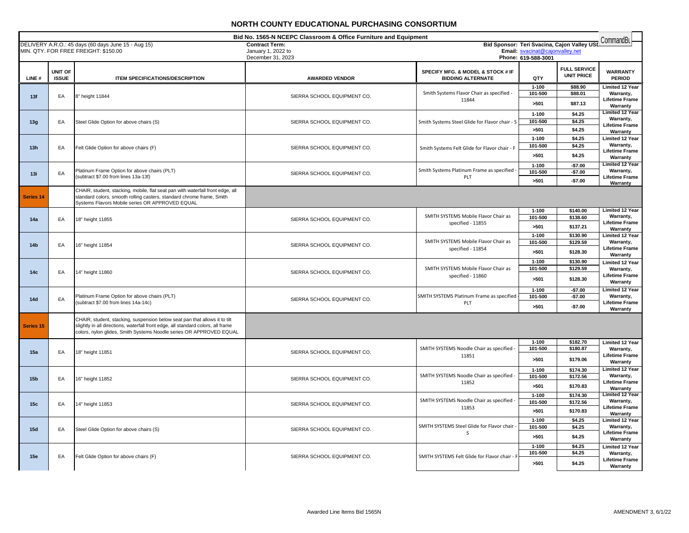| Bid No. 1565-N NCEPC Classroom & Office Furniture and Equipment<br>Bid Sponsor: Teri Svacina, Cajon Valley USD |                                |                                                                                                                                                                                                                                       |                                                                  |                                                               |                                                        | CommandBu                                |                                     |
|----------------------------------------------------------------------------------------------------------------|--------------------------------|---------------------------------------------------------------------------------------------------------------------------------------------------------------------------------------------------------------------------------------|------------------------------------------------------------------|---------------------------------------------------------------|--------------------------------------------------------|------------------------------------------|-------------------------------------|
|                                                                                                                |                                | DELIVERY A.R.O.: 45 days (60 days June 15 - Aug 15)<br>MIN. QTY. FOR FREE FREIGHT: \$150.00                                                                                                                                           | <b>Contract Term:</b><br>January 1, 2022 to<br>December 31, 2023 |                                                               | Email: svacinat@cajonvalley.net<br>Phone: 619-588-3001 |                                          |                                     |
|                                                                                                                |                                |                                                                                                                                                                                                                                       |                                                                  |                                                               |                                                        |                                          |                                     |
| LINE#                                                                                                          | <b>UNIT OF</b><br><b>ISSUE</b> | <b>ITEM SPECIFICATIONS/DESCRIPTION</b>                                                                                                                                                                                                | <b>AWARDED VENDOR</b>                                            | SPECIFY MFG. & MODEL & STOCK # IF<br><b>BIDDING ALTERNATE</b> | QTY                                                    | <b>FULL SERVICE</b><br><b>UNIT PRICE</b> | <b>WARRANTY</b><br><b>PERIOD</b>    |
|                                                                                                                |                                |                                                                                                                                                                                                                                       |                                                                  |                                                               | $1 - 100$                                              | \$88.90                                  | Limited 12 Year                     |
| 13f                                                                                                            | EA                             | 8" height 11844                                                                                                                                                                                                                       | SIERRA SCHOOL EQUIPMENT CO.                                      | Smith Systems Flavor Chair as specified -                     | 101-500                                                | \$88.01                                  | Warranty,                           |
|                                                                                                                |                                |                                                                                                                                                                                                                                       |                                                                  | 11844                                                         | >501                                                   | \$87.13                                  | <b>Lifetime Frame</b><br>Warranty   |
|                                                                                                                |                                |                                                                                                                                                                                                                                       |                                                                  |                                                               | $1 - 100$                                              | \$4.25                                   | <b>Limited 12 Year</b><br>Warranty, |
| 13g                                                                                                            | EA                             | Steel Glide Option for above chairs (S)                                                                                                                                                                                               | SIERRA SCHOOL EQUIPMENT CO.                                      | Smith Systems Steel Glide for Flavor chair - S                | 101-500                                                | \$4.25                                   | <b>Lifetime Frame</b>               |
|                                                                                                                |                                |                                                                                                                                                                                                                                       |                                                                  |                                                               | >501                                                   | \$4.25                                   | Warranty                            |
|                                                                                                                |                                |                                                                                                                                                                                                                                       |                                                                  |                                                               | $1 - 100$                                              | \$4.25                                   | <b>Limited 12 Year</b>              |
| 13h                                                                                                            | EA                             | Felt Glide Option for above chairs (F)                                                                                                                                                                                                | SIERRA SCHOOL EQUIPMENT CO.                                      | Smith Systems Felt Glide for Flavor chair - F                 | 101-500                                                | \$4.25                                   | Warranty,<br><b>Lifetime Frame</b>  |
|                                                                                                                |                                |                                                                                                                                                                                                                                       |                                                                  |                                                               | >501                                                   | \$4.25                                   | Warranty                            |
|                                                                                                                |                                |                                                                                                                                                                                                                                       |                                                                  |                                                               | $1 - 100$                                              | $-$7.00$                                 | <b>Limited 12 Year</b>              |
| 13i                                                                                                            | EA                             | Platinum Frame Option for above chairs (PLT)<br>(subtract \$7.00 from lines 13a-13f)                                                                                                                                                  | SIERRA SCHOOL EQUIPMENT CO.                                      | Smith Systems Platinum Frame as specified -<br>PLT            | 101-500                                                | $-$7.00$                                 | Warranty,<br>Lifetime Frame         |
|                                                                                                                |                                |                                                                                                                                                                                                                                       |                                                                  |                                                               | >501                                                   | $-$7.00$                                 | Warranty                            |
| Series <sub>14</sub>                                                                                           |                                | CHAIR, student, stacking, mobile, flat seat pan with waterfall front edge, all<br>standard colors, smooth rolling casters, standard chrome frame, Smith<br>Systems Flavors Mobile series OR APPROVED EQUAL                            |                                                                  |                                                               |                                                        |                                          |                                     |
|                                                                                                                |                                |                                                                                                                                                                                                                                       |                                                                  |                                                               | $1 - 100$                                              | \$140.00                                 | <b>Limited 12 Year</b>              |
| 14a                                                                                                            | EA                             | 18" height 11855                                                                                                                                                                                                                      | SIERRA SCHOOL EQUIPMENT CO.                                      | SMITH SYSTEMS Mobile Flavor Chair as<br>specified - 11855     | 101-500                                                | \$138.60                                 | Warranty,<br><b>Lifetime Frame</b>  |
|                                                                                                                |                                |                                                                                                                                                                                                                                       |                                                                  |                                                               | >501                                                   | \$137.21                                 | Warranty                            |
|                                                                                                                |                                |                                                                                                                                                                                                                                       |                                                                  |                                                               | $1 - 100$                                              | \$130.90                                 | <b>Limited 12 Year</b>              |
| 14 <sub>b</sub>                                                                                                | EA                             | 16" height 11854                                                                                                                                                                                                                      | SIERRA SCHOOL EQUIPMENT CO.                                      | SMITH SYSTEMS Mobile Flavor Chair as<br>specified - 11854     | 101-500                                                | \$129.59                                 | Warranty,<br><b>Lifetime Frame</b>  |
|                                                                                                                |                                |                                                                                                                                                                                                                                       |                                                                  |                                                               | >501                                                   | \$128.30                                 | Warranty                            |
|                                                                                                                |                                |                                                                                                                                                                                                                                       |                                                                  |                                                               | $1 - 100$                                              | \$130.90                                 | Limited 12 Year                     |
| 14c                                                                                                            | EA                             | 14" height 11860                                                                                                                                                                                                                      | SIERRA SCHOOL EQUIPMENT CO.                                      | SMITH SYSTEMS Mobile Flavor Chair as                          | 101-500                                                | \$129.59                                 | Warranty,                           |
|                                                                                                                |                                |                                                                                                                                                                                                                                       |                                                                  | specified - 11860                                             | >501                                                   | \$128.30                                 | <b>Lifetime Frame</b><br>Warranty   |
|                                                                                                                |                                |                                                                                                                                                                                                                                       |                                                                  |                                                               | $1 - 100$                                              | $-$7.00$                                 | <b>Limited 12 Year</b>              |
| 14d                                                                                                            | EA                             | Platinum Frame Option for above chairs (PLT)                                                                                                                                                                                          |                                                                  | SMITH SYSTEMS Platinum Frame as specified                     | 101-500                                                | $-$7.00$                                 | Warranty,                           |
|                                                                                                                |                                | subtract \$7.00 from lines 14a-14c)                                                                                                                                                                                                   | SIERRA SCHOOL EQUIPMENT CO.                                      | PLT                                                           | >501                                                   | $-$7.00$                                 | <b>Lifetime Frame</b>               |
|                                                                                                                |                                |                                                                                                                                                                                                                                       |                                                                  |                                                               |                                                        |                                          | Warranty                            |
| Series 15                                                                                                      |                                | CHAIR, student, stacking, suspension below seat pan that allows it to tilt<br>slightly in all directions, waterfall front edge, all standard colors, all frame<br>colors, nylon glides, Smith Systems Noodle series OR APPROVED EQUAL |                                                                  |                                                               |                                                        |                                          |                                     |
|                                                                                                                |                                |                                                                                                                                                                                                                                       |                                                                  |                                                               | $1 - 100$                                              | \$182.70                                 | <b>Limited 12 Year</b>              |
| 15a                                                                                                            | EA                             | 18" height 11851                                                                                                                                                                                                                      | SIERRA SCHOOL EQUIPMENT CO.                                      | SMITH SYSTEMS Noodle Chair as specified -                     | 101-500                                                | \$180.87                                 | Warranty,                           |
|                                                                                                                |                                |                                                                                                                                                                                                                                       |                                                                  | 11851                                                         | >501                                                   | \$179.06                                 | <b>Lifetime Frame</b><br>Warranty   |
|                                                                                                                |                                |                                                                                                                                                                                                                                       |                                                                  | SMITH SYSTEMS Noodle Chair as specified -                     | $1 - 100$                                              | \$174.30                                 | <b>Limited 12 Year</b>              |
| 15 <sub>b</sub>                                                                                                | EA                             | 16" height 11852                                                                                                                                                                                                                      | SIERRA SCHOOL EQUIPMENT CO.                                      | 11852                                                         | 101-500                                                | \$172.56                                 | Warranty,<br><b>Lifetime Frame</b>  |
|                                                                                                                |                                |                                                                                                                                                                                                                                       |                                                                  |                                                               | >501<br>$1 - 100$                                      | \$170.83<br>\$174.30                     | Warranty<br><b>Limited 12 Year</b>  |
| 15c                                                                                                            | EA                             |                                                                                                                                                                                                                                       |                                                                  | SMITH SYSTEMS Noodle Chair as specified -                     | 101-500                                                | \$172.56                                 | Warranty,                           |
|                                                                                                                |                                | 14" height 11853                                                                                                                                                                                                                      | SIERRA SCHOOL EQUIPMENT CO.                                      | 11853                                                         | >501                                                   | \$170.83                                 | <b>Lifetime Frame</b>               |
|                                                                                                                |                                |                                                                                                                                                                                                                                       |                                                                  |                                                               | $1 - 100$                                              | \$4.25                                   | Warranty<br><b>Limited 12 Year</b>  |
| 15d                                                                                                            | EA                             |                                                                                                                                                                                                                                       |                                                                  | SMITH SYSTEMS Steel Glide for Flavor chair                    | 101-500                                                | \$4.25                                   | Warranty,                           |
|                                                                                                                |                                | Steel Glide Option for above chairs (S)                                                                                                                                                                                               | SIERRA SCHOOL EQUIPMENT CO.                                      | S                                                             | >501                                                   | \$4.25                                   | <b>Lifetime Frame</b>               |
|                                                                                                                |                                |                                                                                                                                                                                                                                       |                                                                  |                                                               | $1 - 100$                                              | \$4.25                                   | Warranty                            |
|                                                                                                                |                                |                                                                                                                                                                                                                                       |                                                                  |                                                               | 101-500                                                | \$4.25                                   | <b>Limited 12 Year</b><br>Warranty, |
| 15e                                                                                                            | EA                             | Felt Glide Option for above chairs (F)                                                                                                                                                                                                | SIERRA SCHOOL EQUIPMENT CO.                                      | SMITH SYSTEMS Felt Glide for Flavor chair - F                 |                                                        |                                          | <b>Lifetime Frame</b>               |
|                                                                                                                |                                |                                                                                                                                                                                                                                       |                                                                  |                                                               | >501                                                   | \$4.25                                   | Warranty                            |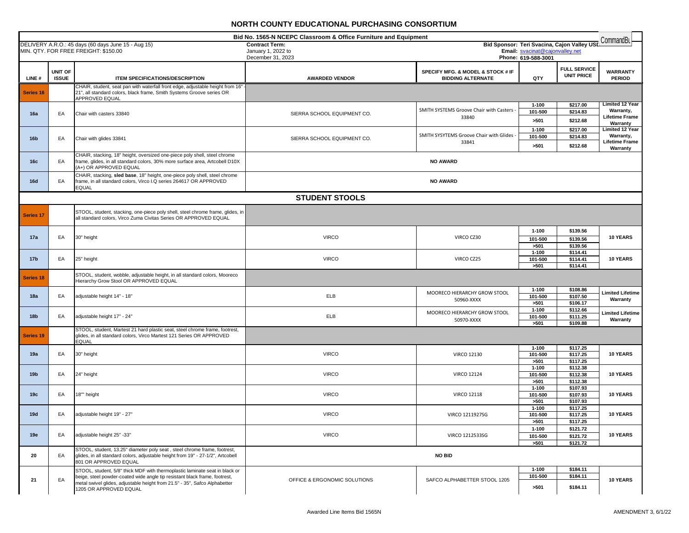|                  |                         |                                                                                                                                                                                                                                                                   | Bid No. 1565-N NCEPC Classroom & Office Furniture and Equipment |                                                               |                                 |                                             | CommandBu                                                                |
|------------------|-------------------------|-------------------------------------------------------------------------------------------------------------------------------------------------------------------------------------------------------------------------------------------------------------------|-----------------------------------------------------------------|---------------------------------------------------------------|---------------------------------|---------------------------------------------|--------------------------------------------------------------------------|
|                  |                         | DELIVERY A.R.O.: 45 days (60 days June 15 - Aug 15)<br>MIN. QTY. FOR FREE FREIGHT: \$150.00                                                                                                                                                                       | <b>Contract Term:</b><br>January 1, 2022 to                     |                                                               | Email: svacinat@cajonvalley.net | Bid Sponsor: Teri Svacina, Cajon Valley USI |                                                                          |
|                  |                         |                                                                                                                                                                                                                                                                   | December 31, 2023                                               |                                                               | Phone: 619-588-3001             |                                             |                                                                          |
| LINE#            | UNIT OF<br><b>ISSUE</b> | <b>ITEM SPECIFICATIONS/DESCRIPTION</b>                                                                                                                                                                                                                            | <b>AWARDED VENDOR</b>                                           | SPECIFY MFG. & MODEL & STOCK # IF<br><b>BIDDING ALTERNATE</b> | QTY                             | <b>FULL SERVICE</b><br><b>UNIT PRICE</b>    | <b>WARRANTY</b><br><b>PERIOD</b>                                         |
| <b>Series 16</b> |                         | CHAIR, student, seat pan with waterfall front edge, adjustable height from 16"<br>21", all standard colors, black frame, Smith Systems Groove series OR<br>APPROVED EQUAL                                                                                         |                                                                 |                                                               |                                 |                                             |                                                                          |
| 16a              | EA                      | Chair with casters 33840                                                                                                                                                                                                                                          | SIERRA SCHOOL EQUIPMENT CO.                                     | SMITH SYSTEMS Groove Chair with Casters -<br>33840            | $1 - 100$<br>101-500<br>>501    | \$217.00<br>\$214.83<br>\$212.68            | <b>Limited 12 Year</b><br>Warranty,<br><b>Lifetime Frame</b><br>Warranty |
| 16 <sub>b</sub>  | EA                      | Chair with glides 33841                                                                                                                                                                                                                                           | SIERRA SCHOOL EQUIPMENT CO.                                     | SMITH SYSYTEMS Groove Chair with Glides<br>33841              | $1 - 100$<br>101-500<br>>501    | \$217.00<br>\$214.83<br>\$212.68            | <b>Limited 12 Year</b><br>Warranty,<br><b>Lifetime Frame</b><br>Warranty |
| 16c              | EA                      | CHAIR, stacking, 18" height, oversized one-piece poly shell, steel chrome<br>frame, glides, in all standard colors, 30% more surface area, Artcobell D10X<br>(A+) OR APPROVED EQUAL                                                                               |                                                                 | <b>NO AWARD</b>                                               |                                 |                                             |                                                                          |
| 16d              | EA                      | CHAIR, stacking, sled base, 18" height, one-piece poly shell, steel chrome<br>frame, in all standard colors, Virco I.Q series 264617 OR APPROVED<br><b>EQUAL</b>                                                                                                  |                                                                 | <b>NO AWARD</b>                                               |                                 |                                             |                                                                          |
|                  |                         |                                                                                                                                                                                                                                                                   | <b>STUDENT STOOLS</b>                                           |                                                               |                                 |                                             |                                                                          |
| <b>Series 17</b> |                         | STOOL, student, stacking, one-piece poly shell, steel chrome frame, glides, in<br>all standard colors, Virco Zuma Civitas Series OR APPROVED EQUAL                                                                                                                |                                                                 |                                                               |                                 |                                             |                                                                          |
| 17a              | EA                      | 30" height                                                                                                                                                                                                                                                        | <b>VIRCO</b>                                                    | VIRCO CZ30                                                    | $1 - 100$<br>101-500<br>>501    | \$139.56<br>\$139.56<br>\$139.56            | 10 YEARS                                                                 |
| 17 <sub>b</sub>  | EA                      | 25" height                                                                                                                                                                                                                                                        | <b>VIRCO</b>                                                    | VIRCO CZ25                                                    | $1 - 100$<br>101-500<br>>501    | \$114.41<br>\$114.41<br>\$114.41            | 10 YEARS                                                                 |
| <b>Series 18</b> |                         | STOOL, student, wobble, adjustable height, in all standard colors, Mooreco<br>Hierarchy Grow Stool OR APPROVED EQUAL                                                                                                                                              |                                                                 |                                                               |                                 |                                             |                                                                          |
| 18a              | EA                      | adjustable height 14" - 18"                                                                                                                                                                                                                                       | ELB                                                             | MOORECO HIERARCHY GROW STOOL<br>50960-XXXX                    | $1 - 100$<br>101-500<br>>501    | \$108.86<br>\$107.50<br>\$106.17            | <b>Limited Lifetime</b><br>Warranty                                      |
| 18 <sub>b</sub>  | EA                      | adjustable height 17" - 24"                                                                                                                                                                                                                                       | ELB                                                             | MOORECO HIERARCHY GROW STOOL<br>50970-XXXX                    | $1 - 100$<br>101-500<br>>501    | \$112.66<br>\$111.25<br>\$109.88            | <b>Limited Lifetime</b><br>Warranty                                      |
| <b>Series 19</b> |                         | STOOL, student, Martest 21 hard plastic seat, steel chrome frame, footrest,<br>glides, in all standard colors, Virco Martest 121 Series OR APPROVED<br><b>EQUAL</b>                                                                                               |                                                                 |                                                               |                                 |                                             |                                                                          |
| 19a              | EA                      | 30" height                                                                                                                                                                                                                                                        | <b>VIRCO</b>                                                    | <b>VIRCO 12130</b>                                            | $1 - 100$<br>101-500<br>>501    | \$117.25<br>\$117.25<br>\$117.25            | 10 YEARS                                                                 |
| 19 <sub>b</sub>  | EA                      | 24" height                                                                                                                                                                                                                                                        | <b>VIRCO</b>                                                    | <b>VIRCO 12124</b>                                            | $1 - 100$<br>101-500<br>>501    | \$112.38<br>\$112.38<br>\$112.38            | <b>10 YEARS</b>                                                          |
| 19 <sub>c</sub>  | EA                      | 18"" height                                                                                                                                                                                                                                                       | <b>VIRCO</b>                                                    | <b>VIRCO 12118</b>                                            | $1 - 100$<br>101-500<br>>501    | \$107.93<br>\$107.93<br>\$107.93            | 10 YEARS                                                                 |
| 19d              | EA                      | adjustable height 19" - 27"                                                                                                                                                                                                                                       | <b>VIRCO</b>                                                    | VIRCO 1211927SG                                               | $1 - 100$<br>101-500<br>>501    | \$117.25<br>\$117.25<br>\$117.25            | 10 YEARS                                                                 |
| 19e              | EA                      | adjustable height 25" -33"                                                                                                                                                                                                                                        | <b>VIRCO</b>                                                    | VIRCO 1212533SG                                               | $1 - 100$<br>101-500<br>>501    | \$121.72<br>\$121.72<br>\$121.72            | 10 YEARS                                                                 |
| 20               | EA                      | STOOL, student, 13.25" diameter poly seat, steel chrome frame, footrest,<br>glides, in all standard colors, adjustable height from 19" - 27-1/2", Artcobell<br>801 OR APPROVED EQUAL                                                                              |                                                                 | <b>NO BID</b>                                                 |                                 |                                             |                                                                          |
| 21               | EA                      | STOOL, student, 5/8" thick MDF with thermoplastic laminate seat in black or<br>beige, steel powder-coated wide angle tip resistant black frame, footrest,<br>metal swivel glides, adjustable height from 21.5" - 35", Safco Alphabetter<br>1205 OR APPROVED EQUAL | OFFICE & ERGONOMIC SOLUTIONS                                    | SAFCO ALPHABETTER STOOL 1205                                  | $1 - 100$<br>101-500<br>>501    | \$184.11<br>\$184.11<br>\$184.11            | 10 YEARS                                                                 |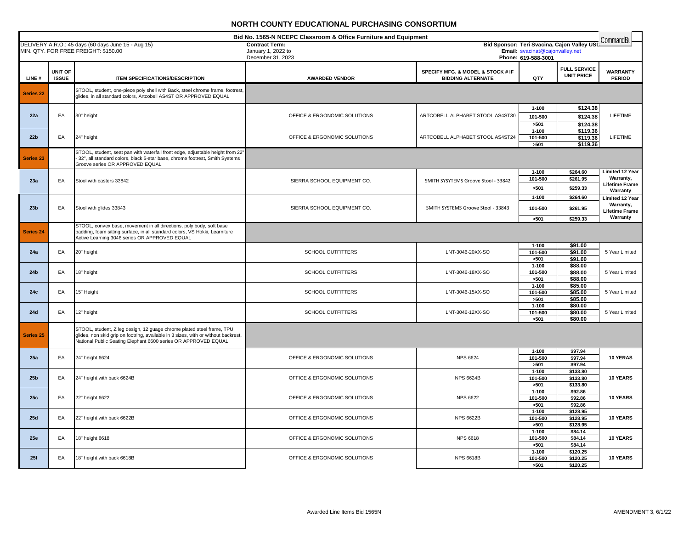|                  | Bid No. 1565-N NCEPC Classroom & Office Furniture and Equipment<br>CommandBL<br>Bid Sponsor: Teri Svacina, Cajon Valley USL |                                                                                                                                                                                                                               |                                             |                                                               |                                 |                                          |                                                                          |  |
|------------------|-----------------------------------------------------------------------------------------------------------------------------|-------------------------------------------------------------------------------------------------------------------------------------------------------------------------------------------------------------------------------|---------------------------------------------|---------------------------------------------------------------|---------------------------------|------------------------------------------|--------------------------------------------------------------------------|--|
|                  |                                                                                                                             | DELIVERY A.R.O.: 45 days (60 days June 15 - Aug 15)<br>MIN. QTY. FOR FREE FREIGHT: \$150.00                                                                                                                                   | <b>Contract Term:</b><br>January 1, 2022 to |                                                               | Email: svacinat@cajonvalley.net |                                          |                                                                          |  |
|                  |                                                                                                                             |                                                                                                                                                                                                                               | December 31, 2023                           |                                                               | Phone: 619-588-3001             |                                          |                                                                          |  |
| LINE#            | <b>UNIT OF</b><br><b>ISSUE</b>                                                                                              | <b>ITEM SPECIFICATIONS/DESCRIPTION</b>                                                                                                                                                                                        | <b>AWARDED VENDOR</b>                       | SPECIFY MFG. & MODEL & STOCK # IF<br><b>BIDDING ALTERNATE</b> | QTY                             | <b>FULL SERVICE</b><br><b>UNIT PRICE</b> | <b>WARRANTY</b><br><b>PERIOD</b>                                         |  |
| <b>Series 22</b> |                                                                                                                             | STOOL, student, one-piece poly shell with Back, steel chrome frame, footrest,<br>glides, in all standard colors, Artcobell AS4ST OR APPROVED EQUAL                                                                            |                                             |                                                               |                                 |                                          |                                                                          |  |
| 22a              | EA                                                                                                                          | 30" height                                                                                                                                                                                                                    | OFFICE & ERGONOMIC SOLUTIONS                | ARTCOBELL ALPHABET STOOL AS4ST30                              | 1-100<br>101-500<br>>501        | \$124.38<br>\$124.38<br>\$124.38         | <b>LIFETIME</b>                                                          |  |
| 22 <sub>b</sub>  | EA                                                                                                                          | 24" height                                                                                                                                                                                                                    | OFFICE & ERGONOMIC SOLUTIONS                | ARTCOBELL ALPHABET STOOL AS4ST24                              | $1 - 100$<br>101-500<br>>501    | \$119.36<br>\$119.36<br>\$119.36         | LIFETIME                                                                 |  |
| Series 23        |                                                                                                                             | STOOL, student, seat pan with waterfall front edge, adjustable height from 22'<br>32", all standard colors, black 5-star base, chrome footrest, Smith Systems<br>Groove series OR APPROVED EQUAL                              |                                             |                                                               |                                 |                                          |                                                                          |  |
| 23a              | EA                                                                                                                          | Stool with casters 33842                                                                                                                                                                                                      | SIERRA SCHOOL EQUIPMENT CO.                 | SMITH SYSYTEMS Groove Stool - 33842                           | $1 - 100$<br>101-500<br>>501    | \$264.60<br>\$261.95<br>\$259.33         | <b>Limited 12 Year</b><br>Warranty,<br><b>Lifetime Frame</b><br>Warranty |  |
| 23 <sub>b</sub>  | EA                                                                                                                          | Stool with glides 33843                                                                                                                                                                                                       | SIERRA SCHOOL EQUIPMENT CO.                 | SMITH SYSTEMS Groove Stool - 33843                            | $1 - 100$<br>101-500            | \$264.60<br>\$261.95                     | Limited 12 Year<br>Warranty,<br><b>Lifetime Frame</b><br>Warranty        |  |
| Series 24        |                                                                                                                             | STOOL, convex base, movement in all directions, poly body, soft base<br>padding, foam sitting surface, in all standard colors, VS Hokki, Learniture<br>Active Learning 3046 series OR APPROVED EQUAL                          |                                             |                                                               | >501                            | \$259.33                                 |                                                                          |  |
| 24a              | EA                                                                                                                          | 20" height                                                                                                                                                                                                                    | <b>SCHOOL OUTFITTERS</b>                    | LNT-3046-20XX-SO                                              | $1 - 100$<br>101-500<br>>501    | \$91.00<br>\$91.00<br>\$91.00            | 5 Year Limited                                                           |  |
| 24b              | EA                                                                                                                          | 18" height                                                                                                                                                                                                                    | <b>SCHOOL OUTFITTERS</b>                    | LNT-3046-18XX-SO                                              | $1 - 100$<br>101-500<br>>501    | \$88.00<br>\$88.00<br>\$88.00            | 5 Year Limited                                                           |  |
| 24c              | EA                                                                                                                          | 15" Height                                                                                                                                                                                                                    | <b>SCHOOL OUTFITTERS</b>                    | LNT-3046-15XX-SO                                              | $1 - 100$<br>101-500<br>>501    | \$85.00<br>\$85.00<br>\$85.00            | 5 Year Limited                                                           |  |
| 24d              | EA                                                                                                                          | 12" height                                                                                                                                                                                                                    | SCHOOL OUTFITTERS                           | LNT-3046-12XX-SO                                              | $1 - 100$<br>101-500<br>>501    | \$80.00<br>\$80.00<br>\$80.00            | 5 Year Limited                                                           |  |
| <b>Series 25</b> |                                                                                                                             | STOOL, student, Z leg design, 12 guage chrome plated steel frame, TPU<br>glides, non skid grip on footring, available in 3 sizes, with or without backrest,<br>National Public Seating Elephant 6600 series OR APPROVED EQUAL |                                             |                                                               |                                 |                                          |                                                                          |  |
| 25a              | EA                                                                                                                          | 24" height 6624                                                                                                                                                                                                               | OFFICE & ERGONOMIC SOLUTIONS                | <b>NPS 6624</b>                                               | $1 - 100$<br>101-500<br>>501    | \$97.94<br>\$97.94<br>\$97.94            | 10 YERAS                                                                 |  |
| 25 <sub>b</sub>  | EA                                                                                                                          | 24" height with back 6624B                                                                                                                                                                                                    | OFFICE & ERGONOMIC SOLUTIONS                | <b>NPS 6624B</b>                                              | $1 - 100$<br>101-500<br>>501    | \$133.80<br>\$133.80<br>\$133.80         | 10 YEARS                                                                 |  |
| 25c              | EA                                                                                                                          | 22" height 6622                                                                                                                                                                                                               | OFFICE & ERGONOMIC SOLUTIONS                | <b>NPS 6622</b>                                               | $1 - 100$<br>101-500<br>>501    | \$92.86<br>\$92.86<br>\$92.86            | 10 YEARS                                                                 |  |
| 25d              | EA                                                                                                                          | 22" height with back 6622B                                                                                                                                                                                                    | OFFICE & ERGONOMIC SOLUTIONS                | <b>NPS 6622B</b>                                              | $1 - 100$<br>101-500<br>>501    | \$128.95<br>\$128.95<br>\$128.95         | 10 YEARS                                                                 |  |
| 25e              | EA                                                                                                                          | 18" height 6618                                                                                                                                                                                                               | OFFICE & ERGONOMIC SOLUTIONS                | <b>NPS 6618</b>                                               | $1 - 100$<br>101-500<br>>501    | \$84.14<br>\$84.14<br>\$84.14            | 10 YEARS                                                                 |  |
| 25f              | EA                                                                                                                          | 18" height with back 6618B                                                                                                                                                                                                    | OFFICE & ERGONOMIC SOLUTIONS                | <b>NPS 6618B</b>                                              | $1 - 100$<br>101-500<br>>501    | \$120.25<br>\$120.25<br>\$120.25         | 10 YEARS                                                                 |  |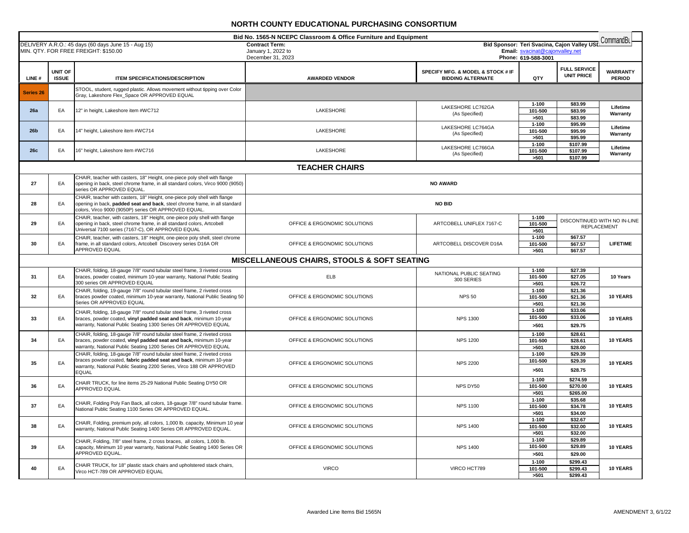| Bid No. 1565-N NCEPC Classroom & Office Furniture and Equipment<br>CommandBu |                         |                                                                                                                                                                                                                                        |                                                        |                                                                              |                                                                                |                                                    |                                  |
|------------------------------------------------------------------------------|-------------------------|----------------------------------------------------------------------------------------------------------------------------------------------------------------------------------------------------------------------------------------|--------------------------------------------------------|------------------------------------------------------------------------------|--------------------------------------------------------------------------------|----------------------------------------------------|----------------------------------|
|                                                                              |                         | DELIVERY A.R.O.: 45 days (60 days June 15 - Aug 15)<br>MIN. QTY. FOR FREE FREIGHT: \$150.00                                                                                                                                            | <b>Contract Term:</b><br>January 1, 2022 to            |                                                                              | Bid Sponsor: Teri Svacina, Cajon Valley USL<br>Email: svacinat@cajonvalley.net |                                                    |                                  |
|                                                                              |                         |                                                                                                                                                                                                                                        | December 31, 2023                                      |                                                                              | Phone: 619-588-3001                                                            |                                                    |                                  |
| LINE#                                                                        | UNIT OF<br><b>ISSUE</b> | <b>ITEM SPECIFICATIONS/DESCRIPTION</b>                                                                                                                                                                                                 | <b>AWARDED VENDOR</b>                                  | <b>SPECIFY MFG. &amp; MODEL &amp; STOCK # IF</b><br><b>BIDDING ALTERNATE</b> | QTY                                                                            | <b>FULL SERVICE</b><br><b>UNIT PRICE</b>           | <b>WARRANTY</b><br><b>PERIOD</b> |
| <b>Series 26</b>                                                             |                         | STOOL, student, rugged plastic. Allows movement without tipping over Color<br>Gray, Lakeshore Flex_Space OR APPROVED EQUAL                                                                                                             |                                                        |                                                                              |                                                                                |                                                    |                                  |
| 26a                                                                          | EA                      | 12" in height, Lakeshore item #WC712                                                                                                                                                                                                   | LAKESHORE                                              | LAKESHORE LC762GA<br>(As Specified)                                          | $1 - 100$<br>101-500<br>>501                                                   | \$83.99<br>\$83.99<br>\$83.99                      | Lifetime<br>Warranty             |
| 26 <sub>b</sub>                                                              | EA                      | 14" height, Lakeshore item #WC714                                                                                                                                                                                                      | LAKESHORE                                              | LAKESHORE LC764GA<br>(As Specified)                                          | $1 - 100$<br>101-500<br>>501                                                   | \$95.99<br>\$95.99<br>\$95.99                      | Lifetime<br>Warranty             |
| 26c                                                                          | EA                      | 16" height, Lakeshore item #WC716                                                                                                                                                                                                      | LAKESHORE                                              | LAKESHORE LC766GA<br>(As Specified)                                          | $1 - 100$<br>101-500<br>>501                                                   | \$107.99<br>\$107.99<br>\$107.99                   | Lifetime<br>Warranty             |
|                                                                              |                         |                                                                                                                                                                                                                                        | <b>TEACHER CHAIRS</b>                                  |                                                                              |                                                                                |                                                    |                                  |
| 27                                                                           | EA                      | CHAIR, teacher with casters, 18" Height, one-piece poly shell with flange<br>opening in back, steel chrome frame, in all standard colors, Virco 9000 (9050)<br>series OR APPROVED EQUAL                                                |                                                        | <b>NO AWARD</b>                                                              |                                                                                |                                                    |                                  |
| 28                                                                           | EA                      | CHAIR, teacher with casters, 18" Height, one-piece poly shell with flange<br>opening in back, padded seat and back, steel chrome frame, in all standard<br>colors, Virco 9000 (9050P) series OR APPROVED EQUAL.                        |                                                        | <b>NO BID</b>                                                                |                                                                                |                                                    |                                  |
| 29                                                                           | EA                      | CHAIR, teacher, with casters, 18" Height, one-piece poly shell with flange<br>opening in back, steel chrome frame, in all standard colors, Artcobell<br>Universal 7100 series (7167-C), OR APPROVED EQUAL                              | OFFICE & ERGONOMIC SOLUTIONS                           | ARTCOBELL UNIFLEX 7167-C                                                     | $1 - 100$<br>101-500<br>>501                                                   | DISCONTINUED WITH NO IN-LINE<br><b>REPLACEMENT</b> |                                  |
| 30                                                                           | EA                      | CHAIR, teacher, with casters, 18" Height, one-piece poly shell, steel chrome<br>frame, in all standard colors, Artcobell Discovery series D16A OR<br>APPROVED EQUAL                                                                    | OFFICE & ERGONOMIC SOLUTIONS                           | ARTCOBELL DISCOVER D16A                                                      | $1 - 100$<br>101-500<br>>501                                                   | \$67.57<br>\$67.57<br>\$67.57                      | <b>LIFETIME</b>                  |
|                                                                              |                         |                                                                                                                                                                                                                                        | <b>MISCELLANEOUS CHAIRS, STOOLS &amp; SOFT SEATING</b> |                                                                              |                                                                                |                                                    |                                  |
| 31                                                                           | EA                      | CHAIR, folding, 18-gauge 7/8" round tubular steel frame, 3 riveted cross<br>braces, powder coated, minimum 10-year warranty, National Public Seating<br>300 series OR APPROVED EQUAL                                                   | ELB                                                    | NATIONAL PUBLIC SEATING<br>300 SERIES                                        | $1 - 100$<br>101-500<br>>501                                                   | \$27.39<br>\$27.05<br>\$26.72                      | 10 Years                         |
| 32                                                                           | EA                      | CHAIR, folding, 19-gauge 7/8" round tubular steel frame, 2 riveted cross<br>braces powder coated, minimum 10-year warranty, National Public Seating 50<br>Series OR APPROVED EQUAL                                                     | OFFICE & ERGONOMIC SOLUTIONS                           | <b>NPS 50</b>                                                                | $1 - 100$<br>101-500<br>>501                                                   | \$21.36<br>\$21.36<br>\$21.36                      | 10 YEARS                         |
| 33                                                                           | EA                      | CHAIR, folding, 18-gauge 7/8" round tubular steel frame, 3 riveted cross<br>braces, powder coated, vinyl padded seat and back, minimum 10-year<br>warranty, National Public Seating 1300 Series OR APPROVED EQUAL                      | OFFICE & ERGONOMIC SOLUTIONS                           | <b>NPS 1300</b>                                                              | $1 - 100$<br>101-500<br>>501                                                   | \$33.06<br>\$33.06<br>\$29.75                      | 10 YEARS                         |
| 34                                                                           | EA                      | CHAIR, folding, 18-gauge 7/8" round tubular steel frame, 2 riveted cross<br>braces, powder coated, vinyl padded seat and back, minimum 10-year<br>warranty, National Public Seating 1200 Series OR APPROVED EQUAL                      | OFFICE & ERGONOMIC SOLUTIONS                           | <b>NPS 1200</b>                                                              | $1 - 100$<br>101-500<br>>501                                                   | \$28.61<br>\$28.61<br>\$28.00                      | 10 YEARS                         |
| 35                                                                           | EA                      | CHAIR, folding, 18-gauge 7/8" round tubular steel frame, 2 riveted cross<br>braces powder coated, fabric padded seat and back, minimum 10-year<br>warranty, National Public Seating 2200 Series, Virco 188 OR APPROVED<br><b>EQUAL</b> | OFFICE & ERGONOMIC SOLUTIONS                           | <b>NPS 2200</b>                                                              | $1 - 100$<br>101-500<br>>501                                                   | \$29.39<br>\$29.39<br>\$28.75                      | 10 YEARS                         |
| 36                                                                           | EA                      | CHAIR TRUCK, for line items 25-29 National Public Seating DY50 OR<br>APPROVED EQUAL                                                                                                                                                    | OFFICE & ERGONOMIC SOLUTIONS                           | NPS DY50                                                                     | $1 - 100$<br>101-500<br>>501                                                   | \$274.59<br>\$270.00<br>\$265.00                   | 10 YEARS                         |
| 37                                                                           | EA                      | CHAIR, Folding Poly Fan Back, all colors, 18-gauge 7/8" round tubular frame.<br>National Public Seating 1100 Series OR APPROVED EQUAL.                                                                                                 | OFFICE & ERGONOMIC SOLUTIONS                           | <b>NPS 1100</b>                                                              | $1 - 100$<br>101-500<br>>501                                                   | \$35.68<br>\$34.78<br>\$34.00                      | 10 YEARS                         |
| 38                                                                           | EA                      | CHAIR, Folding, premium poly, all colors, 1,000 lb. capacity, Minimum 10 year<br>warranty, National Public Seating 1400 Series OR APPROVED EQUAL.                                                                                      | OFFICE & ERGONOMIC SOLUTIONS                           | <b>NPS 1400</b>                                                              | $1 - 100$<br>101-500<br>>501                                                   | \$32.67<br>\$32.00<br>\$32.00                      | 10 YEARS                         |
| 39                                                                           | EA                      | CHAIR, Folding, 7/8" steel frame, 2 cross braces, all colors, 1,000 lb.<br>capacity, Minimum 10 year warranty, National Public Seating 1400 Series OR<br>APPROVED EQUAL.                                                               | OFFICE & ERGONOMIC SOLUTIONS                           | <b>NPS 1400</b>                                                              | $1 - 100$<br>101-500<br>>501                                                   | \$29.89<br>\$29.89<br>\$29.00                      | 10 YEARS                         |
| 40                                                                           | EA                      | CHAIR TRUCK, for 18" plastic stack chairs and upholstered stack chairs,<br>Virco HCT-789 OR APPROVED EQUAL                                                                                                                             | <b>VIRCO</b>                                           | VIRCO HCT789                                                                 | $1 - 100$<br>101-500<br>>501                                                   | \$299.43<br>\$299.43<br>\$299.43                   | 10 YEARS                         |
|                                                                              |                         |                                                                                                                                                                                                                                        |                                                        |                                                                              |                                                                                |                                                    |                                  |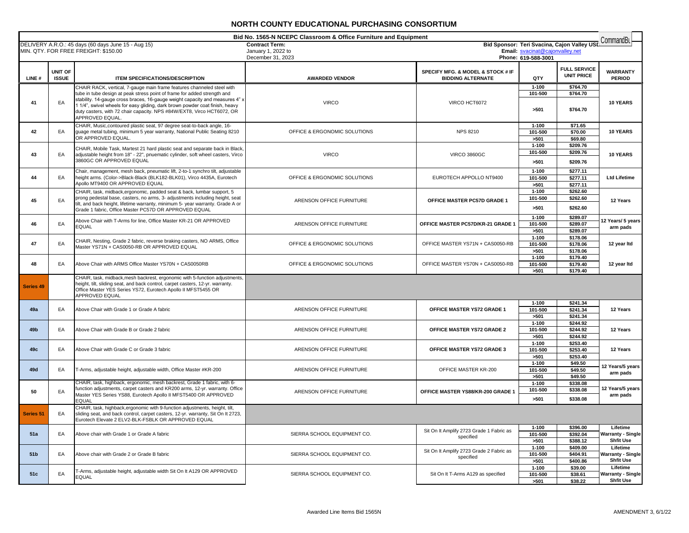|                 |              |                                                                                                                                                        | Bid No. 1565-N NCEPC Classroom & Office Furniture and Equipment |                                                       |                                 |                                             | CommandBu                     |
|-----------------|--------------|--------------------------------------------------------------------------------------------------------------------------------------------------------|-----------------------------------------------------------------|-------------------------------------------------------|---------------------------------|---------------------------------------------|-------------------------------|
|                 |              | DELIVERY A.R.O.: 45 days (60 days June 15 - Aug 15)                                                                                                    | <b>Contract Term:</b>                                           |                                                       | Email: svacinat@cajonvalley.net | Bid Sponsor: Teri Svacina, Cajon Valley USL |                               |
|                 |              | MIN. QTY. FOR FREE FREIGHT: \$150.00                                                                                                                   | January 1, 2022 to<br>December 31, 2023                         |                                                       | Phone: 619-588-3001             |                                             |                               |
|                 |              |                                                                                                                                                        |                                                                 |                                                       |                                 |                                             |                               |
|                 | UNIT OF      |                                                                                                                                                        |                                                                 | SPECIFY MFG. & MODEL & STOCK # IF                     |                                 | <b>FULL SERVICE</b>                         | <b>WARRANTY</b>               |
| LINE#           | <b>ISSUE</b> | <b>ITEM SPECIFICATIONS/DESCRIPTION</b>                                                                                                                 | <b>AWARDED VENDOR</b>                                           | <b>BIDDING ALTERNATE</b>                              | QTY                             | <b>UNIT PRICE</b>                           | <b>PERIOD</b>                 |
|                 |              | CHAIR RACK, vertical, 7-gauge main frame features channeled steel with                                                                                 |                                                                 |                                                       | $1 - 100$                       | \$764.70                                    |                               |
|                 |              | tube in tube design at peak stress point of frame for added strength and                                                                               |                                                                 |                                                       | 101-500                         | \$764.70                                    |                               |
| 41              | EA           | stability. 14-gauge cross braces, 16-gauge weight capacity and measures 4" >                                                                           | <b>VIRCO</b>                                                    | VIRCO HCT6072                                         |                                 |                                             | 10 YEARS                      |
|                 |              | 1 1/4", swivel wheels for easy gliding, dark brown powder coat finish, heavy                                                                           |                                                                 |                                                       | >501                            | \$764.70                                    |                               |
|                 |              | duty casters, with 72 chair capacity. NPS #84W/EXT8, Virco HCT6072, OR                                                                                 |                                                                 |                                                       |                                 |                                             |                               |
|                 |              | APPROVED EQUAL.                                                                                                                                        |                                                                 |                                                       |                                 |                                             |                               |
| 42              | EA           | CHAIR, Music, contoured plastic seat, 97 degree seat-to-back angle, 16-<br>guage metal tubing, minimum 5 year warranty, National Public Seating 8210   | OFFICE & ERGONOMIC SOLUTIONS                                    | <b>NPS 8210</b>                                       | $1 - 100$                       | \$71.65<br>\$70.00                          | 10 YEARS                      |
|                 |              | OR APPROVED EQUAL.                                                                                                                                     |                                                                 |                                                       | 101-500<br>>501                 | \$69.80                                     |                               |
|                 |              |                                                                                                                                                        |                                                                 |                                                       | $1 - 100$                       | \$209.76                                    |                               |
|                 |              | CHAIR, Mobile Task, Martest 21 hard plastic seat and separate back in Black                                                                            |                                                                 |                                                       | 101-500                         | \$209.76                                    |                               |
| 43              | EA           | adjustable height from 18" - 22", pnuematic cylinder, soft wheel casters, Virco<br>3860GC OR APPROVED EQUAL                                            | <b>VIRCO</b>                                                    | <b>VIRCO 3860GC</b>                                   | >501                            | \$209.76                                    | 10 YEARS                      |
|                 |              |                                                                                                                                                        |                                                                 |                                                       |                                 |                                             |                               |
|                 |              | Chair, management, mesh back, pneumatic lift, 2-to-1 synchro tilt, adjustable                                                                          |                                                                 |                                                       | $1 - 100$                       | \$277.11                                    |                               |
| 44              | EA           | height arms. (Color->Black-Black (BLK182-BLK01), Virco 4435A, Eurotech<br>Apollo MT9400 OR APPROVED EQUAL                                              | OFFICE & ERGONOMIC SOLUTIONS                                    | EUROTECH APPOLLO NT9400                               | 101-500                         | \$277.11                                    | <b>Ltd Lifetime</b>           |
|                 |              |                                                                                                                                                        |                                                                 |                                                       | >501                            | \$277.11                                    |                               |
|                 |              | CHAIR, task, midback, ergonomic, padded seat & back, lumbar support, 5<br>prong pedestal base, casters, no arms, 3- adjustments including height, seat |                                                                 |                                                       | $1 - 100$<br>101-500            | \$262.60<br>\$262.60                        |                               |
| 45              | EA           | tilt, and back height, lifetime warranty, minimum 5- year warranty. Grade A or                                                                         | ARENSON OFFICE FURNITURE                                        | OFFICE MASTER PC57D GRADE 1                           |                                 |                                             | 12 Years                      |
|                 |              | Grade 1 fabric, Office Master PC57D OR APPROVED EQUAL                                                                                                  |                                                                 |                                                       | >501                            | \$262.60                                    |                               |
|                 |              | Above Chair with T-Arms for line, Office Master KR-21 OR APPROVED                                                                                      |                                                                 |                                                       | $1 - 100$                       | \$289.07                                    |                               |
| 46              | EA           | <b>EQUAL</b>                                                                                                                                           | ARENSON OFFICE FURNITURE                                        | OFFICE MASTER PC57D/KR-21 GRADE 1                     | 101-500                         | \$289.07                                    | 12 Years/ 5 years<br>arm pads |
|                 |              |                                                                                                                                                        |                                                                 |                                                       | >501                            | \$289.07                                    |                               |
|                 |              | CHAIR, Nesting, Grade 2 fabric, reverse braking casters, NO ARMS, Office                                                                               |                                                                 |                                                       | $1 - 100$                       | \$178.06                                    |                               |
| 47              | EA           | Master YS71N + CAS0050-RB OR APPROVED EQUAL                                                                                                            | OFFICE & ERGONOMIC SOLUTIONS                                    | OFFICE MASTER YS71N + CAS0050-RB                      | 101-500                         | \$178.06                                    | 12 year Itd                   |
|                 |              |                                                                                                                                                        |                                                                 |                                                       | >501                            | \$178.06                                    |                               |
| 48              | EA           | Above Chair with ARMS Office Master YS70N + CAS0050RB                                                                                                  | OFFICE & ERGONOMIC SOLUTIONS                                    | OFFICE MASTER YS70N + CAS0050-RB                      | $1 - 100$<br>101-500            | \$179.40<br>\$179.40                        | 12 year Itd                   |
|                 |              |                                                                                                                                                        |                                                                 |                                                       | >501                            | \$179.40                                    |                               |
|                 |              | CHAIR, task, midback, mesh backrest, ergonomic with 5-function adjustments,                                                                            |                                                                 |                                                       |                                 |                                             |                               |
| Series 49       |              | height, tilt, sliding seat, and back control, carpet casters, 12-yr. warranty.                                                                         |                                                                 |                                                       |                                 |                                             |                               |
|                 |              | Office Master YES Series YS72, Eurotech Apollo II MFST5455 OR                                                                                          |                                                                 |                                                       |                                 |                                             |                               |
|                 |              | APPROVED EQUAL                                                                                                                                         |                                                                 |                                                       |                                 |                                             |                               |
| 49a             | EA           | Above Chair with Grade 1 or Grade A fabric                                                                                                             | ARENSON OFFICE FURNITURE                                        | OFFICE MASTER YS72 GRADE 1                            | $1 - 100$<br>101-500            | \$241.34<br>\$241.34                        | 12 Years                      |
|                 |              |                                                                                                                                                        |                                                                 |                                                       | >501                            | \$241.34                                    |                               |
|                 |              |                                                                                                                                                        |                                                                 |                                                       | $1 - 100$                       | \$244.92                                    |                               |
| 49b             | EA           | Above Chair with Grade B or Grade 2 fabric                                                                                                             | ARENSON OFFICE FURNITURE                                        | OFFICE MASTER YS72 GRADE 2                            | 101-500                         | \$244.92                                    | 12 Years                      |
|                 |              |                                                                                                                                                        |                                                                 |                                                       | >501                            | \$244.92                                    |                               |
|                 |              |                                                                                                                                                        |                                                                 |                                                       | $1 - 100$                       | \$253.40                                    |                               |
| 49с             | EA           | Above Chair with Grade C or Grade 3 fabric                                                                                                             | ARENSON OFFICE FURNITURE                                        | OFFICE MASTER YS72 GRADE 3                            | 101-500                         | \$253.40                                    | 12 Years                      |
|                 |              |                                                                                                                                                        |                                                                 |                                                       | >501                            | \$253.40                                    |                               |
|                 |              |                                                                                                                                                        |                                                                 |                                                       | $1 - 100$                       | \$49.50                                     | 12 Years/5 years              |
| 49d             | ЕA           | T-Arms, adjustable height, adjustable width, Office Master #KR-200                                                                                     | ARENSON OFFICE FURNITURE                                        | OFFICE MASTER KR-200                                  | 101-500<br>>501                 | \$49.50<br>\$49.50                          | arm pads                      |
|                 |              | CHAIR, task, highback, ergonomic, mesh backrest, Grade 1 fabric, with 6-                                                                               |                                                                 |                                                       | $1 - 100$                       | \$338.08                                    |                               |
|                 |              | function adjustments, carpet casters and KR200 arms, 12-yr. warranty. Office                                                                           |                                                                 |                                                       | 101-500                         | \$338.08                                    | 12 Years/5 years              |
| 50              | EA           | Master YES Series YS88, Eurotech Apollo II MFST5400 OR APPROVED                                                                                        | ARENSON OFFICE FURNITURE                                        | OFFICE MASTER YS88/KR-200 GRADE 1                     | >501                            | \$338.08                                    | arm pads                      |
|                 |              | <b>EQUAL</b>                                                                                                                                           |                                                                 |                                                       |                                 |                                             |                               |
|                 |              | CHAIR, task, highback, ergonomic with 9-function adjustments, height, tilt,                                                                            |                                                                 |                                                       |                                 |                                             |                               |
| Series 51       | EA           | sliding seat, and back control, carpet casters, 12-yr. warranty, Sit On It 2723,<br>Eurotech Elevate 2 ELV2-BLK-FSBLK OR APPROVED EQUAL                |                                                                 |                                                       |                                 |                                             |                               |
|                 |              |                                                                                                                                                        |                                                                 |                                                       | $1 - 100$                       | \$396.00                                    | Lifetime                      |
| 51a             | EA           | Above chair with Grade 1 or Grade A fabric                                                                                                             | SIERRA SCHOOL EQUIPMENT CO.                                     | Sit On It Amplify 2723 Grade 1 Fabric as              | 101-500                         | \$392.04                                    | Warranty - Single             |
|                 |              |                                                                                                                                                        |                                                                 | specified                                             | >501                            | \$388.12                                    | <b>Shfit Use</b>              |
|                 |              |                                                                                                                                                        |                                                                 |                                                       | $1 - 100$                       | \$409.00                                    | Lifetime                      |
| 51 <sub>b</sub> | ЕA           | Above chair with Grade 2 or Grade B fabric                                                                                                             | SIERRA SCHOOL EQUIPMENT CO.                                     | Sit On It Amplify 2723 Grade 2 Fabric as<br>specified | 101-500                         | \$404.91                                    | <b>Warranty - Single</b>      |
|                 |              |                                                                                                                                                        |                                                                 |                                                       | >501                            | \$400.86                                    | <b>Shfit Use</b>              |
|                 |              | T-Arms, adjustable height, adjustable width Sit On It A129 OR APPROVED                                                                                 |                                                                 |                                                       | $1 - 100$                       | \$39.00                                     | Lifetime                      |
| 51c             | EA           | <b>EQUAL</b>                                                                                                                                           | SIERRA SCHOOL EQUIPMENT CO.                                     | Sit On It T-Arms A129 as specified                    | 101-500                         | \$38.61                                     | <b>Warranty - Single</b>      |
|                 |              |                                                                                                                                                        |                                                                 |                                                       | >501                            | \$38.22                                     | <b>Shfit Use</b>              |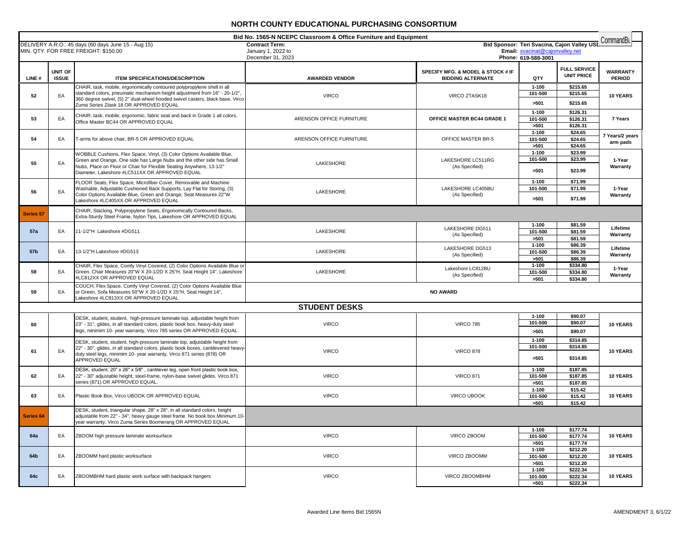| Bid No. 1565-N NCEPC Classroom & Office Furniture and Equipment<br>CommandBu<br>Bid Sponsor: Teri Svacina, Cajon Valley USD |                         |                                                                                                                                                                                                                                                                                  |                                             |                                                               |                                 |                                          |                                  |
|-----------------------------------------------------------------------------------------------------------------------------|-------------------------|----------------------------------------------------------------------------------------------------------------------------------------------------------------------------------------------------------------------------------------------------------------------------------|---------------------------------------------|---------------------------------------------------------------|---------------------------------|------------------------------------------|----------------------------------|
|                                                                                                                             |                         | DELIVERY A.R.O.: 45 days (60 days June 15 - Aug 15)<br>MIN. QTY. FOR FREE FREIGHT: \$150.00                                                                                                                                                                                      | <b>Contract Term:</b><br>January 1, 2022 to |                                                               | Email: svacinat@cajonvalley.net |                                          |                                  |
|                                                                                                                             |                         |                                                                                                                                                                                                                                                                                  | December 31, 2023                           |                                                               | Phone: 619-588-3001             |                                          |                                  |
| LINE#                                                                                                                       | UNIT OF<br><b>ISSUE</b> | <b>ITEM SPECIFICATIONS/DESCRIPTION</b>                                                                                                                                                                                                                                           | <b>AWARDED VENDOR</b>                       | SPECIFY MFG. & MODEL & STOCK # IF<br><b>BIDDING ALTERNATE</b> | QTY                             | <b>FULL SERVICE</b><br><b>UNIT PRICE</b> | <b>WARRANTY</b><br><b>PERIOD</b> |
| 52                                                                                                                          | EA                      | CHAIR, task, mobile, ergonomically contoured polypropylene shell in all<br>standard colors, pneumatic mechanism height adjustment from 16" - 20-1/2",<br>360 degree swivel, (5) 2" dual-wheel hooded swivel casters, black base, Virco<br>Zuma Series Ztask 18 OR APPROVED EQUAL | <b>VIRCO</b>                                | VIRCO ZTASK18                                                 | $1 - 100$<br>101-500<br>>501    | \$215.65<br>\$215.65<br>\$215.65         | 10 YEARS                         |
| 53                                                                                                                          | EA                      | CHAIR, task, mobile, ergonomic, fabric seat and back in Grade 1 all colors,<br>Office Master BC44 OR APPROVED EQUAL                                                                                                                                                              | ARENSON OFFICE FURNITURE                    | OFFICE MASTER BC44 GRADE 1                                    | $1 - 100$<br>101-500<br>>501    | \$126.31<br>\$126.31<br>\$126.31         | 7 Years                          |
| 54                                                                                                                          | EA                      | T-arms for above chair, BR-5 OR APPROVED EQUAL                                                                                                                                                                                                                                   | ARENSON OFFICE FURNITURE                    | OFFICE MASTER BR-5                                            | $1 - 100$<br>101-500<br>>501    | \$24.65<br>\$24.65<br>\$24.65            | 7 Years/2 years<br>arm pads      |
| 55                                                                                                                          | EA                      | WOBBLE Cushions, Flex Space, Vinyl, (3) Color Options Available Blue,<br>Green and Orange, One side has Large Nubs and the other side has Small<br>Nubs, Place on Floor or Chair for Flexible Seating Anywhere, 13-1/2"<br>Diameter, Lakeshore #LC511XX OR APPROVED EQUAL        | LAKESHORE                                   | LAKESHORE LC511RG<br>(As Specified)                           | $1 - 100$<br>101-500<br>>501    | \$23.99<br>\$23.99<br>\$23.99            | 1-Year<br>Warranty               |
| 56                                                                                                                          | EA                      | FLOOR Seats, Flex Space, Microfiber Cover, Removable and Machine<br>Washable, Adjustable Cushioned Back Supports, Lay Flat for Storing, (3)<br>Color Options Available Blue, Green and Orange, Seat Measures 22"W<br>Lakeshore #LC405XX OR APPROVED EQUAL                        | LAKESHORE                                   | LAKESHORE LC405BU<br>(As Specified)                           | $1 - 100$<br>101-500<br>>501    | \$71.99<br>\$71.99<br>\$71.99            | 1-Year<br>Warranty               |
| <b>Series 57</b>                                                                                                            |                         | CHAIR, Stacking, Polypropylene Seats, Ergonomically Contoured Backs,<br>Extra-Sturdy Steel Frame, Nylon Tips, Lakeshore OR APPROVED EQUAL                                                                                                                                        |                                             |                                                               |                                 |                                          |                                  |
| <b>57a</b>                                                                                                                  | EA                      | 11-1/2"H Lakeshore #DG511                                                                                                                                                                                                                                                        | LAKESHORE                                   | LAKESHORE DG511<br>(As Specified)                             | $1 - 100$<br>101-500<br>>501    | \$81.59<br>\$81.59<br>\$81.59            | Lifetime<br>Warranty             |
| 57 <sub>b</sub>                                                                                                             | EA                      | 13-1/2"H Lakeshore #DG513                                                                                                                                                                                                                                                        | LAKESHORE                                   | LAKESHORE DG513<br>(As Specified)                             | $1 - 100$<br>101-500<br>>501    | \$86.39<br>\$86.39<br>\$86.39            | Lifetime<br>Warranty             |
| 58                                                                                                                          | EA                      | CHAIR, Flex Space, Comfy Vinyl Covered, (2) Color Options Available Blue or<br>Green, Chair Measures 20"W X 20-1/2D X 25"H, Seat Height 14", Lakeshore<br>#LC812XX OR APPROVED EQUAL                                                                                             | LAKESHORE                                   | Lakeshore LC812BU<br>(As Specified)                           | $1 - 100$<br>101-500<br>>501    | \$334.80<br>\$334.80<br>\$334.80         | 1-Year<br>Warranty               |
| 59                                                                                                                          | EA                      | COUCH, Flex Space, Comfy Vinyl Covered, (2) Color Options Available Blue<br>or Green, Sofa Measures 50"W X 20-1/2D X 25"H, Seat Height 14",<br>Lakeshore #LC813XX OR APPROVED EQUAL                                                                                              |                                             | <b>NO AWARD</b>                                               |                                 |                                          |                                  |
|                                                                                                                             |                         |                                                                                                                                                                                                                                                                                  | <b>STUDENT DESKS</b>                        |                                                               |                                 |                                          |                                  |
| 60                                                                                                                          |                         | DESK, student, student, high-pressure laminate top, adjustable height from<br>23" - 31", glides, in all standard colors, plastic book box, heavy-duty steel<br>legs, minimim 10- year warranty, Virco 785 series OR APPROVED EQUAL                                               | <b>VIRCO</b>                                | <b>VIRCO 785</b>                                              | $1 - 100$<br>101-500<br>>501    | \$90.07<br>\$90.07<br>\$90.07            | <b>10 YEARS</b>                  |
| 61                                                                                                                          | EA                      | DESK, student, student, high-pressure laminate top, adjustable height from<br>22" - 30", glides, in all standard colors, plastic book boxes, cantilevered heavy<br>duty steel legs, minimim 10- year warranty, Virco 871 series (878) OR<br>APPROVED EQUAL                       | <b>VIRCO</b>                                | <b>VIRCO 878</b>                                              | $1 - 100$<br>101-500<br>>501    | \$314.85<br>\$314.85<br>\$314.85         | <b>10 YEARS</b>                  |
| 62                                                                                                                          | EA                      | DESK, student, 20" x 26" x 5⁄8", cantilever leg, open front plastic book box,<br>22" - 30" adjustable height, steel-frame, nylon-base swivel glides. Virco 871<br>series (871) OR APPROVED EQUAL.                                                                                | <b>VIRCO</b>                                | <b>VIRCO 871</b>                                              | $1 - 100$<br>101-500<br>>501    | \$187.85<br>\$187.85<br>\$187.85         | 10 YEARS                         |
| 63                                                                                                                          | EA                      | Plastic Book Box, Virco UBOOK OR APPROVED EQUAL                                                                                                                                                                                                                                  | <b>VIRCO</b>                                | VIRCO UBOOK                                                   | $1 - 100$<br>101-500<br>>501    | \$15.42<br>\$15.42<br>\$15.42            | 10 YEARS                         |
| Series 64                                                                                                                   |                         | DESK, student, triangular shape, 28" x 28", in all standard colors, height<br>adjustable from 22" - 34", heavy gauge steel frame. No book box. Minimum 10-<br>ear warranty, Virco Zuma Series Boomerang OR APPROVED EQUAL                                                        |                                             |                                                               |                                 |                                          |                                  |
| 64a                                                                                                                         | EA                      | ZBOOM high pressure laminate worksurface                                                                                                                                                                                                                                         | <b>VIRCO</b>                                | VIRCO ZBOOM                                                   | $1 - 100$<br>101-500<br>>501    | \$177.74<br>\$177.74<br>\$177.74         | 10 YEARS                         |
| 64b                                                                                                                         | EA                      | ZBOOMM hard plastic worksurface                                                                                                                                                                                                                                                  | <b>VIRCO</b>                                | VIRCO ZBOOMM                                                  | $1 - 100$<br>101-500<br>>501    | \$212.20<br>\$212.20<br>\$212.20         | 10 YEARS                         |
| 64c                                                                                                                         | EA                      | ZBOOMBHM hard plastic work surface with backpack hangers                                                                                                                                                                                                                         | <b>VIRCO</b>                                | VIRCO ZBOOMBHM                                                | $1 - 100$<br>101-500<br>>501    | \$222.34<br>\$222.34<br>\$222.34         | <b>10 YEARS</b>                  |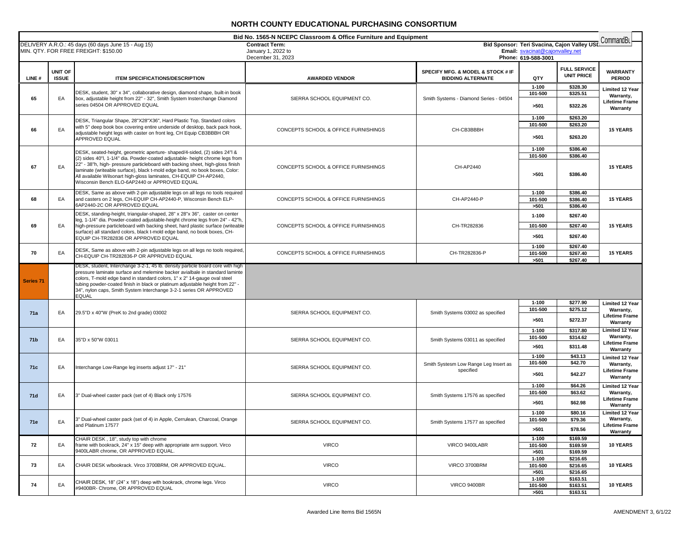|                      | Bid No. 1565-N NCEPC Classroom & Office Furniture and Equipment<br>CommandBu |                                                                                                                                                                                                                                                                                                                                                                                                                                                   |                                             |                                                               |                                 |                                             |                                                                          |
|----------------------|------------------------------------------------------------------------------|---------------------------------------------------------------------------------------------------------------------------------------------------------------------------------------------------------------------------------------------------------------------------------------------------------------------------------------------------------------------------------------------------------------------------------------------------|---------------------------------------------|---------------------------------------------------------------|---------------------------------|---------------------------------------------|--------------------------------------------------------------------------|
|                      |                                                                              | DELIVERY A.R.O.: 45 days (60 days June 15 - Aug 15)<br>MIN. QTY. FOR FREE FREIGHT: \$150.00                                                                                                                                                                                                                                                                                                                                                       | <b>Contract Term:</b><br>January 1, 2022 to |                                                               | Email: svacinat@cajonvalley.net | Bid Sponsor: Teri Svacina, Cajon Valley USI |                                                                          |
|                      |                                                                              |                                                                                                                                                                                                                                                                                                                                                                                                                                                   | December 31, 2023                           |                                                               | Phone: 619-588-3001             |                                             |                                                                          |
| LINE#                | UNIT OF<br><b>ISSUE</b>                                                      | <b>ITEM SPECIFICATIONS/DESCRIPTION</b>                                                                                                                                                                                                                                                                                                                                                                                                            | <b>AWARDED VENDOR</b>                       | SPECIFY MFG. & MODEL & STOCK # IF<br><b>BIDDING ALTERNATE</b> | QTY                             | <b>FULL SERVICE</b><br><b>UNIT PRICE</b>    | <b>WARRANTY</b><br><b>PERIOD</b>                                         |
| 65                   | EA                                                                           | DESK, student, 30" x 34", collaborative design, diamond shape, built-in book<br>box, adjustable height from 22" - 32", Smith System Insterchange Diamond<br>series 04504 OR APPROVED EQUAL                                                                                                                                                                                                                                                        | SIERRA SCHOOL EQUIPMENT CO.                 | Smith Systems - Diamond Series - 04504                        | $1 - 100$<br>101-500<br>>501    | \$328.30<br>\$325.51<br>\$322.26            | <b>Limited 12 Year</b><br>Warranty,<br><b>Lifetime Frame</b><br>Warranty |
| 66                   | EA                                                                           | DESK, Triangular Shape, 28"X28"X36", Hard Plastic Top, Standard colors<br>with 5" deep book box covering entire underside of desktop, back pack hook,<br>adjustable height legs with caster on front leg, CH Equip CB3BBBH OR<br>APPROVED EQUAL                                                                                                                                                                                                   | CONCEPTS SCHOOL & OFFICE FURNISHINGS        | CH-CB3BBBH                                                    | $1 - 100$<br>101-500<br>>501    | \$263.20<br>\$263.20<br>\$263.20            | <b>15 YEARS</b>                                                          |
| 67                   | EA                                                                           | DESK, seated-height, geometric aperture- shaped/4-sided, (2) sides 24"l &<br>(2) sides 40"l, 1-1/4" dia. Powder-coated adjustable- height chrome legs from<br>22" - 38"h, high- pressure particleboard with backing sheet, high-gloss finish<br>laminate (writeable surface), black t-mold edge band, no book boxes, Color:<br>All available Wilsonart high-gloss laminates, CH-EQUIP CH-AP2440,<br>Wisconsin Bench ELO-6AP2440 or APPROVED EQUAL | CONCEPTS SCHOOL & OFFICE FURNISHINGS        | CH-AP2440                                                     | $1 - 100$<br>101-500<br>>501    | \$386.40<br>\$386.40<br>\$386.40            | <b>15 YEARS</b>                                                          |
| 68                   | EA                                                                           | DESK, Same as above with 2-pin adjustable legs on all legs no tools required<br>and casters on 2 legs, CH-EQUIP CH-AP2440-P, Wisconsin Bench ELP-<br>6AP2440-2C OR APPROVED EQUAL                                                                                                                                                                                                                                                                 | CONCEPTS SCHOOL & OFFICE FURNISHINGS        | CH-AP2440-P                                                   | $1 - 100$<br>101-500<br>>501    | \$386.40<br>\$386.40<br>\$386.40            | <b>15 YEARS</b>                                                          |
| 69                   | EA                                                                           | DESK, standing-height, triangular-shaped, 28" x 28"x 36", caster on center<br>leg, 1-1/4" dia. Powder-coated adjustable-height chrome legs from 24" - 42"h,<br>high-pressure particleboard with backing sheet, hard plastic surface (writeable<br>surface) all standard colors, black t-mold edge band, no book boxes, CH-<br>EQUIP CH-TR282836 OR APPROVED EQUAL                                                                                 | CONCEPTS SCHOOL & OFFICE FURNISHINGS        | CH-TR282836                                                   | $1 - 100$<br>101-500<br>>501    | \$267.40<br>\$267.40<br>\$267.40            | <b>15 YEARS</b>                                                          |
| 70                   | EA                                                                           | DESK, Same as above with 2-pin adjustable legs on all legs no tools required<br>CH-EQUIP CH-TR282836-P OR APPROVED EQUAL                                                                                                                                                                                                                                                                                                                          | CONCEPTS SCHOOL & OFFICE FURNISHINGS        | CH-TR282836-P                                                 | $1 - 100$<br>101-500<br>>501    | \$267.40<br>\$267.40<br>\$267.40            | <b>15 YEARS</b>                                                          |
| Series <sub>71</sub> |                                                                              | DESK, student, Interchange 3-2-1, 45 lb. density particle board core with high<br>pressure laminate surface and melemine backer avialbale in standard laminte<br>colors, T-mold edge band in standard colors, 1" x 2" 14-gauge oval steel<br>tubing powder-coated finish in black or platinum adjustable height from 22" -<br>34", nylon caps, Smith System Interchange 3-2-1 series OR APPROVED<br><b>EQUAL</b>                                  |                                             |                                                               |                                 |                                             |                                                                          |
| 71a                  | EA                                                                           | 29.5"D x 40"W (PreK to 2nd grade) 03002                                                                                                                                                                                                                                                                                                                                                                                                           | SIERRA SCHOOL EQUIPMENT CO.                 | Smith Systems 03002 as specified                              | $1 - 100$<br>101-500<br>>501    | \$277.90<br>\$275.12<br>\$272.37            | Limited 12 Year<br>Warranty,<br><b>Lifetime Frame</b><br>Warranty        |
| 71 <b>b</b>          | EA                                                                           | 35"D x 50"W 03011                                                                                                                                                                                                                                                                                                                                                                                                                                 | SIERRA SCHOOL EQUIPMENT CO.                 | Smith Systems 03011 as specified                              | $1 - 100$<br>101-500<br>>501    | \$317.80<br>\$314.62<br>\$311.48            | <b>Limited 12 Year</b><br>Warranty,<br><b>Lifetime Frame</b><br>Warranty |
| 71c                  | EA                                                                           | Interchange Low-Range leg inserts adjust 17" - 21"                                                                                                                                                                                                                                                                                                                                                                                                | SIERRA SCHOOL EQUIPMENT CO.                 | Smith Systesm Low Range Leg Insert as<br>specified            | $1 - 100$<br>101-500<br>>501    | \$43.13<br>\$42.70<br>\$42.27               | <b>Limited 12 Year</b><br>Warranty,<br><b>Lifetime Frame</b><br>Warranty |
| 71d                  | EA                                                                           | 3" Dual-wheel caster pack (set of 4) Black only 17576                                                                                                                                                                                                                                                                                                                                                                                             | SIERRA SCHOOL EQUIPMENT CO.                 | Smith Systems 17576 as specified                              | $1 - 100$<br>101-500<br>>501    | \$64.26<br>\$63.62<br>\$62.98               | Limited 12 Year<br>Warranty,<br><b>Lifetime Frame</b><br>Warranty        |
| <b>71e</b>           | EA                                                                           | 3" Dual-wheel caster pack (set of 4) in Apple, Cerrulean, Charcoal, Orange<br>and Platinum 17577                                                                                                                                                                                                                                                                                                                                                  | SIERRA SCHOOL EQUIPMENT CO.                 | Smith Systems 17577 as specified                              | $1 - 100$<br>101-500<br>>501    | \$80.16<br>\$79.36<br>\$78.56               | <b>Limited 12 Year</b><br>Warranty,<br><b>Lifetime Frame</b><br>Warranty |
| 72                   | EA                                                                           | CHAIR DESK, 18", study top with chrome<br>frame with bookrack, 24" x 15" deep with appropriate arm support. Virco<br>9400LABR chrome, OR APPROVED EQUAL.                                                                                                                                                                                                                                                                                          | <b>VIRCO</b>                                | VIRCO 9400LABR                                                | $1 - 100$<br>101-500<br>>501    | \$169.59<br>\$169.59<br>\$169.59            | <b>10 YEARS</b>                                                          |
| 73                   | ЕA                                                                           | CHAIR DESK w/bookrack. Virco 3700BRM. OR APPROVED EQUAL.                                                                                                                                                                                                                                                                                                                                                                                          | <b>VIRCO</b>                                | VIRCO 3700BRM                                                 | $1 - 100$<br>101-500<br>>501    | \$216.65<br>\$216.65<br>\$216.65            | <b>10 YEARS</b>                                                          |
| 74                   | EA                                                                           | CHAIR DESK, 18" (24" x 18") deep with bookrack, chrome legs. Virco<br>#9400BR- Chrome, OR APPROVED EQUAL                                                                                                                                                                                                                                                                                                                                          | <b>VIRCO</b>                                | <b>VIRCO 9400BR</b>                                           | $1 - 100$<br>101-500<br>>501    | \$163.51<br>\$163.51<br>\$163.51            | 10 YEARS                                                                 |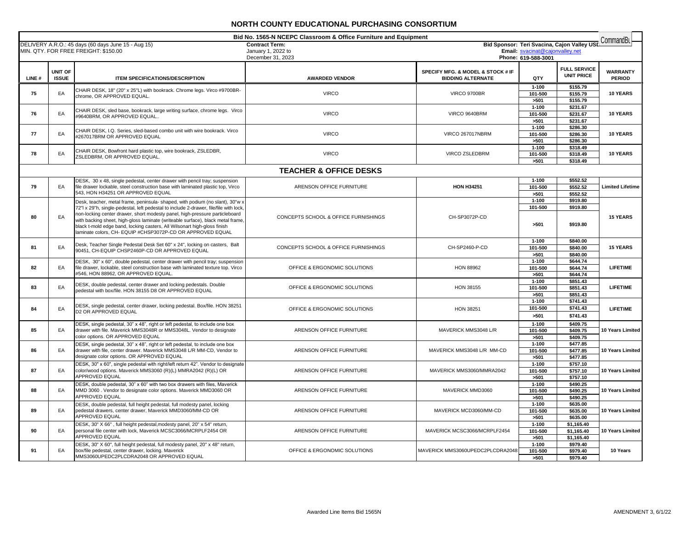|       |                                |                                                                                                                                                                                                                                                                                                                                                                                                                                                                                  | Bid No. 1565-N NCEPC Classroom & Office Furniture and Equipment  |                                                               |                                                        |                                                        |                                  |
|-------|--------------------------------|----------------------------------------------------------------------------------------------------------------------------------------------------------------------------------------------------------------------------------------------------------------------------------------------------------------------------------------------------------------------------------------------------------------------------------------------------------------------------------|------------------------------------------------------------------|---------------------------------------------------------------|--------------------------------------------------------|--------------------------------------------------------|----------------------------------|
|       |                                | DELIVERY A.R.O.: 45 days (60 days June 15 - Aug 15)<br>MIN. QTY. FOR FREE FREIGHT: \$150.00                                                                                                                                                                                                                                                                                                                                                                                      | <b>Contract Term:</b><br>January 1, 2022 to<br>December 31, 2023 |                                                               | Email: svacinat@cajonvalley.net<br>Phone: 619-588-3001 | Bid Sponsor: Teri Svacina, Cajon Valley USL Command Bu |                                  |
| LINE# | <b>UNIT OF</b><br><b>ISSUE</b> | <b>ITEM SPECIFICATIONS/DESCRIPTION</b>                                                                                                                                                                                                                                                                                                                                                                                                                                           | <b>AWARDED VENDOR</b>                                            | SPECIFY MFG. & MODEL & STOCK # IF<br><b>BIDDING ALTERNATE</b> | QTY                                                    | <b>FULL SERVICE</b><br><b>UNIT PRICE</b>               | <b>WARRANTY</b><br><b>PERIOD</b> |
| 75    | EA                             | CHAIR DESK, 18" (20" x 25"L) with bookrack. Chrome legs. Virco #9700BR-<br>chrome, OR APPROVED EQUAL.                                                                                                                                                                                                                                                                                                                                                                            | <b>VIRCO</b>                                                     | <b>VIRCO 9700BR</b>                                           | $1 - 100$<br>101-500<br>>501                           | \$155.79<br>\$155.79<br>\$155.79                       | 10 YEARS                         |
| 76    | EA                             | CHAIR DESK, sled base, bookrack, large writing surface, chrome legs. Virco<br>#9640BRM, OR APPROVED EQUAL.,                                                                                                                                                                                                                                                                                                                                                                      | <b>VIRCO</b>                                                     | VIRCO 9640BRM                                                 | $1 - 100$<br>101-500<br>>501                           | \$231.67<br>\$231.67<br>\$231.67                       | <b>10 YEARS</b>                  |
| 77    | EA                             | CHAIR DESK, I.Q. Series, sled-based combo unit with wire bookrack. Virco<br>#267017BRM OR APPROVED EQUAL                                                                                                                                                                                                                                                                                                                                                                         | <b>VIRCO</b>                                                     | <b>VIRCO 267017NBRM</b>                                       | $1 - 100$<br>101-500<br>>501                           | \$286.30<br>\$286.30<br>\$286.30                       | 10 YEARS                         |
| 78    | EA                             | CHAIR DESK, Bowfront hard plastic top, wire bookrack, ZSLEDBR,<br>ZSLEDBRM, OR APPROVED EQUAL.                                                                                                                                                                                                                                                                                                                                                                                   | <b>VIRCO</b>                                                     | VIRCO ZSLEDBRM                                                | $1 - 100$<br>101-500<br>>501                           | \$318.49<br>\$318.49<br>\$318.49                       | 10 YEARS                         |
|       |                                |                                                                                                                                                                                                                                                                                                                                                                                                                                                                                  | <b>TEACHER &amp; OFFICE DESKS</b>                                |                                                               |                                                        |                                                        |                                  |
| 79    | EA                             | DESK, 30 x 48, single pedestal, center drawer with pencil tray; suspension<br>file drawer lockable, steel construction base with laminated plastic top, Virco<br>543, HON H34251 OR APPROVED EQUAL                                                                                                                                                                                                                                                                               | ARENSON OFFICE FURNITURE                                         | <b>HON H34251</b>                                             | $1 - 100$<br>101-500<br>>501                           | \$552.52<br>\$552.52<br>\$552.52                       | <b>Limited Lifetime</b>          |
| 80    | EA                             | Desk, teacher, metal frame, peninsula- shaped, with podium (no slant), 30"w ><br>72"I x 29"h, single-pedestal, left pedestal to include 2-drawer, file/file with lock<br>non-locking center drawer, short modesty panel, high-pressure particleboard<br>with backing sheet, high-gloss laminate (writeable surface), black metal frame<br>black t-mold edge band, locking casters, All Wilsonart high-gloss finish<br>laminate colors, CH- EQUIP #CHSP3072P-CD OR APPROVED EQUAL | CONCEPTS SCHOOL & OFFICE FURNISHINGS                             | CH-SP3072P-CD                                                 | $1 - 100$<br>101-500<br>>501                           | \$919.80<br>\$919.80<br>\$919.80                       | <b>15 YEARS</b>                  |
| 81    | EA                             | Desk, Teacher Single Pedestal Desk Set 60" x 24", locking on casters, Balt<br>90451, CH-EQUIP CHSP2460P-CD OR APPROVED EQUAL                                                                                                                                                                                                                                                                                                                                                     | CONCEPTS SCHOOL & OFFICE FURNISHINGS                             | CH-SP2460-P-CD                                                | $1 - 100$<br>101-500<br>>501                           | \$840.00<br>\$840.00<br>\$840.00                       | <b>15 YEARS</b>                  |
| 82    | EA                             | DESK, 30" x 60", double pedestal, center drawer with pencil tray; suspension<br>file drawer, lockable, steel construction base with laminated texture top. Virco<br>#546, HON 88962, OR APPROVED EQUAL.                                                                                                                                                                                                                                                                          | OFFICE & ERGONOMIC SOLUTIONS                                     | <b>HON 88962</b>                                              | $1 - 100$<br>101-500<br>>501                           | \$644.74<br>\$644.74<br>\$644.74                       | <b>LIFETIME</b>                  |
| 83    | EA                             | DESK, double pedestal, center drawer and locking pedestals. Double<br>pedestal with box/file. HON 38155 D8 OR APPROVED EQUAL                                                                                                                                                                                                                                                                                                                                                     | OFFICE & ERGONOMIC SOLUTIONS                                     | <b>HON 38155</b>                                              | $1 - 100$<br>101-500<br>>501                           | \$851.43<br>\$851.43<br>\$851.43                       | <b>LIFETIME</b>                  |
| 84    | EA                             | DESK, single pedestal, center drawer, locking pedestal. Box/file. HON 38251<br>D2 OR APPROVED EQUAL                                                                                                                                                                                                                                                                                                                                                                              | OFFICE & ERGONOMIC SOLUTIONS                                     | <b>HON 38251</b>                                              | $1 - 100$<br>101-500<br>>501                           | \$741.43<br>\$741.43<br>\$741.43                       | <b>LIFETIME</b>                  |
| 85    | EA                             | DESK, single pedestal, 30" x 48", right or left pedestal, to include one box<br>drawer with file. Maverick MMS3048R or MMS3048L. Vendor to designate<br>color options. OR APPROVED EQUAL                                                                                                                                                                                                                                                                                         | ARENSON OFFICE FURNITURE                                         | MAVERICK MMS3048 L/R                                          | $1 - 100$<br>101-500<br>>501                           | \$409.75<br>\$409.75<br>\$409.75                       | 10 Years Limited                 |
| 86    | EA                             | DESK, single pedestal, 30" x 48", right or left pedestal, to include one box<br>drawer with file, center drawer. Maverick MMS3048 L/R MM-CD, Vendor to<br>designate color options. OR APPROVED EQUAL                                                                                                                                                                                                                                                                             | ARENSON OFFICE FURNITURE                                         | MAVERICK MMS3048 L/R MM-CD                                    | $1 - 100$<br>101-500<br>>501                           | \$477.85<br>\$477.85<br>\$477.85                       | 10 Years Limited                 |
| 87    | EA                             | DESK, 30" x 60", single pedestal with right/left return 42". Vendor to designate<br>color/wood options. Maverick MMS3060 (R)(L) MMRA2042 (R)(L) OR<br><b>APPROVED EQUAL</b>                                                                                                                                                                                                                                                                                                      | ARENSON OFFICE FURNITURE                                         | MAVERICK MMS3060/MMRA2042                                     | $1 - 100$<br>101-500<br>>501                           | \$757.10<br>\$757.10<br>\$757.10                       | 10 Years Limited                 |
| 88    | EA                             | DESK, double pedestal, 30" x 60" with two box drawers with files, Maverick<br>MMD 3060. Vendor to designate color options. Maverick MMD3060 OR<br>APPROVED EQUAL                                                                                                                                                                                                                                                                                                                 | ARENSON OFFICE FURNITURE                                         | MAVERICK MMD3060                                              | $1 - 100$<br>101-500<br>>501                           | \$490.25<br>\$490.25<br>\$490.25                       | 10 Years Limited                 |
| 89    | EA                             | DESK, double pedestal, full height pedestal, full modesty panel, locking<br>pedestal drawers, center drawer, Maverick MMD3060/MM-CD OR<br><b>APPROVED EQUAL</b>                                                                                                                                                                                                                                                                                                                  | ARENSON OFFICE FURNITURE                                         | MAVERICK MCD3060/MM-CD                                        | $1 - 100$<br>101-500<br>5501                           | \$635.00<br>\$635.00<br>\$635.00                       | 10 Years Limited                 |
| 90    | EA                             | DESK, 30" X 66", full height pedestal, modesty panel, 20" x 54" return,<br>personal file center with lock, Maverick MCSC3066/MCRPLF2454 OR<br>APPROVED EQUAL                                                                                                                                                                                                                                                                                                                     | ARENSON OFFICE FURNITURE                                         | MAVERICK MCSC3066/MCRPLF2454                                  | $1 - 100$<br>101-500<br>>501                           | \$1,165.40<br>\$1,165.40<br>\$1.165.40                 | 10 Years Limited                 |
| 91    | EA                             | DESK, 30" X 60", full height pedestal, full modesty panel, 20" x 48" return,<br>box/file pedestal, center drawer, locking. Maverick<br>MMS3060UPEDC2PLCDRA2048 OR APPROVED EQUAL                                                                                                                                                                                                                                                                                                 | OFFICE & ERGONOMIC SOLUTIONS                                     | MAVERICK MMS3060UPEDC2PLCDRA2048                              | $1 - 100$<br>101-500<br>>501                           | \$979.40<br>\$979.40<br>\$979.40                       | 10 Years                         |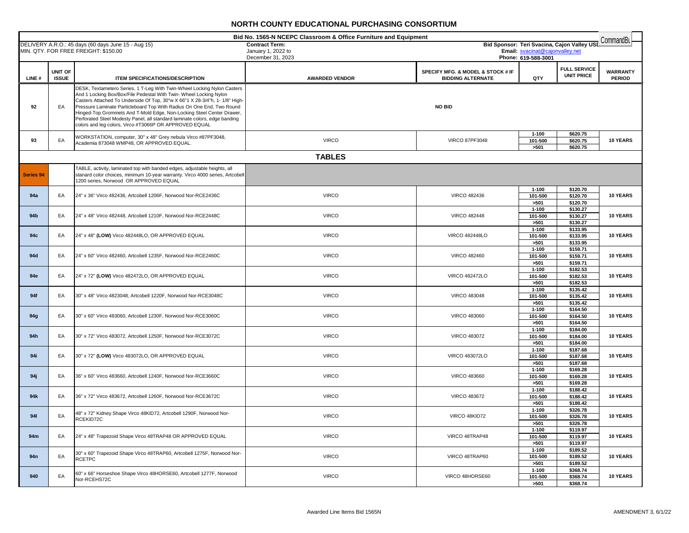| Bid No. 1565-N NCEPC Classroom & Office Furniture and Equipment<br>CommandBu |                         |                                                                                                                                                                                                                                                                                                                                                                                                                                                                                                                        |                                         |                                                               |                                                                  |                                  |  |
|------------------------------------------------------------------------------|-------------------------|------------------------------------------------------------------------------------------------------------------------------------------------------------------------------------------------------------------------------------------------------------------------------------------------------------------------------------------------------------------------------------------------------------------------------------------------------------------------------------------------------------------------|-----------------------------------------|---------------------------------------------------------------|------------------------------------------------------------------|----------------------------------|--|
|                                                                              |                         | DELIVERY A.R.O.: 45 days (60 days June 15 - Aug 15)                                                                                                                                                                                                                                                                                                                                                                                                                                                                    | <b>Contract Term:</b>                   |                                                               | Bid Sponsor: Teri Svacina, Cajon Valley USL                      |                                  |  |
|                                                                              |                         | MIN. QTY. FOR FREE FREIGHT: \$150.00                                                                                                                                                                                                                                                                                                                                                                                                                                                                                   | January 1, 2022 to<br>December 31, 2023 |                                                               | Email: svacinat@cajonvalley.net<br>Phone: 619-588-3001           |                                  |  |
|                                                                              |                         |                                                                                                                                                                                                                                                                                                                                                                                                                                                                                                                        |                                         |                                                               |                                                                  |                                  |  |
| LINE#                                                                        | UNIT OF<br><b>ISSUE</b> | <b>ITEM SPECIFICATIONS/DESCRIPTION</b>                                                                                                                                                                                                                                                                                                                                                                                                                                                                                 | <b>AWARDED VENDOR</b>                   | SPECIFY MFG. & MODEL & STOCK # IF<br><b>BIDDING ALTERNATE</b> | <b>FULL SERVICE</b><br><b>UNIT PRICE</b><br>QTY                  | <b>WARRANTY</b><br><b>PERIOD</b> |  |
| 92                                                                           | EA                      | DESK, Textametero Series, 1 T-Leg With Twin-Wheel Locking Nylon Casters<br>And 1 Locking Box/Box/File Pedestal With Twin- Wheel Locking Nylon<br>Casters Attached To Underside Of Top, 30"w X 66"1 X 28-3/4"h, 1- 1/8" High-<br>Pressure Laminate Particleboard Top With Radius On One End, Two Round<br>Hinged-Top Grommets And T-Mold Edge, Non-Locking Steel Center Drawer,<br>Perforated Steel Modesty Panel, all standard laminate colors, edge banding<br>colors and leg colors, Virco #T3066P OR APPROVED EQUAL |                                         | <b>NO BID</b>                                                 |                                                                  |                                  |  |
| 93                                                                           | EA                      | WORKSTATION, computer, 30" x 48" Grey nebula Virco #87PF3048,<br>Academia 873048 WMP48, OR APPROVED EQUAL.                                                                                                                                                                                                                                                                                                                                                                                                             | <b>VIRCO</b>                            | <b>VIRCO 87PF3048</b>                                         | \$620.75<br>$1 - 100$<br>101-500<br>\$620.75<br>>501<br>\$620.75 | <b>10 YEARS</b>                  |  |
|                                                                              |                         |                                                                                                                                                                                                                                                                                                                                                                                                                                                                                                                        | <b>TABLES</b>                           |                                                               |                                                                  |                                  |  |
| Series 94                                                                    |                         | TABLE, activity, laminated top with banded edges, adjustable heights, all<br>stanard color choices, minimum 10-year warranty. Virco 4000 series, Artcobell<br>1200 series, Norwood OR APPROVED EQUAL                                                                                                                                                                                                                                                                                                                   |                                         |                                                               |                                                                  |                                  |  |
| 94a                                                                          | EA                      | 24" x 36" Virco 482436, Artcobell 1206F, Norwood Nor-RCE2436C                                                                                                                                                                                                                                                                                                                                                                                                                                                          | <b>VIRCO</b>                            | <b>VIRCO 482436</b>                                           | $1 - 100$<br>\$120.70<br>101-500<br>\$120.70<br>>501<br>\$120.70 | 10 YEARS                         |  |
| 94 <sub>b</sub>                                                              | EA                      | 24" x 48" Virco 482448, Artcobell 1210F, Norwood Nor-RCE2448C                                                                                                                                                                                                                                                                                                                                                                                                                                                          | <b>VIRCO</b>                            | <b>VIRCO 482448</b>                                           | \$130.27<br>$1 - 100$<br>101-500<br>\$130.27<br>\$130.27<br>>501 | <b>10 YEARS</b>                  |  |
| 94c                                                                          | EA                      | 24" x 48" (LOW) Virco 482448LO, OR APPROVED EQUAL                                                                                                                                                                                                                                                                                                                                                                                                                                                                      | <b>VIRCO</b>                            | <b>VIRCO 482448LO</b>                                         | $1 - 100$<br>\$133.95<br>101-500<br>\$133.95<br>\$133.95<br>>501 | <b>10 YEARS</b>                  |  |
| 94d                                                                          | EA                      | 24" x 60" Virco 482460, Artcobell 1235F, Norwood Nor-RCE2460C                                                                                                                                                                                                                                                                                                                                                                                                                                                          | <b>VIRCO</b>                            | <b>VIRCO 482460</b>                                           | \$159.71<br>$1 - 100$<br>101-500<br>\$159.71<br>>501<br>\$159.71 | 10 YEARS                         |  |
| 94e                                                                          | EA                      | 24" x 72" (LOW) Virco 482472LO, OR APPROVED EQUAL                                                                                                                                                                                                                                                                                                                                                                                                                                                                      | <b>VIRCO</b>                            | <b>VIRCO 482472LO</b>                                         | \$182.53<br>$1 - 100$<br>101-500<br>\$182.53<br>>501<br>\$182.53 | <b>10 YEARS</b>                  |  |
| 94f                                                                          | EA                      | 30" x 48" Virco 4823048, Artcobell 1220F, Norwood Nor-RCE3048C                                                                                                                                                                                                                                                                                                                                                                                                                                                         | <b>VIRCO</b>                            | <b>VIRCO 483048</b>                                           | $1 - 100$<br>\$135.42<br>101-500<br>\$135.42<br>>501<br>\$135.42 | <b>10 YEARS</b>                  |  |
| 94g                                                                          | EA                      | 30" x 60" Virco 483060, Artcobell 1230F, Norwood Nor-RCE3060C                                                                                                                                                                                                                                                                                                                                                                                                                                                          | <b>VIRCO</b>                            | <b>VIRCO 483060</b>                                           | $1 - 100$<br>\$164.50<br>101-500<br>\$164.50<br>>501<br>\$164.50 | 10 YEARS                         |  |
| 94h                                                                          | EA                      | 30" x 72" Virco 483072, Artcobell 1250F, Norwood Nor-RCE3072C                                                                                                                                                                                                                                                                                                                                                                                                                                                          | <b>VIRCO</b>                            | <b>VIRCO 483072</b>                                           | $1 - 100$<br>\$184.00<br>101-500<br>\$184.00<br>>501<br>\$184.00 | 10 YEARS                         |  |
| 94i                                                                          | EA                      | 30" x 72" (LOW) Virco 483072LO, OR APPROVED EQUAL                                                                                                                                                                                                                                                                                                                                                                                                                                                                      | <b>VIRCO</b>                            | <b>VIRCO 483072LO</b>                                         | \$187.68<br>$1 - 100$<br>\$187.68<br>101-500<br>>501<br>\$187.68 | 10 YEARS                         |  |
| 94 j                                                                         | EA                      | 36" x 60" Virco 483660, Artcobell 1240F, Norwood Nor-RCE3660C                                                                                                                                                                                                                                                                                                                                                                                                                                                          | <b>VIRCO</b>                            | <b>VIRCO 483660</b>                                           | $1 - 100$<br>\$169.28<br>101-500<br>\$169.28<br>>501<br>\$169.28 | 10 YEARS                         |  |
| 94 <sub>k</sub>                                                              | EA                      | 36" x 72" Virco 483672, Artcobell 1260F, Norwood Nor-RCE3672C                                                                                                                                                                                                                                                                                                                                                                                                                                                          | <b>VIRCO</b>                            | <b>VIRCO 483672</b>                                           | $1 - 100$<br>\$188.42<br>101-500<br>\$188.42<br>\$188.42<br>>501 | 10 YEARS                         |  |
| 941                                                                          | EA                      | 48" x 72" Kidney Shape Virco 48KID72, Artcobell 1290F, Norwood Nor-<br>RCEKID72C                                                                                                                                                                                                                                                                                                                                                                                                                                       | <b>VIRCO</b>                            | VIRCO 48KID72                                                 | $1 - 100$<br>\$326.78<br>101-500<br>\$326.78<br>\$326.78<br>>501 | 10 YEARS                         |  |
| 94m                                                                          | EA                      | 24" x 48" Trapezoid Shape Virco 48TRAP48 OR APPROVED EQUAL                                                                                                                                                                                                                                                                                                                                                                                                                                                             | <b>VIRCO</b>                            | VIRCO 48TRAP48                                                | $1 - 100$<br>\$119.97<br>101-500<br>\$119.97<br>\$119.97<br>>501 | 10 YEARS                         |  |
| 94 <sub>n</sub>                                                              | EA                      | 30" x 60" Trapezoid Shape Virco 48TRAP60, Artcobell 1275F, Norwood Nor-<br><b>RCETPC</b>                                                                                                                                                                                                                                                                                                                                                                                                                               | <b>VIRCO</b>                            | VIRCO 48TRAP60                                                | $1 - 100$<br>\$189.52<br>101-500<br>\$189.52<br>\$189.52<br>>501 | 10 YEARS                         |  |
| 940                                                                          | EA                      | 60" x 66" Horseshoe Shape Virco 48HORSE60, Artcobell 1277F, Norwood<br>Nor-RCEHS72C                                                                                                                                                                                                                                                                                                                                                                                                                                    | <b>VIRCO</b>                            | VIRCO 48HORSE60                                               | $1 - 100$<br>\$368.74<br>\$368.74<br>101-500<br>\$368.74<br>>501 | <b>10 YEARS</b>                  |  |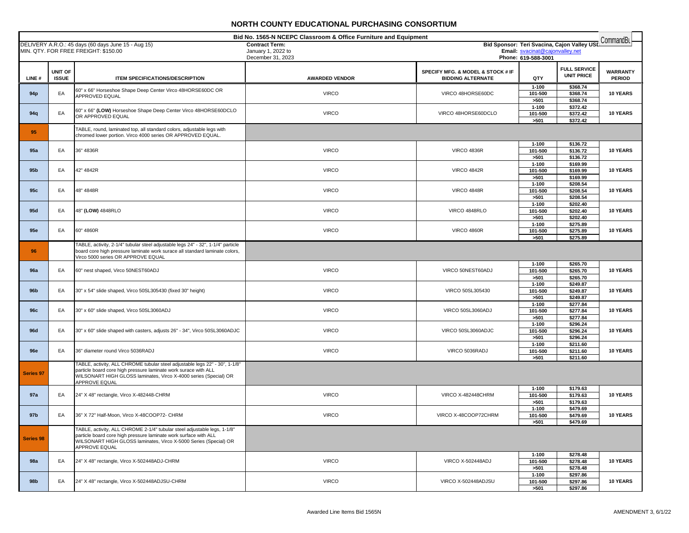| Bid No. 1565-N NCEPC Classroom & Office Furniture and Equipment<br>CommandBL<br>Bid Sponsor: Teri Svacina, Cajon Valley USL |                         |                                                                                                                                                                                                                                     |                                             |                                                               |                                 |                                          |                                  |
|-----------------------------------------------------------------------------------------------------------------------------|-------------------------|-------------------------------------------------------------------------------------------------------------------------------------------------------------------------------------------------------------------------------------|---------------------------------------------|---------------------------------------------------------------|---------------------------------|------------------------------------------|----------------------------------|
|                                                                                                                             |                         | DELIVERY A.R.O.: 45 days (60 days June 15 - Aug 15)<br>MIN. QTY. FOR FREE FREIGHT: \$150.00                                                                                                                                         | <b>Contract Term:</b><br>January 1, 2022 to |                                                               | Email: svacinat@cajonvalley.net |                                          |                                  |
|                                                                                                                             |                         |                                                                                                                                                                                                                                     | December 31, 2023                           |                                                               | Phone: 619-588-3001             |                                          |                                  |
| LINE#                                                                                                                       | UNIT OF<br><b>ISSUE</b> | <b>ITEM SPECIFICATIONS/DESCRIPTION</b>                                                                                                                                                                                              | <b>AWARDED VENDOR</b>                       | SPECIFY MFG. & MODEL & STOCK # IF<br><b>BIDDING ALTERNATE</b> | QTY                             | <b>FULL SERVICE</b><br><b>UNIT PRICE</b> | <b>WARRANTY</b><br><b>PERIOD</b> |
| 94 <sub>p</sub>                                                                                                             | EA                      | 60" x 66" Horseshoe Shape Deep Center Virco 48HORSE60DC OR<br>APPROVED EQUAL                                                                                                                                                        | <b>VIRCO</b>                                | VIRCO 48HORSE60DC                                             | 1-100<br>101-500<br>>501        | \$368.74<br>\$368.74<br>\$368.74         | 10 YEARS                         |
| 94q                                                                                                                         | EA                      | 60" x 66" (LOW) Horseshoe Shape Deep Center Virco 48HORSE60DCLO<br>OR APPROVED EQUAL                                                                                                                                                | <b>VIRCO</b>                                | VIRCO 48HORSE60DCLO                                           | $1 - 100$<br>101-500<br>>501    | \$372.42<br>\$372.42<br>\$372.42         | 10 YEARS                         |
| 95                                                                                                                          |                         | TABLE, round, laminated top, all standard colors, adjustable legs with<br>chromed lower portion. Virco 4000 series OR APPROVED EQUAL.                                                                                               |                                             |                                                               |                                 |                                          |                                  |
| 95a                                                                                                                         | EA                      | 36" 4836R                                                                                                                                                                                                                           | <b>VIRCO</b>                                | <b>VIRCO 4836R</b>                                            | $1 - 100$<br>101-500<br>>501    | \$136.72<br>\$136.72<br>\$136.72         | 10 YEARS                         |
| 95 <sub>b</sub>                                                                                                             | EA                      | 42" 4842R                                                                                                                                                                                                                           | <b>VIRCO</b>                                | <b>VIRCO 4842R</b>                                            | $1 - 100$<br>101-500<br>>501    | \$169.99<br>\$169.99<br>\$169.99         | 10 YEARS                         |
| 95c                                                                                                                         | EA                      | 48" 4848R                                                                                                                                                                                                                           | <b>VIRCO</b>                                | <b>VIRCO 4848R</b>                                            | $1 - 100$<br>101-500<br>>501    | \$208.54<br>\$208.54<br>\$208.54         | 10 YEARS                         |
| 95d                                                                                                                         | EA                      | 48" (LOW) 4848RLO                                                                                                                                                                                                                   | <b>VIRCO</b>                                | VIRCO 4848RLO                                                 | $1 - 100$<br>101-500<br>>501    | \$202.40<br>\$202.40<br>\$202.40         | 10 YEARS                         |
| 95e                                                                                                                         | EA                      | 60" 4860R                                                                                                                                                                                                                           | <b>VIRCO</b>                                | <b>VIRCO 4860R</b>                                            | $1 - 100$<br>101-500<br>>501    | \$275.89<br>\$275.89<br>\$275.89         | 10 YEARS                         |
| 96                                                                                                                          |                         | TABLE, activity, 2-1/4" tubular steel adjustable legs 24" - 32", 1-1/4" particle<br>board core high pressure laminate work surace all standard laminate colors,<br>Virco 5000 series OR APPROVE EQUAL                               |                                             |                                                               |                                 |                                          |                                  |
| <b>96a</b>                                                                                                                  | EA                      | 60" nest shaped, Virco 50NEST60ADJ                                                                                                                                                                                                  | <b>VIRCO</b>                                | VIRCO 50NEST60ADJ                                             | 1-100<br>101-500<br>>501        | \$265.70<br>\$265.70<br>\$265.70         | <b>10 YEARS</b>                  |
| 96 <sub>b</sub>                                                                                                             | EA                      | 30" x 54" slide shaped, Virco 50SL305430 (fixed 30" height)                                                                                                                                                                         | <b>VIRCO</b>                                | VIRCO 50SL305430                                              | $1 - 100$<br>101-500<br>>501    | \$249.87<br>\$249.87<br>\$249.87         | 10 YEARS                         |
| 96c                                                                                                                         | EA                      | 30" x 60" slide shaped, Virco 50SL3060ADJ                                                                                                                                                                                           | <b>VIRCO</b>                                | VIRCO 50SL3060ADJ                                             | $1 - 100$<br>101-500<br>>501    | \$277.84<br>\$277.84<br>\$277.84         | 10 YEARS                         |
| <b>96d</b>                                                                                                                  | EA                      | 30" x 60" slide shaped with casters, adjusts 26" - 34", Virco 50SL3060ADJC                                                                                                                                                          | <b>VIRCO</b>                                | VIRCO 50SL3060ADJC                                            | $1 - 100$<br>101-500<br>>501    | \$296.24<br>\$296.24<br>\$296.24         | 10 YEARS                         |
| <b>96e</b>                                                                                                                  | EA                      | 36" diameter round Virco 5036RADJ                                                                                                                                                                                                   | <b>VIRCO</b>                                | VIRCO 5036RADJ                                                | $1 - 100$<br>101-500<br>>501    | \$211.60<br>\$211.60<br>\$211.60         | 10 YEARS                         |
| Series 97                                                                                                                   |                         | TABLE, activity, ALL CHROME tubular steel adjustable legs 22" - 30", 1-1/8"<br>particle board core high pressure laminate work surace with ALL<br>WILSONART HIGH GLOSS laminates, Virco X-4000 series (Special) OR<br>APPROVE EQUAL |                                             |                                                               |                                 |                                          |                                  |
| 97a                                                                                                                         | EA                      | 24" X 48" rectangle, Virco X-482448-CHRM                                                                                                                                                                                            | <b>VIRCO</b>                                | <b>VIRCO X-482448CHRM</b>                                     | $1 - 100$<br>101-500<br>>501    | \$179.63<br>\$179.63<br>\$179.63         | 10 YEARS                         |
| 97b                                                                                                                         | EA                      | 36" X 72" Half-Moon, Virco X-48COOP72- CHRM                                                                                                                                                                                         | <b>VIRCO</b>                                | VIRCO X-48COOP72CHRM                                          | $1 - 100$<br>101-500<br>>501    | \$479.69<br>\$479.69<br>\$479.69         | 10 YEARS                         |
| Series 98                                                                                                                   |                         | TABLE, activity, ALL CHROME 2-1/4" tubular steel adjustable legs, 1-1/8"<br>particle board core high pressure laminate work surface with ALL<br>WILSONART HIGH GLOSS laminates, Virco X-5000 Series (Special) OR<br>APPROVE EQUAL   |                                             |                                                               |                                 |                                          |                                  |
| <b>98a</b>                                                                                                                  | EA                      | 24" X 48" rectangle, Virco X-502448ADJ-CHRM                                                                                                                                                                                         | <b>VIRCO</b>                                | <b>VIRCO X-502448ADJ</b>                                      | 1-100<br>101-500<br>>501        | \$278.48<br>\$278.48<br>\$278.48         | 10 YEARS                         |
| 98b                                                                                                                         | EA                      | 24" X 48" rectangle, Virco X-502448ADJSU-CHRM                                                                                                                                                                                       | <b>VIRCO</b>                                | VIRCO X-502448ADJSU                                           | $1 - 100$<br>101-500<br>>501    | \$297.86<br>\$297.86<br>\$297.86         | <b>10 YEARS</b>                  |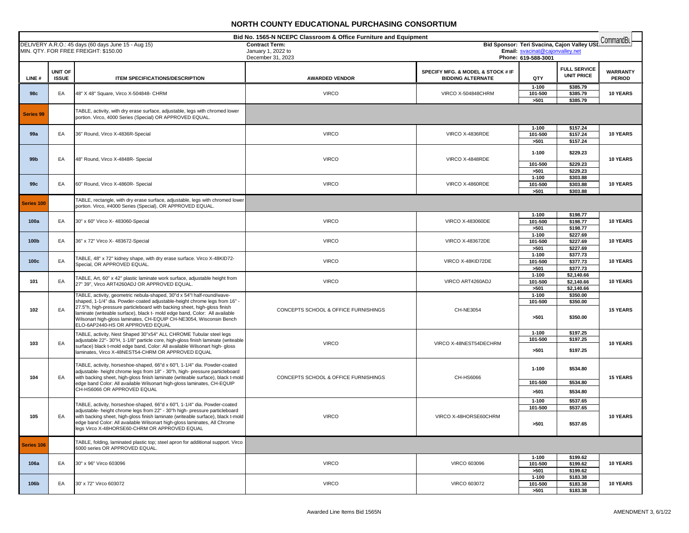| Bid No. 1565-N NCEPC Classroom & Office Furniture and Equipment<br>CommandBu |                         |                                                                                                                                                                                                                                                                                                                                                                                                                             |                                             |                                                               |                                      |                                              |                                  |
|------------------------------------------------------------------------------|-------------------------|-----------------------------------------------------------------------------------------------------------------------------------------------------------------------------------------------------------------------------------------------------------------------------------------------------------------------------------------------------------------------------------------------------------------------------|---------------------------------------------|---------------------------------------------------------------|--------------------------------------|----------------------------------------------|----------------------------------|
|                                                                              |                         | DELIVERY A.R.O.: 45 days (60 days June 15 - Aug 15)<br>MIN. QTY. FOR FREE FREIGHT: \$150.00                                                                                                                                                                                                                                                                                                                                 | <b>Contract Term:</b><br>January 1, 2022 to |                                                               | Email: svacinat@cajonvalley.net      | Bid Sponsor: Teri Svacina, Cajon Valley USD  |                                  |
|                                                                              |                         |                                                                                                                                                                                                                                                                                                                                                                                                                             | December 31, 2023                           |                                                               | Phone: 619-588-3001                  |                                              |                                  |
| LINE#                                                                        | UNIT OF<br><b>ISSUE</b> | <b>ITEM SPECIFICATIONS/DESCRIPTION</b>                                                                                                                                                                                                                                                                                                                                                                                      | <b>AWARDED VENDOR</b>                       | SPECIFY MFG. & MODEL & STOCK # IF<br><b>BIDDING ALTERNATE</b> | QTY                                  | <b>FULL SERVICE</b><br><b>UNIT PRICE</b>     | <b>WARRANTY</b><br><b>PERIOD</b> |
| 98c                                                                          | EA                      | 48" X 48" Square, Virco X-504848- CHRM                                                                                                                                                                                                                                                                                                                                                                                      | <b>VIRCO</b>                                | <b>VIRCO X-504848CHRM</b>                                     | $1 - 100$<br>101-500<br>>501         | \$385.79<br>\$385.79<br>\$385.79             | 10 YEARS                         |
| <b>Series 99</b>                                                             |                         | TABLE, activity, with dry erase surface, adjustable, legs with chromed lower<br>portion. Virco, 4000 Series (Special) OR APPROVED EQUAL.                                                                                                                                                                                                                                                                                    |                                             |                                                               |                                      |                                              |                                  |
| 99a                                                                          | EA                      | 36" Round, Virco X-4836R-Special                                                                                                                                                                                                                                                                                                                                                                                            | <b>VIRCO</b>                                | VIRCO X-4836RDE                                               | $1 - 100$<br>101-500<br>>501         | \$157.24<br>\$157.24<br>\$157.24             | 10 YEARS                         |
| 99 <sub>b</sub>                                                              | EA                      | 48" Round, Virco X-4848R- Special                                                                                                                                                                                                                                                                                                                                                                                           | <b>VIRCO</b>                                | VIRCO X-4848RDE                                               | $1 - 100$<br>101-500                 | \$229.23<br>\$229.23                         | 10 YEARS                         |
| 99c                                                                          | EA                      | 60" Round, Virco X-4860R- Special                                                                                                                                                                                                                                                                                                                                                                                           | <b>VIRCO</b>                                | VIRCO X-4860RDE                                               | >501<br>$1 - 100$<br>101-500<br>>501 | \$229.23<br>\$303.88<br>\$303.88<br>\$303.88 | <b>10 YEARS</b>                  |
| Series 100                                                                   |                         | TABLE, rectangle, with dry erase surface, adjustable, legs with chromed lower<br>portion. Virco, #4000 Series (Special), OR APPROVED EQUAL                                                                                                                                                                                                                                                                                  |                                             |                                                               |                                      |                                              |                                  |
| 100a                                                                         | EA                      | 30" x 60" Virco X- 483060-Special                                                                                                                                                                                                                                                                                                                                                                                           | <b>VIRCO</b>                                | <b>VIRCO X-483060DE</b>                                       | $1 - 100$<br>101-500<br>>501         | \$198.77<br>\$198.77<br>\$198.77             | 10 YEARS                         |
| 100 <sub>b</sub>                                                             | EA                      | 36" x 72" Virco X- 483672-Special                                                                                                                                                                                                                                                                                                                                                                                           | <b>VIRCO</b>                                | <b>VIRCO X-483672DE</b>                                       | $1 - 100$<br>101-500<br>>501         | \$227.69<br>\$227.69<br>\$227.69             | 10 YEARS                         |
| 100c                                                                         | EA                      | TABLE, 48" x 72" kidney shape, with dry erase surface. Virco X-48KID72-<br>Special, OR APPROVED EQUAL.                                                                                                                                                                                                                                                                                                                      | <b>VIRCO</b>                                | VIRCO X-48KID72DE                                             | $1 - 100$<br>101-500<br>>501         | \$377.73<br>\$377.73<br>\$377.73             | <b>10 YEARS</b>                  |
| 101                                                                          | EA                      | TABLE, Art, 60" x 42" plastic laminate work surface, adjustable height from<br>27" 39", Virco ART4260ADJ OR APPROVED EQUAL.                                                                                                                                                                                                                                                                                                 | <b>VIRCO</b>                                | VIRCO ART4260ADJ                                              | $1 - 100$<br>101-500<br>>501         | \$2,140.66<br>\$2,140.66<br>\$2,140.66       | 10 YEARS                         |
| 102                                                                          | EA                      | TABLE, activity, geometric nebula-shaped, 30"d x 54"l half-round/wave-<br>shaped, 1-1/4" dia. Powder-coated adjustable-height chrome legs from 16" -<br>27.5"h, high-pressure particleboard with backing sheet, high-gloss finish<br>laminate (writeable surface), black t- mold edge band, Color: All available<br>Wilsonart high-gloss laminates, CH-EQUIP CH-NE3054, Wisconsin Bench<br>ELO-6AP2440-HS OR APPROVED EQUAL | CONCEPTS SCHOOL & OFFICE FURNISHINGS        | CH-NE3054                                                     | $1 - 100$<br>101-500<br>>501         | \$350.00<br>\$350.00<br>\$350.00             | <b>15 YEARS</b>                  |
| 103                                                                          | EA                      | TABLE, activity, Nest Shaped 30"x54" ALL CHROME Tubular steel legs<br>adjustable 22"- 30"H, 1-1/8" particle core, high-gloss finish laminate (writeable<br>surface) black t-mold edge band, Color: All available Wilsonart high- gloss<br>laminates, Virco X-48NEST54-CHRM OR APPROVED EQUAL                                                                                                                                | <b>VIRCO</b>                                | VIRCO X-48NEST54DECHRM                                        | $1 - 100$<br>101-500<br>>501         | \$197.25<br>\$197.25<br>\$197.25             | <b>10 YEARS</b>                  |
| 104                                                                          | EA                      | TABLE, activity, horseshoe-shaped, 66"d x 60"l, 1-1/4" dia. Powder-coated<br>adjustable- height chrome legs from 18" - 30"h, high- pressure particleboard<br>with backing sheet, high-gloss finish laminate (writeable surface), black t-mold                                                                                                                                                                               | CONCEPTS SCHOOL & OFFICE FURNISHINGS        | CH-HS6066                                                     | $1 - 100$<br>101-500                 | \$534.80<br>\$534.80                         | <b>15 YEARS</b>                  |
|                                                                              |                         | edge band Color: All available Wilsonart high-gloss laminates, CH-EQUIP<br>CH-HS6066 OR APPROVED EQUAL                                                                                                                                                                                                                                                                                                                      |                                             |                                                               | >501<br>$1 - 100$                    | \$534.80<br>\$537.65                         |                                  |
| 105                                                                          | EA                      | TABLE, activity, horseshoe-shaped, 66"d x 60"l, 1-1/4" dia. Powder-coated<br>adjustable- height chrome legs from 22" - 30"h high- pressure particleboard<br>with backing sheet, high-gloss finish laminate (writeable surface), black t-mold<br>edge band Color: All available Wilsonart high-gloss laminates, All Chrome<br>legs Virco X-48HORSE60-CHRM OR APPROVED EQUAL                                                  | <b>VIRCO</b>                                | VIRCO X-48HORSE60CHRM                                         | 101-500<br>>501                      | \$537.65<br>\$537.65                         | <b>10 YEARS</b>                  |
| Series 106                                                                   |                         | TABLE, folding, laminated plastic top; steel apron for additional support. Virco<br>6000 series OR APPROVED EQUAL.                                                                                                                                                                                                                                                                                                          |                                             |                                                               |                                      |                                              |                                  |
| 106a                                                                         | EA                      | 30" x 96" Virco 603096                                                                                                                                                                                                                                                                                                                                                                                                      | <b>VIRCO</b>                                | <b>VIRCO 603096</b>                                           | $1 - 100$<br>101-500<br>>501         | \$199.62<br>\$199.62<br>\$199.62             | 10 YEARS                         |
| 106b                                                                         | EA                      | 30' x 72" Virco 603072                                                                                                                                                                                                                                                                                                                                                                                                      | <b>VIRCO</b>                                | <b>VIRCO 603072</b>                                           | $1 - 100$<br>101-500<br>>501         | \$183.38<br>\$183.38<br>\$183.38             | 10 YEARS                         |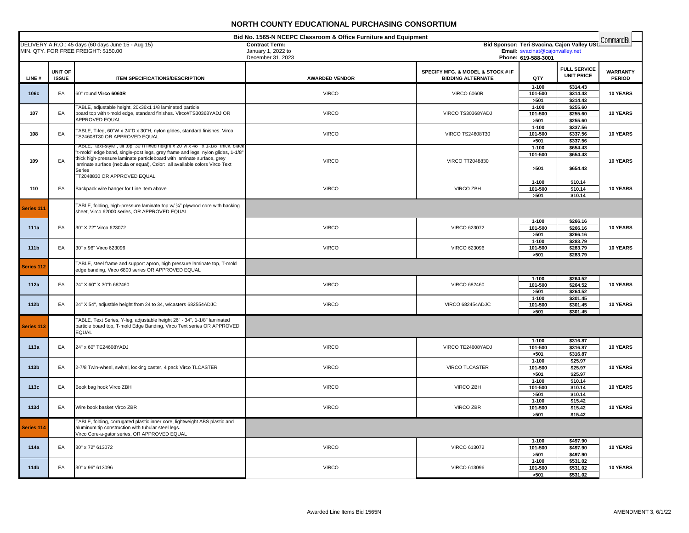| Bid No. 1565-N NCEPC Classroom & Office Furniture and Equipment<br>CommandBL<br>Bid Sponsor: Teri Svacina, Cajon Valley USL |                         |                                                                                                                                                                                                                                                                                                                                                                          |                                             |                                                               |                                 |                                          |                                  |  |
|-----------------------------------------------------------------------------------------------------------------------------|-------------------------|--------------------------------------------------------------------------------------------------------------------------------------------------------------------------------------------------------------------------------------------------------------------------------------------------------------------------------------------------------------------------|---------------------------------------------|---------------------------------------------------------------|---------------------------------|------------------------------------------|----------------------------------|--|
|                                                                                                                             |                         | DELIVERY A.R.O.: 45 days (60 days June 15 - Aug 15)<br>MIN. QTY. FOR FREE FREIGHT: \$150.00                                                                                                                                                                                                                                                                              | <b>Contract Term:</b><br>January 1, 2022 to |                                                               | Email: svacinat@cajonvalley.net |                                          |                                  |  |
|                                                                                                                             |                         |                                                                                                                                                                                                                                                                                                                                                                          | December 31, 2023                           |                                                               | Phone: 619-588-3001             |                                          |                                  |  |
| LINE#                                                                                                                       | UNIT OF<br><b>ISSUE</b> | <b>ITEM SPECIFICATIONS/DESCRIPTION</b>                                                                                                                                                                                                                                                                                                                                   | <b>AWARDED VENDOR</b>                       | SPECIFY MFG. & MODEL & STOCK # IF<br><b>BIDDING ALTERNATE</b> | QTY                             | <b>FULL SERVICE</b><br><b>UNIT PRICE</b> | <b>WARRANTY</b><br><b>PERIOD</b> |  |
| 106c                                                                                                                        | EA                      | 60" round Virco 6060R                                                                                                                                                                                                                                                                                                                                                    | <b>VIRCO</b>                                | <b>VIRCO 6060R</b>                                            | $1 - 100$<br>101-500<br>>501    | \$314.43<br>\$314.43<br>\$314.43         | 10 YEARS                         |  |
| 107                                                                                                                         | EA                      | TABLE, adjustable height, 20x36x1 1/8 laminated particle<br>board top with t-mold edge, standard finishes. Virco#TS30368YADJ OR<br>APPROVED EQUAL                                                                                                                                                                                                                        | <b>VIRCO</b>                                | VIRCO TS30368YADJ                                             | $1 - 100$<br>101-500<br>>501    | \$255.60<br>\$255.60<br>\$255.60         | 10 YEARS                         |  |
| 108                                                                                                                         | EA                      | TABLE, T-leg, 60"W x 24"D x 30"H, nylon glides, standard finishes. Virco<br>TS24608T30 OR APPROVED EQUAL                                                                                                                                                                                                                                                                 | <b>VIRCO</b>                                | VIRCO TS24608T30                                              | $1 - 100$<br>101-500<br>>501    | \$337.56<br>\$337.56<br>\$337.56         | <b>10 YEARS</b>                  |  |
| 109                                                                                                                         | EA                      | TABLE, "text-style", tilt top, 30"h fixed height x 20"w x 48"l x 1-1/8" thick, blacl<br>'t-mold" edge band, single-post legs, grey frame and legs, nylon glides, 1-1/8"<br>thick high-pressure laminate particleboard with laminate surface, grey<br>laminate surface (nebula or equal), Color: all available colors Virco Text<br>Series<br>TT2048830 OR APPROVED EQUAL | <b>VIRCO</b>                                | <b>VIRCO TT2048830</b>                                        | $1 - 100$<br>101-500<br>>501    | \$654.43<br>\$654.43<br>\$654.43         | 10 YEARS                         |  |
| 110                                                                                                                         | EA                      | Backpack wire hanger for Line Item above                                                                                                                                                                                                                                                                                                                                 | <b>VIRCO</b>                                | VIRCO ZBH                                                     | $1 - 100$<br>101-500<br>>501    | \$10.14<br>\$10.14<br>\$10.14            | 10 YEARS                         |  |
| Series 111                                                                                                                  |                         | TABLE, folding, high-pressure laminate top w/ 3/4" plywood core with backing<br>sheet, Virco 62000 series, OR APPROVED EQUAL                                                                                                                                                                                                                                             |                                             |                                                               |                                 |                                          |                                  |  |
| 111a                                                                                                                        | EA                      | 30" X 72" Virco 623072                                                                                                                                                                                                                                                                                                                                                   | <b>VIRCO</b>                                | <b>VIRCO 623072</b>                                           | $1 - 100$<br>101-500<br>>501    | \$266.16<br>\$266.16<br>\$266.16         | 10 YEARS                         |  |
| 111b                                                                                                                        | EA                      | 30" x 96" Virco 623096                                                                                                                                                                                                                                                                                                                                                   | <b>VIRCO</b>                                | <b>VIRCO 623096</b>                                           | $1 - 100$<br>101-500<br>>501    | \$283.79<br>\$283.79<br>\$283.79         | 10 YEARS                         |  |
| Series 112                                                                                                                  |                         | TABLE, steel frame and support apron, high pressure laminate top, T-mold<br>edge banding, Virco 6800 series OR APPROVED EQUAL                                                                                                                                                                                                                                            |                                             |                                                               |                                 |                                          |                                  |  |
| 112a                                                                                                                        | EA                      | 24" X 60" X 30"h 682460                                                                                                                                                                                                                                                                                                                                                  | <b>VIRCO</b>                                | <b>VIRCO 682460</b>                                           | $1 - 100$<br>101-500<br>>501    | \$264.52<br>\$264.52<br>\$264.52         | 10 YEARS                         |  |
| 112b                                                                                                                        | EA                      | 24" X 54", adjustble height from 24 to 34, w/casters 682554ADJC                                                                                                                                                                                                                                                                                                          | <b>VIRCO</b>                                | VIRCO 682454ADJC                                              | $1 - 100$<br>101-500<br>>501    | \$301.45<br>\$301.45<br>\$301.45         | 10 YEARS                         |  |
| Series 113                                                                                                                  |                         | TABLE, Text Series, Y-leg, adjustable height 26" - 34", 1-1/8" laminated<br>particle board top, T-mold Edge Banding, Virco Text series OR APPROVED<br><b>EQUAL</b>                                                                                                                                                                                                       |                                             |                                                               |                                 |                                          |                                  |  |
| 113a                                                                                                                        | EA                      | 24" x 60" TE24608YADJ                                                                                                                                                                                                                                                                                                                                                    | <b>VIRCO</b>                                | VIRCO TE24608YADJ                                             | $1 - 100$<br>101-500<br>>501    | \$316.87<br>\$316.87<br>\$316.87         | 10 YEARS                         |  |
| 113b                                                                                                                        | EA                      | 2-7/8 Twin-wheel, swivel, locking caster, 4 pack Virco TLCASTER                                                                                                                                                                                                                                                                                                          | <b>VIRCO</b>                                | VIRCO TLCASTER                                                | $1 - 100$<br>101-500<br>>501    | \$25.97<br>\$25.97<br>\$25.97            | 10 YEARS                         |  |
| 113c                                                                                                                        | EA                      | Book bag hook Virco ZBH                                                                                                                                                                                                                                                                                                                                                  | <b>VIRCO</b>                                | VIRCO ZBH                                                     | $1 - 100$<br>101-500<br>>501    | \$10.14<br>\$10.14<br>\$10.14            | 10 YEARS                         |  |
| 113d                                                                                                                        | EA                      | Wire book basket Virco ZBR                                                                                                                                                                                                                                                                                                                                               | <b>VIRCO</b>                                | VIRCO ZBR                                                     | $1 - 100$<br>101-500<br>>501    | \$15.42<br>\$15.42<br>\$15.42            | 10 YEARS                         |  |
| Series 114                                                                                                                  |                         | TABLE, folding, corrugated plastic inner core, lightweight ABS plastic and<br>aluminum tip construction with tubular steel legs.<br>Virco Core-a-gator series, OR APPROVED EQUAL                                                                                                                                                                                         |                                             |                                                               |                                 |                                          |                                  |  |
| 114a                                                                                                                        | EA                      | 30" x 72" 613072                                                                                                                                                                                                                                                                                                                                                         | <b>VIRCO</b>                                | <b>VIRCO 613072</b>                                           | $1 - 100$<br>101-500<br>>501    | \$497.90<br>\$497.90<br>\$497.90         | 10 YEARS                         |  |
| 114b                                                                                                                        | EA                      | 30" x 96" 613096                                                                                                                                                                                                                                                                                                                                                         | <b>VIRCO</b>                                | VIRCO 613096                                                  | $1 - 100$<br>101-500<br>>501    | \$531.02<br>\$531.02<br>\$531.02         | 10 YEARS                         |  |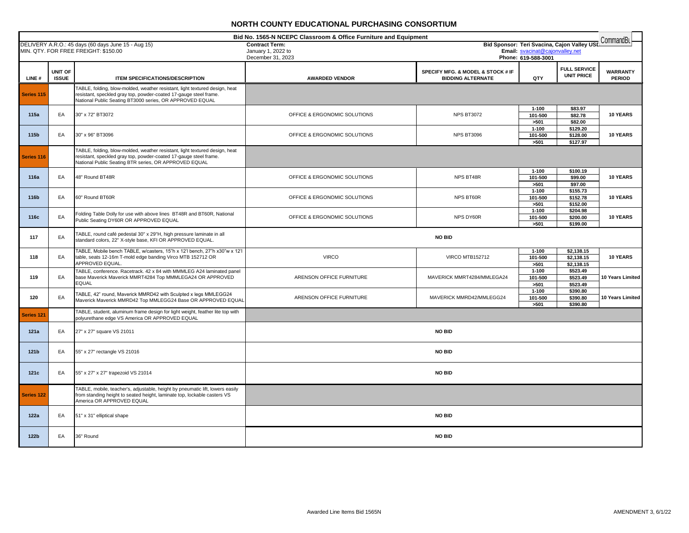|            |                         |                                                                                                                                                                                                              | Bid No. 1565-N NCEPC Classroom & Office Furniture and Equipment<br>Bid Sponsor: Teri Svacina, Cajon Valley USL Command Bu |                                                               |                                                        |                                          |                                  |
|------------|-------------------------|--------------------------------------------------------------------------------------------------------------------------------------------------------------------------------------------------------------|---------------------------------------------------------------------------------------------------------------------------|---------------------------------------------------------------|--------------------------------------------------------|------------------------------------------|----------------------------------|
|            |                         | DELIVERY A.R.O.: 45 days (60 days June 15 - Aug 15)<br>MIN. QTY. FOR FREE FREIGHT: \$150.00                                                                                                                  | <b>Contract Term:</b><br>January 1, 2022 to<br>December 31, 2023                                                          |                                                               | Email: svacinat@cajonvalley.net<br>Phone: 619-588-3001 |                                          |                                  |
| LINE#      | UNIT OF<br><b>ISSUE</b> | <b>ITEM SPECIFICATIONS/DESCRIPTION</b>                                                                                                                                                                       | <b>AWARDED VENDOR</b>                                                                                                     | SPECIFY MFG. & MODEL & STOCK # IF<br><b>BIDDING ALTERNATE</b> | QTY                                                    | <b>FULL SERVICE</b><br><b>UNIT PRICE</b> | <b>WARRANTY</b><br><b>PERIOD</b> |
| Series 115 |                         | TABLE, folding, blow-molded, weather resistant, light textured design, heat<br>resistant, speckled gray top, powder-coated 17-gauge steel frame.<br>National Public Seating BT3000 series, OR APPROVED EQUAL |                                                                                                                           |                                                               |                                                        |                                          |                                  |
| 115a       | EA                      | 30" x 72" BT3072                                                                                                                                                                                             | OFFICE & ERGONOMIC SOLUTIONS                                                                                              | <b>NPS BT3072</b>                                             | $1 - 100$<br>101-500<br>>501                           | \$83.97<br>\$82.78<br>\$82.00            | <b>10 YEARS</b>                  |
| 115b       | EA                      | 30" x 96" BT3096                                                                                                                                                                                             | OFFICE & ERGONOMIC SOLUTIONS                                                                                              | <b>NPS BT3096</b>                                             | $1 - 100$<br>101-500<br>>501                           | 5129.20<br>\$128.00<br>\$127.97          | 10 YEARS                         |
| Series 116 |                         | TABLE, folding, blow-molded, weather resistant, light textured design, heat<br>resistant, speckled gray top, powder-coated 17-gauge steel frame.<br>National Public Seating BTR series, OR APPROVED EQUAL    |                                                                                                                           |                                                               |                                                        |                                          |                                  |
| 116a       | EA                      | 48" Round BT48R                                                                                                                                                                                              | OFFICE & ERGONOMIC SOLUTIONS                                                                                              | NPS BT48R                                                     | $1 - 100$<br>101-500<br>>501                           | \$100.19<br>\$99.00<br>\$97.00           | 10 YEARS                         |
| 116b       | EA                      | 60" Round BT60R                                                                                                                                                                                              | OFFICE & ERGONOMIC SOLUTIONS                                                                                              | NPS BT60R                                                     | $1 - 100$<br>101-500<br>>501                           | \$155.73<br>\$152.78<br>\$152.00         | 10 YEARS                         |
| 116c       | EA                      | Folding Table Dolly for use with above lines BT48R and BT60R, National<br>Public Seating DY60R OR APPROVED EQUAL                                                                                             | OFFICE & ERGONOMIC SOLUTIONS                                                                                              | NPS DY60R                                                     | $1 - 100$<br>101-500<br>>501                           | \$204.98<br>\$200.00<br>\$199.00         | 10 YEARS                         |
| 117        | EA                      | TABLE, round café pedestal 30" x 29"H, high pressure laminate in all<br>standard colors, 22" X-style base, KFI OR APPROVED EQUAL.                                                                            |                                                                                                                           | <b>NO BID</b>                                                 |                                                        |                                          |                                  |
| 118        | EA                      | TABLE, Mobile bench TABLE, w/casters, 15"h x 12'l bench, 27"h x30"w x 12'l<br>table, seats 12-16m T-mold edge banding Virco MTB 152712 OR<br>APPROVED EQUAL.                                                 | <b>VIRCO</b>                                                                                                              | <b>VIRCO MTB152712</b>                                        | $1 - 100$<br>101-500<br>>501                           | \$2,138.15<br>\$2,138.15<br>\$2,138.15   | 10 YEARS                         |
| 119        | EA                      | TABLE, conference. Racetrack. 42 x 84 with MMMLEG A24 laminated panel<br>base Maverick Maverick MMRT4284 Top MMMLEGA24 OR APPROVED<br><b>EQUAL</b>                                                           | ARENSON OFFICE FURNITURE                                                                                                  | MAVERICK MMRT4284/MMLEGA24                                    | $1 - 100$<br>101-500<br>>501                           | \$523.49<br>\$523.49<br>\$523.49         | 10 Years Limited                 |
| 120        | EA                      | TABLE, 42" round, Maverick MMRD42 with Sculpted x legs MMLEGG24<br>Maverick Maverick MMRD42 Top MMLEGG24 Base OR APPROVED EQUAL                                                                              | ARENSON OFFICE FURNITURE                                                                                                  | MAVERICK MMRD42/MMLEGG24                                      | $1 - 100$<br>101-500<br>>501                           | \$390.80<br>\$390.80<br>\$390.80         | 10 Years Limited                 |
| Series 121 |                         | TABLE, student, aluminum frame design for light weight, feather lite top with<br>polyurethane edge VS America OR APPROVED EQUAL                                                                              |                                                                                                                           |                                                               |                                                        |                                          |                                  |
| 121a       | EA                      | 27" x 27" square VS 21011                                                                                                                                                                                    |                                                                                                                           | <b>NO BID</b>                                                 |                                                        |                                          |                                  |
| 121b       | EA                      | 55" x 27" rectangle VS 21016                                                                                                                                                                                 |                                                                                                                           | <b>NO BID</b>                                                 |                                                        |                                          |                                  |
| 121c       | EA                      | 55" x 27" x 27" trapezoid VS 21014                                                                                                                                                                           |                                                                                                                           | NO BID                                                        |                                                        |                                          |                                  |
| Series 122 |                         | TABLE, mobile, teacher's, adjustable, height by pneumatic lift, lowers easily<br>from standing height to seated height, laminate top, lockable casters VS<br>America OR APPROVED EQUAL                       |                                                                                                                           |                                                               |                                                        |                                          |                                  |
| 122a       | EA                      | 51" x 31" elliptical shape                                                                                                                                                                                   |                                                                                                                           | <b>NO BID</b>                                                 |                                                        |                                          |                                  |
| 122b       | EA                      | 36" Round                                                                                                                                                                                                    |                                                                                                                           | NO BID                                                        |                                                        |                                          |                                  |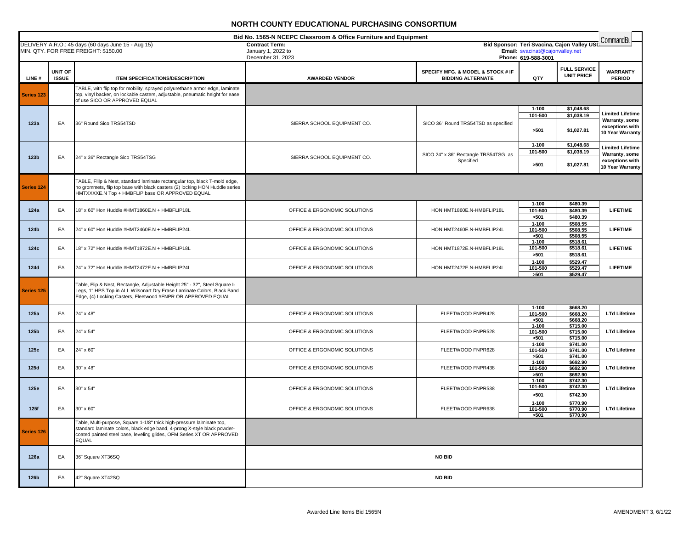|                  | Bid No. 1565-N NCEPC Classroom & Office Furniture and Equipment<br>CommandBu |                                                                                                                                                               |                                             |                                                               |                                 |                                             |                                     |
|------------------|------------------------------------------------------------------------------|---------------------------------------------------------------------------------------------------------------------------------------------------------------|---------------------------------------------|---------------------------------------------------------------|---------------------------------|---------------------------------------------|-------------------------------------|
|                  |                                                                              | DELIVERY A.R.O.: 45 days (60 days June 15 - Aug 15)<br>MIN. QTY. FOR FREE FREIGHT: \$150.00                                                                   | <b>Contract Term:</b><br>January 1, 2022 to |                                                               | Email: svacinat@cajonvalley.net | Bid Sponsor: Teri Svacina, Cajon Valley USD |                                     |
|                  |                                                                              |                                                                                                                                                               | December 31, 2023                           |                                                               | Phone: 619-588-3001             |                                             |                                     |
|                  |                                                                              |                                                                                                                                                               |                                             |                                                               |                                 | <b>FULL SERVICE</b>                         |                                     |
| LINE#            | UNIT OF<br><b>ISSUE</b>                                                      | <b>ITEM SPECIFICATIONS/DESCRIPTION</b>                                                                                                                        | <b>AWARDED VENDOR</b>                       | SPECIFY MFG. & MODEL & STOCK # IF<br><b>BIDDING ALTERNATE</b> | QTY                             | <b>UNIT PRICE</b>                           | <b>WARRANTY</b><br><b>PERIOD</b>    |
|                  |                                                                              |                                                                                                                                                               |                                             |                                                               |                                 |                                             |                                     |
| Series 123       |                                                                              | TABLE, with flip top for mobility, sprayed polyurethane armor edge, laminate<br>top, vinyl backer, on lockable casters, adjustable, pneumatic height for ease |                                             |                                                               |                                 |                                             |                                     |
|                  |                                                                              | of use SICO OR APPROVED EQUAL                                                                                                                                 |                                             |                                                               |                                 |                                             |                                     |
|                  |                                                                              |                                                                                                                                                               |                                             |                                                               | $1 - 100$<br>101-500            | \$1,048.68<br>\$1,038.19                    | <b>Limited Lifetime</b>             |
| 123a             | EA                                                                           | 36" Round Sico TRS54TSD                                                                                                                                       | SIERRA SCHOOL EQUIPMENT CO.                 | SICO 36" Round TRS54TSD as specified                          |                                 |                                             | Warranty, some                      |
|                  |                                                                              |                                                                                                                                                               |                                             |                                                               | >501                            | \$1,027.81                                  | exceptions with<br>10 Year Warranty |
|                  |                                                                              |                                                                                                                                                               |                                             |                                                               |                                 |                                             |                                     |
|                  |                                                                              |                                                                                                                                                               |                                             |                                                               | $1 - 100$<br>101-500            | \$1,048.68<br>\$1,038.19                    | <b>Limited Lifetime</b>             |
| 123 <sub>b</sub> | EA                                                                           | 24" x 36" Rectangle Sico TRS54TSG                                                                                                                             | SIERRA SCHOOL EQUIPMENT CO.                 | SICO 24" x 36" Rectangle TRS54TSG as<br>Specified             |                                 |                                             | Warranty, some<br>exceptions with   |
|                  |                                                                              |                                                                                                                                                               |                                             |                                                               | >501                            | \$1,027.81                                  | 10 Year Warranty                    |
|                  |                                                                              |                                                                                                                                                               |                                             |                                                               |                                 |                                             |                                     |
| Series 124       |                                                                              | TABLE, Flilp & Nest, standard laminate rectangular top, black T-mold edge,<br>no grommets, flip top base with black casters (2) locking HON Huddle series     |                                             |                                                               |                                 |                                             |                                     |
|                  |                                                                              | HMTXXXXE.N Top + HMBFLIP base OR APPROVED EQUAL                                                                                                               |                                             |                                                               |                                 |                                             |                                     |
|                  |                                                                              |                                                                                                                                                               |                                             |                                                               | $1 - 100$                       | \$480.39                                    |                                     |
| 124a             | EA                                                                           | 18" x 60" Hon Huddle #HMT1860E.N + HMBFLIP18L                                                                                                                 | OFFICE & ERGONOMIC SOLUTIONS                | HON HMT1860E.N-HMBFLIP18L                                     | 101-500                         | \$480.39                                    | <b>LIFETIME</b>                     |
|                  |                                                                              |                                                                                                                                                               |                                             |                                                               | >501<br>$1 - 100$               | \$480.39<br>\$508.55                        |                                     |
| 124b             | EA                                                                           | 24" x 60" Hon Huddle #HMT2460E.N + HMBFLIP24L                                                                                                                 | OFFICE & ERGONOMIC SOLUTIONS                | HON HMT2460E.N-HMBFLIP24L                                     | 101-500                         | \$508.55                                    | <b>LIFETIME</b>                     |
|                  |                                                                              |                                                                                                                                                               |                                             |                                                               | >501<br>$1 - 100$               | \$508.55<br>\$518.61                        |                                     |
| 124c             | EA                                                                           | 18" x 72" Hon Huddle #HMT1872E.N + HMBFLIP18L                                                                                                                 | OFFICE & ERGONOMIC SOLUTIONS                | HON HMT1872E.N-HMBFLIP18L                                     | 101-500                         | \$518.61                                    | <b>LIFETIME</b>                     |
|                  |                                                                              |                                                                                                                                                               |                                             |                                                               | >501                            | \$518.61<br>\$529.47                        |                                     |
| 124d             | EA                                                                           | 24" x 72" Hon Huddle #HMT2472E.N + HMBFLIP24L                                                                                                                 | OFFICE & ERGONOMIC SOLUTIONS                | HON HMT2472E.N-HMBFLIP24L                                     | $1 - 100$<br>101-500            | \$529.47                                    | <b>LIFETIME</b>                     |
|                  |                                                                              |                                                                                                                                                               |                                             |                                                               | >501                            | \$529.47                                    |                                     |
|                  |                                                                              | Table, Flip & Nest, Rectangle, Adjustable Height 25" - 32", Steel Square I-                                                                                   |                                             |                                                               |                                 |                                             |                                     |
| Series 125       |                                                                              | Legs, 1" HPS Top in ALL Wilsonart Dry Erase Laminate Colors, Black Band<br>Edge, (4) Locking Casters, Fleetwood #FNPR OR APPROVED EQUAL                       |                                             |                                                               |                                 |                                             |                                     |
|                  |                                                                              |                                                                                                                                                               |                                             |                                                               | $1 - 100$                       | \$668.20                                    |                                     |
| 125a             | EA                                                                           | 24" x 48"                                                                                                                                                     | OFFICE & ERGONOMIC SOLUTIONS                | FLEETWOOD FNPR428                                             | 101-500                         | \$668.20                                    | <b>LTd Lifetime</b>                 |
|                  |                                                                              |                                                                                                                                                               |                                             |                                                               | >501<br>$1 - 100$               | \$668.20<br>\$715.00                        |                                     |
| 125b             | EA                                                                           | 24" x 54"                                                                                                                                                     | OFFICE & ERGONOMIC SOLUTIONS                | FLEETWOOD FNPR528                                             | 101-500                         | \$715.00                                    | <b>LTd Lifetime</b>                 |
|                  |                                                                              |                                                                                                                                                               |                                             |                                                               | >501<br>$1 - 100$               | \$715.00<br>\$741.00                        |                                     |
| 125c             | EA                                                                           | 24" x 60"                                                                                                                                                     | OFFICE & ERGONOMIC SOLUTIONS                | FLEETWOOD FNPR628                                             | 101-500                         | \$741.00                                    | <b>LTd Lifetime</b>                 |
|                  |                                                                              |                                                                                                                                                               |                                             |                                                               | >501<br>$1 - 100$               | \$741.00<br>\$692.90                        |                                     |
| 125d             | EA                                                                           | 30" x 48"                                                                                                                                                     | OFFICE & ERGONOMIC SOLUTIONS                | FLEETWOOD FNPR438                                             | 101-500                         | \$692.90                                    | <b>LTd Lifetime</b>                 |
|                  |                                                                              |                                                                                                                                                               |                                             |                                                               | >501<br>$1 - 100$               | \$692.90<br>\$742.30                        |                                     |
| 125e             | EA                                                                           | 30" x 54"                                                                                                                                                     | OFFICE & ERGONOMIC SOLUTIONS                | FLEETWOOD FNPR538                                             | 101-500                         | \$742.30                                    | <b>LTd Lifetime</b>                 |
|                  |                                                                              |                                                                                                                                                               |                                             |                                                               | >501                            | \$742.30                                    |                                     |
| 125f             | EA                                                                           | 30" x 60"                                                                                                                                                     | OFFICE & ERGONOMIC SOLUTIONS                | FLEETWOOD FNPR638                                             | $1 - 100$<br>101-500            | \$770.90<br>\$770.90                        | <b>LTd Lifetime</b>                 |
|                  |                                                                              |                                                                                                                                                               |                                             |                                                               | >501                            | \$770.90                                    |                                     |
|                  |                                                                              | Table, Multi-purpose, Square 1-1/8" thick high-pressure lalminate top,                                                                                        |                                             |                                                               |                                 |                                             |                                     |
| Series 126       |                                                                              | standard laminate colors, black edge band, 4-prong X-style black powder-<br>coated painted steel base, leveling glides, OFM Series XT OR APPROVED             |                                             |                                                               |                                 |                                             |                                     |
|                  |                                                                              | <b>EQUAL</b>                                                                                                                                                  |                                             |                                                               |                                 |                                             |                                     |
|                  |                                                                              |                                                                                                                                                               |                                             |                                                               |                                 |                                             |                                     |
| 126a             | EA                                                                           | 36" Square XT36SQ                                                                                                                                             |                                             | <b>NO BID</b>                                                 |                                 |                                             |                                     |
|                  |                                                                              |                                                                                                                                                               |                                             |                                                               |                                 |                                             |                                     |
| 126b             | EA                                                                           | 42" Square XT42SQ                                                                                                                                             |                                             | <b>NO BID</b>                                                 |                                 |                                             |                                     |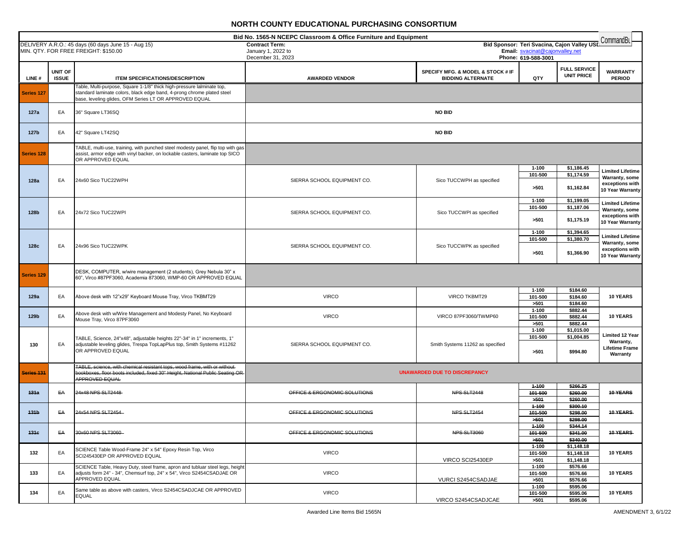|                  | Bid No. 1565-N NCEPC Classroom & Office Furniture and Equipment<br>CommandBu |                                                                                                                                                                                                            |                                         |                                                               |                                                        |                                             |                                                                                  |  |
|------------------|------------------------------------------------------------------------------|------------------------------------------------------------------------------------------------------------------------------------------------------------------------------------------------------------|-----------------------------------------|---------------------------------------------------------------|--------------------------------------------------------|---------------------------------------------|----------------------------------------------------------------------------------|--|
|                  |                                                                              | DELIVERY A.R.O.: 45 days (60 days June 15 - Aug 15)                                                                                                                                                        | <b>Contract Term:</b>                   |                                                               |                                                        | Bid Sponsor: Teri Svacina, Cajon Valley USI |                                                                                  |  |
|                  |                                                                              | MIN. QTY. FOR FREE FREIGHT: \$150.00                                                                                                                                                                       | January 1, 2022 to<br>December 31, 2023 |                                                               | Email: svacinat@cajonvalley.net<br>Phone: 619-588-3001 |                                             |                                                                                  |  |
| LINE#            | <b>UNIT OF</b><br><b>ISSUE</b>                                               | <b>ITEM SPECIFICATIONS/DESCRIPTION</b>                                                                                                                                                                     | <b>AWARDED VENDOR</b>                   | SPECIFY MFG. & MODEL & STOCK # IF<br><b>BIDDING ALTERNATE</b> | QTY                                                    | <b>FULL SERVICE</b><br><b>UNIT PRICE</b>    | <b>WARRANTY</b><br><b>PERIOD</b>                                                 |  |
| Series 127       |                                                                              | Table, Multi-purpose, Square 1-1/8" thick high-pressure lalminate top,<br>standard laminate colors, black edge band, 4-prong chrome plated steel<br>base, leveling glides, OFM Series LT OR APPROVED EQUAL |                                         |                                                               |                                                        |                                             |                                                                                  |  |
| 127a             | EA                                                                           | 36" Square LT36SQ                                                                                                                                                                                          |                                         | NO BID                                                        |                                                        |                                             |                                                                                  |  |
| 127b             | EA                                                                           | 42" Square LT42SQ                                                                                                                                                                                          |                                         | <b>NO BID</b>                                                 |                                                        |                                             |                                                                                  |  |
| Series 128       |                                                                              | TABLE, multi-use, training, with punched steel modesty panel, flip top with gas<br>assist, armor edge with vinyl backer, on lockable casters, laminate top SICO<br>OR APPROVED EQUAL                       |                                         |                                                               |                                                        |                                             |                                                                                  |  |
| 128a             | EA                                                                           | 24x60 Sico TUC22WPH                                                                                                                                                                                        | SIERRA SCHOOL EQUIPMENT CO.             | Sico TUCCWPH as specified                                     | $1 - 100$<br>101-500<br>>501                           | \$1,186.45<br>\$1,174.59<br>\$1,162.84      | <b>Limited Lifetime</b><br>Warranty, some<br>exceptions with<br>10 Year Warranty |  |
| 128b             | EA                                                                           | 24x72 Sico TUC22WPI                                                                                                                                                                                        | SIERRA SCHOOL EQUIPMENT CO.             | Sico TUCCWPI as specified                                     | $1 - 100$<br>101-500<br>>501                           | \$1,199.05<br>\$1,187.06<br>\$1,175.19      | <b>Limited Lifetime</b><br>Warranty, some<br>exceptions with<br>10 Year Warranty |  |
| 128c             | EA                                                                           | 24x96 Sico TUC22WPK                                                                                                                                                                                        | SIERRA SCHOOL EQUIPMENT CO.             | Sico TUCCWPK as specified                                     | $1 - 100$<br>101-500<br>>501                           | \$1,394.65<br>\$1,380.70<br>\$1,366.90      | <b>Limited Lifetime</b><br>Warranty, some<br>exceptions with<br>10 Year Warranty |  |
| Series 129       |                                                                              | DESK, COMPUTER, w/wire management (2 students), Grey Nebula 30" x<br>60", Virco #87PF3060, Academia 873060, WMP-60 OR APPROVED EQUAL                                                                       |                                         |                                                               |                                                        |                                             |                                                                                  |  |
| 129a             | EA                                                                           | Above desk with 12"x29" Keyboard Mouse Tray, Virco TKBMT29                                                                                                                                                 | <b>VIRCO</b>                            | VIRCO TKBMT29                                                 | $1 - 100$<br>101-500<br>>501                           | \$184.60<br>\$184.60<br>\$184.60            | 10 YEARS                                                                         |  |
| 129b             | EA                                                                           | Above desk with w/Wire Management and Modesty Panel, No Keyboard<br>Mouse Tray, Virco 87PF3060                                                                                                             | <b>VIRCO</b>                            | VIRCO 87PF3060/TWMP60                                         | $1 - 100$<br>101-500<br>>501                           | \$882.44<br>\$882.44<br>\$882.44            | 10 YEARS                                                                         |  |
| 130              | EA                                                                           | TABLE, Science, 24"x48", adjustable heights 22"-34" in 1" increments, 1"<br>adjustable leveling glides, Trespa TopLapPlus top, Smith Systems #11262<br>OR APPROVED EQUAL                                   | SIERRA SCHOOL EQUIPMENT CO.             | Smith Systems 11262 as specified                              | $1 - 100$<br>101-500<br>>501                           | \$1,015.00<br>\$1,004.85<br>\$994.80        | <b>Limited 12 Year</b><br>Warranty,<br><b>Lifetime Frame</b><br>Warranty         |  |
| Series 131       |                                                                              | TABLE, science, with chemical resistant tops, wood frame, with or without-<br>bookboxes, floor boots included, fixed 30" Height, National Public Seating OR<br>APPROVED EQUAL                              |                                         | <b>UNAWARDED DUE TO DISCREPANCY</b>                           |                                                        |                                             |                                                                                  |  |
| 431a             | ΕA                                                                           | 24x48 NPS SLT2448                                                                                                                                                                                          | OFFICE & ERGONOMIC SOLUTIONS            | NPS SLT2448                                                   | 4-100<br>101-500<br>5604                               | \$266.25<br>\$260.00<br>\$260.00            | <b>10 YEARS</b>                                                                  |  |
| 434 <sub>b</sub> | ΕA                                                                           | 24x54 NPS SLT2454                                                                                                                                                                                          | OFFICE & ERGONOMIC SOLUTIONS            | NPS SLT2454                                                   | $1 - 100$<br>101-500<br>564                            | \$300.10<br>\$298.00<br>\$298.00            | 10-YEARS                                                                         |  |
| 131c             | EA                                                                           | 30x60 NPS SLT3060-                                                                                                                                                                                         | OFFICE & ERGONOMIC SOLUTIONS            | NPS SLT3060                                                   | 4-100<br>101-500<br>5604                               | \$344.14<br>\$341.00<br>\$340.00            | <b>10 YEARS</b>                                                                  |  |
| 132              | EA                                                                           | SCIENCE Table Wood-Frame 24" x 54" Epoxy Resin Top, Virco<br>SCI245430EP OR APPROVED EQUAL                                                                                                                 | <b>VIRCO</b>                            | VIRCO SCI25430EP                                              | $1 - 100$<br>101-500<br>>501                           | \$1,148.18<br>\$1,148.18<br>\$1,148.18      | 10 YEARS                                                                         |  |
| 133              | EA                                                                           | SCIENCE Table, Heavy Duty, steel frame, apron and tubluar steel legs, heigh<br>adjusts form 24" - 34", Chemsurf top, 24" x 54", Virco S2454CSADJAE OR<br>APPROVED EQUAL                                    | <b>VIRCO</b>                            | VURCI S2454CSADJAE                                            | $1 - 100$<br>101-500<br>>501                           | \$576.66<br>\$576.66<br>\$576.66            | <b>10 YEARS</b>                                                                  |  |
| 134              | EA                                                                           | Same table as above with casters, Virco S2454CSADJCAE OR APPROVED<br><b>EQUAL</b>                                                                                                                          | <b>VIRCO</b>                            | VIRCO S2454CSADJCAE                                           | $1 - 100$<br>101-500<br>>501                           | \$595.06<br>\$595.06<br>\$595.06            | 10 YEARS                                                                         |  |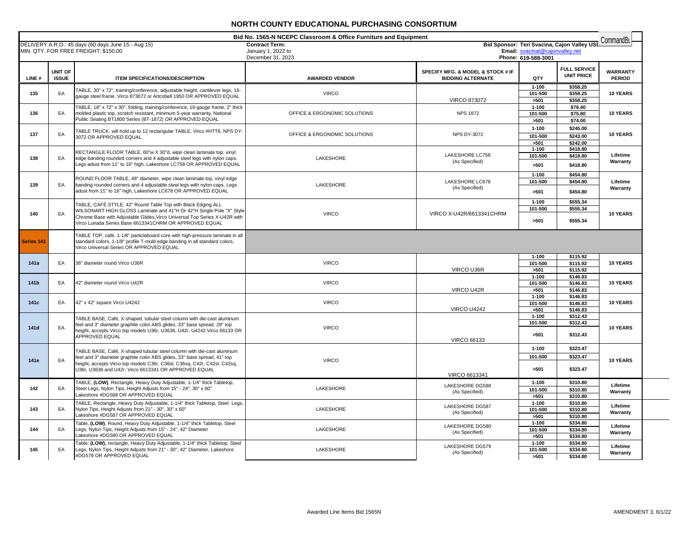|           | Bid No. 1565-N NCEPC Classroom & Office Furniture and Equipment<br>CommandBu |                                                                                                                                                                                                                                                                                         |                                                                  |                                                               |                                                        |                                             |                                  |  |
|-----------|------------------------------------------------------------------------------|-----------------------------------------------------------------------------------------------------------------------------------------------------------------------------------------------------------------------------------------------------------------------------------------|------------------------------------------------------------------|---------------------------------------------------------------|--------------------------------------------------------|---------------------------------------------|----------------------------------|--|
|           |                                                                              | DELIVERY A.R.O.: 45 days (60 days June 15 - Aug 15)<br>MIN. QTY. FOR FREE FREIGHT: \$150.00                                                                                                                                                                                             | <b>Contract Term:</b><br>January 1, 2022 to<br>December 31, 2023 |                                                               | Email: svacinat@cajonvalley.net<br>Phone: 619-588-3001 | Bid Sponsor: Teri Svacina, Cajon Valley USD |                                  |  |
| LINE#     | <b>UNIT OF</b><br><b>ISSUE</b>                                               | <b>ITEM SPECIFICATIONS/DESCRIPTION</b>                                                                                                                                                                                                                                                  | <b>AWARDED VENDOR</b>                                            | SPECIFY MFG. & MODEL & STOCK # IF<br><b>BIDDING ALTERNATE</b> | QTY                                                    | <b>FULL SERVICE</b><br><b>UNIT PRICE</b>    | <b>WARRANTY</b><br><b>PERIOD</b> |  |
| 135       | EA                                                                           | TABLE, 30" x 72", training/conference, adjustable height, cantilever legs, 16-<br>gauge steel frame. Virco 873072 or Artcobell 1950 OR APPROVED EQUAL                                                                                                                                   | <b>VIRCO</b>                                                     | <b>VIRCO 873072</b>                                           | $1 - 100$<br>101-500<br>>501                           | \$358.25<br>\$358.25<br>\$358.25            | 10 YEARS                         |  |
| 136       | EA                                                                           | TABLE, 18" x 72" x 30", folding, training/conference, 16-gauge frame, 2" thick<br>molded plastic top, scratch resistant, minimum 5-year warranty, National<br>Public Seating BT1800 Series (BT-1872) OR APPROVED EQUAL                                                                  | OFFICE & ERGONOMIC SOLUTIONS                                     | <b>NPS 1872</b>                                               | $1 - 100$<br>101-500<br>>501                           | \$76.40<br>\$75.80<br>\$74.00               | <b>10 YEARS</b>                  |  |
| 137       | EA                                                                           | TABLE TRUCK, will hold up to 12 rectangular TABLE, Virco #HTT6, NPS DY-<br>3072 OR APPROVED EQUAL.                                                                                                                                                                                      | OFFICE & ERGONOMIC SOLUTIONS                                     | <b>NPS DY-3072</b>                                            | $1 - 100$<br>101-500<br>>501                           | \$245.00<br>\$243.00<br>\$242.00            | <b>10 YEARS</b>                  |  |
| 138       | EA                                                                           | RECTANGLE FLOOR TABLE, 60"w X 30"d, wipe clean laminate top, vinyl<br>edge banding rounded corners and 4 adjustable steel legs with nylon caps.<br>Legs adust from 11" to 16" high, Lakeshore LC758 OR APPROVED EQUAL                                                                   | LAKESHORE                                                        | LAKESHORE LC758<br>(As Specified)                             | $1 - 100$<br>101-500<br>>501                           | \$418.80<br>\$418.80<br>\$418.80            | Lifetime<br>Warranty             |  |
| 139       | EA                                                                           | ROUND FLOOR TABLE, 48" diameter, wipe clean laminate top, vinyl edge<br>banding rounded corners and 4 adjustable steel legs with nylon caps. Legs                                                                                                                                       | LAKESHORE                                                        | <b>LAKESHORE LC678</b>                                        | $1 - 100$<br>101-500                                   | \$454.80<br>\$454.80                        | Lifetime                         |  |
|           |                                                                              | adust from 11" to 16" high, Lakeshore LC678 OR APPROVED EQUAL<br>TABLE, CAFÉ STYLE, 42" Round Table Top with Black Edging ALL                                                                                                                                                           |                                                                  | (As Specified)                                                | >501<br>$1 - 100$                                      | \$454.80<br>\$555.34                        | Warranty                         |  |
| 140       | EA                                                                           | WILSONART HIGH GLOSS Laminate and 41"H Or 42"H Single Pole "X" Style<br>Chrome Base with Adiustable Glides. Virco Universal Top Series X-U42R with<br>Virco Lunada Series Base 6613341CHRM OR APPROVED EQUAL                                                                            | <b>VIRCO</b>                                                     | VIRCO X-U42R/6613341CHRM                                      | 101-500<br>>501                                        | \$555.34<br>\$555.34                        | 10 YEARS                         |  |
| Series 14 |                                                                              | TABLE TOP, café, 1-1/8" particleboard core with high-pressure laminate in all<br>standard colors, 1-1/8" profile T-mold edge banding in all standard colors,<br>Virco Universal Series OR APPROVED EQUAL                                                                                |                                                                  |                                                               |                                                        |                                             |                                  |  |
| 141a      | EA                                                                           | 36" diameter round Virco U36R                                                                                                                                                                                                                                                           | <b>VIRCO</b>                                                     | VIRCO U36R                                                    | $1 - 100$<br>101-500<br>>501                           | \$115.92<br>\$115.92<br>\$115.92            | <b>10 YEARS</b>                  |  |
| 141b      | EA                                                                           | 42" diameter round Virco U42R                                                                                                                                                                                                                                                           | <b>VIRCO</b>                                                     | VIRCO U42R                                                    | $1 - 100$<br>101-500<br>>501                           | \$146.83<br>\$146.83<br>\$146.83            | <b>10 YEARS</b>                  |  |
| 141c      | EA                                                                           | 42" x 42" square Virco U4242                                                                                                                                                                                                                                                            | <b>VIRCO</b>                                                     | <b>VIRCO U4242</b>                                            | $1 - 100$<br>$101 - 500$<br>>501                       | \$146.83<br>\$146.83<br>\$146.83            | 10 YEARS                         |  |
| 141d      | EA                                                                           | TABLE BASE, Café, X-shaped, tubular steel column with die-cast aluminum<br>feet and 3" diameter graphite color ABS glides, 33" base spread, 29" top<br>height, accepts Virco top models U36r, U3636, U42r, U4242 Virco 66133 OR<br>APPROVED EQUAL                                       | <b>VIRCO</b>                                                     | <b>VIRCO 66133</b>                                            | $1 - 100$<br>101-500<br>>501                           | \$312.43<br>\$312.43<br>\$312.43            | 10 YEARS                         |  |
| 141e      | EA                                                                           | TABLE BASE, Café, X-shaped tubular steel column with die-cast aluminum<br>feet and 3" diameter graphite color ABS glides, 33" base spread, 41" top<br>height, accepts Virco top models C36r, C36sl, C36sq, C42r, C42sl, C42sq,<br>U36r, U3636 and U42r, Virco 6613341 OR APPROVED EQUAL | <b>VIRCO</b>                                                     | VIRCO 6613341                                                 | $1 - 100$<br>101-500<br>>501                           | \$323.47<br>\$323.47<br>\$323.47            | 10 YEARS                         |  |
| 142       | EA                                                                           | TABLE, (LOW), Rectangle, Heavy Duty Adjustable, 1-1/4" thick Tabletop,<br>Steel Legs, Nylon Tips, Height Adjusts from 15" - 24", 30" x 60"<br>Lakeshore #DG588 OR APPROVED EQUAL                                                                                                        | LAKESHORE                                                        | LAKESHORE DG588<br>(As Specified)                             | $1 - 100$<br>101-500<br>>501                           | \$310.80<br>\$310.80<br>\$310.80            | Lifetime<br>Warranty             |  |
| 143       | EA                                                                           | TABLE, Rectangle, Heavy Duty Adjustable, 1-1/4" thick Tabletop, Steel Legs,<br>Nylon Tips, Height Adjusts from 21" - 30", 30" x 60"<br>Lakeshore #DG587 OR APPROVED EQUAL                                                                                                               | LAKESHORE                                                        | LAKESHORE DG587<br>(As Specified)                             | $1 - 100$<br>101-500<br>>501                           | \$310.80<br>\$310.80<br>\$310.80            | Lifetime<br>Warranty             |  |
| 144       | EA                                                                           | Table, (LOW), Round, Heavy Duty Adjustable, 1-1/4" thick Tabletop, Steel<br>Legs, Nylon Tips, Height Adjusts from 15" - 24", 42" Diameter<br>Lakeshore #DG580 OR APPROVED EQUAL                                                                                                         | LAKESHORE                                                        | LAKESHORE DG580<br>(As Specified)                             | $1 - 100$<br>101-500<br>>501                           | \$334.80<br>\$334.80<br>\$334.80            | Lifetime<br>Warranty             |  |
| 145       | EA                                                                           | Table, (LOW), rectangle, Heavy Duty Adjustable, 1-1/4" thick Tabletop, Steel<br>Legs, Nylon Tips, Height Adjusts from 21" - 30", 42" Diameter, Lakeshore<br>#DG579 OR APPROVED EQUAL                                                                                                    | LAKESHORE                                                        | LAKESHORE DG579<br>(As Specified)                             | $1 - 100$<br>101-500<br>>501                           | \$334.80<br>\$334.80<br>\$334.80            | Lifetime<br>Warranty             |  |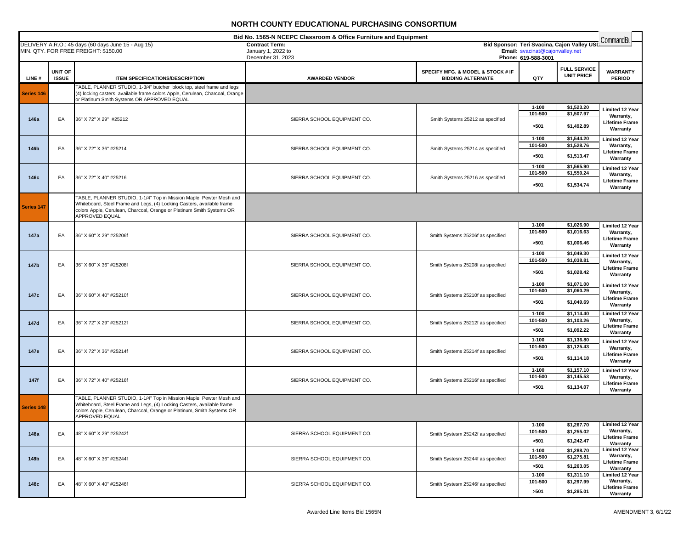|             |                         |                                                                                                                                                                                                                                           | Bid No. 1565-N NCEPC Classroom & Office Furniture and Equipment  |                                                               |                                                        |                                             | CommandBu                                                                       |
|-------------|-------------------------|-------------------------------------------------------------------------------------------------------------------------------------------------------------------------------------------------------------------------------------------|------------------------------------------------------------------|---------------------------------------------------------------|--------------------------------------------------------|---------------------------------------------|---------------------------------------------------------------------------------|
|             |                         | DELIVERY A.R.O.: 45 days (60 days June 15 - Aug 15)<br>MIN. QTY. FOR FREE FREIGHT: \$150.00                                                                                                                                               | <b>Contract Term:</b><br>January 1, 2022 to<br>December 31, 2023 |                                                               | Email: svacinat@cajonvalley.net<br>Phone: 619-588-3001 | Bid Sponsor: Teri Svacina, Cajon Valley USI |                                                                                 |
| LINE#       | UNIT OF<br><b>ISSUE</b> | <b>ITEM SPECIFICATIONS/DESCRIPTION</b>                                                                                                                                                                                                    | <b>AWARDED VENDOR</b>                                            | SPECIFY MFG. & MODEL & STOCK # IF<br><b>BIDDING ALTERNATE</b> | QTY                                                    | <b>FULL SERVICE</b><br><b>UNIT PRICE</b>    | <b>WARRANTY</b><br><b>PERIOD</b>                                                |
| Series 146  |                         | TABLE, PLANNER STUDIO, 1-3/4" butcher block top, steel frame and legs<br>(4) locking casters, available frame colors Apple, Cerulean, Charcoal, Orange<br>or Platinum Smith Systems OR APPROVED EQUAL                                     |                                                                  |                                                               |                                                        |                                             |                                                                                 |
| 146a        | EA                      | 36" X 72" X 29" #25212                                                                                                                                                                                                                    | SIERRA SCHOOL EQUIPMENT CO.                                      | Smith Systems 25212 as specified                              | $1 - 100$<br>101-500<br>>501                           | \$1,523.20<br>\$1,507.97<br>\$1,492.89      | Limited 12 Year<br>Warranty,<br>Lifetime Frame<br>Warranty                      |
| 146b        | EA                      | 36" X 72" X 36" #25214                                                                                                                                                                                                                    | SIERRA SCHOOL EQUIPMENT CO.                                      | Smith Systems 25214 as specified                              | $1 - 100$<br>101-500<br>>501                           | \$1,544.20<br>\$1,528.76<br>\$1,513.47      | Limited 12 Year<br>Warranty,<br>Lifetime Frame<br>Warranty                      |
| 146c        | EA                      | 36" X 72" X 40" #25216                                                                                                                                                                                                                    | SIERRA SCHOOL EQUIPMENT CO.                                      | Smith Systems 25216 as specified                              | $1 - 100$<br>101-500<br>>501                           | \$1,565.90<br>\$1,550.24<br>\$1,534.74      | <b>Limited 12 Year</b><br>Warranty,<br>Lifetime Frame<br>Warranty               |
| Series 147  |                         | TABLE, PLANNER STUDIO, 1-1/4" Top in Mission Maple, Pewter Mesh and<br>Whiteboard, Steel Frame and Legs, (4) Locking Casters, available frame<br>colors Apple, Cerulean, Charcoal, Orange or Platinum Smith Systems OR<br>APPROVED EQUAL  |                                                                  |                                                               |                                                        |                                             |                                                                                 |
| 147a        | EA                      | 36" X 60" X 29" #25206f                                                                                                                                                                                                                   | SIERRA SCHOOL EQUIPMENT CO.                                      | Smith Systems 25206f as specified                             | $1 - 100$<br>101-500<br>>501                           | \$1,026.90<br>\$1,016.63<br>\$1,006.46      | <b>Limited 12 Year</b><br>Warranty,<br>Lifetime Frame<br>Warranty               |
| 147b        | EA                      | 36" X 60" X 36" #25208f                                                                                                                                                                                                                   | SIERRA SCHOOL EQUIPMENT CO.                                      | Smith Systems 25208f as specified                             | $1 - 100$<br>101-500<br>>501                           | \$1,049.30<br>\$1,038.81<br>\$1,028.42      | <b>Limited 12 Year</b><br>Warranty,<br><b>Lifetime Frame</b><br>Warranty        |
| 147c        | EA                      | 36" X 60" X 40" #25210f                                                                                                                                                                                                                   | SIERRA SCHOOL EQUIPMENT CO.                                      | Smith Systems 25210f as specified                             | $1 - 100$<br>101-500<br>>501                           | \$1,071.00<br>\$1,060.29<br>\$1,049.69      | <b>Limited 12 Year</b><br>Warranty,<br>Lifetime Frame<br>Warranty               |
| 147d        | EA                      | 36" X 72" X 29" #25212f                                                                                                                                                                                                                   | SIERRA SCHOOL EQUIPMENT CO.                                      | Smith Systems 25212f as specified                             | $1 - 100$<br>101-500<br>>501                           | \$1,114.40<br>\$1,103.26<br>\$1,092.22      | <b>Limited 12 Year</b><br>Warranty,<br><b>Lifetime Frame</b><br>Warranty        |
| 147e        | EA                      | 36" X 72" X 36" #25214f                                                                                                                                                                                                                   | SIERRA SCHOOL EQUIPMENT CO.                                      | Smith Systems 25214f as specified                             | $1 - 100$<br>101-500<br>>501                           | \$1,136.80<br>\$1,125.43<br>\$1,114.18      | <b>Limited 12 Year</b><br>Warranty,<br><b>Lifetime Frame</b><br>Warranty        |
| <b>147f</b> | EA                      | 36" X 72" X 40" #25216f                                                                                                                                                                                                                   | SIERRA SCHOOL EQUIPMENT CO.                                      | Smith Systems 25216f as specified                             | $1 - 100$<br>101-500<br>>501                           | \$1,157.10<br>\$1,145.53<br>\$1,134.07      | Limited 12 Year<br>Warranty,<br><b>Lifetime Frame</b><br>Warranty               |
| Series 148  |                         | TABLE, PLANNER STUDIO, 1-1/4" Top in Mission Maple, Pewter Mesh and<br>Whiteboard, Steel Frame and Legs, (4) Locking Casters, available frame<br>colors Apple, Cerulean, Charcoal, Orange or Platinum, Smith Systems OR<br>APPROVED EQUAL |                                                                  |                                                               |                                                        |                                             |                                                                                 |
| 148a        | EA                      | 48" X 60" X 29" #25242f                                                                                                                                                                                                                   | SIERRA SCHOOL EQUIPMENT CO.                                      | Smith Systesm 25242f as specified                             | $1 - 100$<br>101-500<br>>501                           | \$1,267.70<br>\$1,255.02<br>\$1,242.47      | <b>Limited 12 Year</b><br><b>Warranty,</b><br><b>Lifetime Frame</b><br>Warranty |
| 148b        | EA                      | 48" X 60" X 36" #25244f                                                                                                                                                                                                                   | SIERRA SCHOOL EQUIPMENT CO.                                      | Smith Systesm 25244f as specified                             | $1 - 100$<br>101-500<br>>501                           | \$1,288.70<br>\$1,275.81<br>\$1,263.05      | <b>Limited 12 Year</b><br>Warranty,<br>Lifetime Frame<br>Warranty               |
| 148c        | EA                      | 48" X 60" X 40" #25246f                                                                                                                                                                                                                   | SIERRA SCHOOL EQUIPMENT CO.                                      | Smith Systesm 25246f as specified                             | $1 - 100$<br>101-500<br>>501                           | \$1,311.10<br>\$1,297.99<br>\$1,285.01      | <b>Limited 12 Year</b><br>Warranty,<br><b>Lifetime Frame</b><br>Warranty        |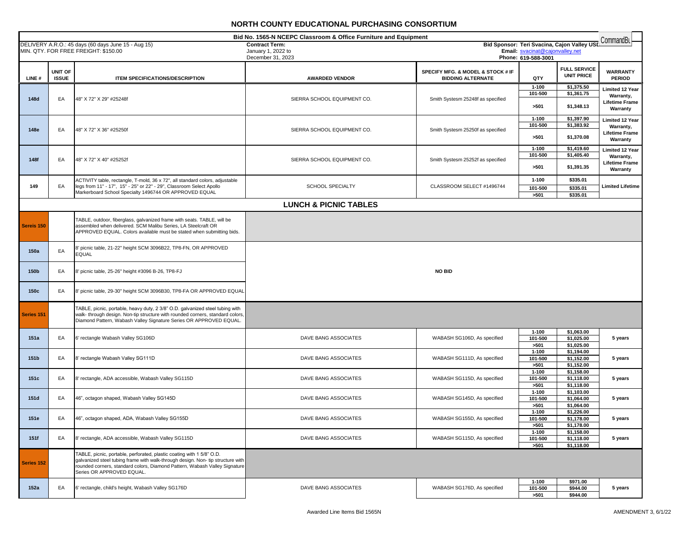|            |                                |                                                                                                                                                                                                                                                                     | Bid No. 1565-N NCEPC Classroom & Office Furniture and Equipment |                                                               |                                                                                |                                          | CommandBu                                                                |
|------------|--------------------------------|---------------------------------------------------------------------------------------------------------------------------------------------------------------------------------------------------------------------------------------------------------------------|-----------------------------------------------------------------|---------------------------------------------------------------|--------------------------------------------------------------------------------|------------------------------------------|--------------------------------------------------------------------------|
|            |                                | DELIVERY A.R.O.: 45 days (60 days June 15 - Aug 15)<br>MIN. QTY. FOR FREE FREIGHT: \$150.00                                                                                                                                                                         | <b>Contract Term:</b>                                           |                                                               | Bid Sponsor: Teri Svacina, Cajon Valley USD<br>Email: svacinat@cajonvalley.net |                                          |                                                                          |
|            |                                |                                                                                                                                                                                                                                                                     | January 1, 2022 to<br>December 31, 2023                         |                                                               | Phone: 619-588-3001                                                            |                                          |                                                                          |
| LINE#      | <b>UNIT OF</b><br><b>ISSUE</b> | <b>ITEM SPECIFICATIONS/DESCRIPTION</b>                                                                                                                                                                                                                              | <b>AWARDED VENDOR</b>                                           | SPECIFY MFG. & MODEL & STOCK # IF<br><b>BIDDING ALTERNATE</b> | QTY                                                                            | <b>FULL SERVICE</b><br><b>UNIT PRICE</b> | <b>WARRANTY</b><br><b>PERIOD</b>                                         |
| 148d       | EA                             | 48" X 72" X 29" #25248f                                                                                                                                                                                                                                             | SIERRA SCHOOL EQUIPMENT CO.                                     | Smith Systesm 25248f as specified                             | $1 - 100$<br>101-500<br>>501                                                   | \$1,375.50<br>\$1,361.75<br>\$1,348.13   | <b>Limited 12 Year</b><br>Warranty,<br><b>Lifetime Frame</b><br>Warranty |
| 148e       | EA                             | 48" X 72" X 36" #25250f                                                                                                                                                                                                                                             | SIERRA SCHOOL EQUIPMENT CO.                                     | Smith Systesm 25250f as specified                             | $1 - 100$<br>101-500<br>>501                                                   | \$1,397.90<br>\$1,383.92<br>\$1,370.08   | <b>Limited 12 Year</b><br>Warranty,<br><b>Lifetime Frame</b><br>Warranty |
| 148f       | EA                             | 48" X 72" X 40" #25252f                                                                                                                                                                                                                                             | SIERRA SCHOOL EQUIPMENT CO.                                     | Smith Systesm 25252f as specified                             | $1 - 100$<br>101-500<br>>501                                                   | \$1,419.60<br>\$1,405.40<br>\$1,391.35   | <b>Limited 12 Year</b><br>Warranty,<br>Lifetime Frame<br>Warranty        |
| 149        | EA                             | ACTIVITY table, rectangle, T-mold, 36 x 72", all standard colors, adjustable<br>legs from 11" - 17", 15" - 25" or 22" - 29", Classroom Select Apollo<br>Markerboard School Specialty 1496744 OR APPROVED EQUAL                                                      | SCHOOL SPECIALTY                                                | CLASSROOM SELECT #1496744                                     | $1 - 100$<br>101-500<br>>501                                                   | \$335.01<br>\$335.01<br>\$335.01         | <b>Limited Lifetime</b>                                                  |
|            |                                |                                                                                                                                                                                                                                                                     | <b>LUNCH &amp; PICNIC TABLES</b>                                |                                                               |                                                                                |                                          |                                                                          |
| Sereis 150 |                                | TABLE, outdoor, fiberglass, galvanized frame with seats. TABLE, will be<br>assembled when delivered. SCM Malibu Series, LA Steelcraft OR<br>APPROVED EQUAL. Colors available must be stated when submitting bids.                                                   |                                                                 |                                                               |                                                                                |                                          |                                                                          |
| 150a       | EA                             | 8' picnic table, 21-22" height SCM 3096B22, TP8-FN, OR APPROVED<br><b>EQUAL</b>                                                                                                                                                                                     |                                                                 |                                                               |                                                                                |                                          |                                                                          |
| 150b       | EA                             | 8' picnic table, 25-26" height #3096 B-26, TP8-FJ                                                                                                                                                                                                                   |                                                                 | <b>NO BID</b>                                                 |                                                                                |                                          |                                                                          |
| 150c       | EA                             | 8' picnic table, 29-30" height SCM 3096B30, TP8-FA OR APPROVED EQUAL                                                                                                                                                                                                |                                                                 |                                                               |                                                                                |                                          |                                                                          |
| Series 151 |                                | TABLE, picnic, portable, heavy duty, 2 3/8" O.D. galvanized steel tubing with<br>walk- through design. Non-tip structure with rounded corners, standard colors,<br>Diamond Pattern, Wabash Valley Signature Series OR APPROVED EQUAL.                               |                                                                 |                                                               |                                                                                |                                          |                                                                          |
| 151a       | EA                             | 6' rectangle Wabash Valley SG106D                                                                                                                                                                                                                                   | DAVE BANG ASSOCIATES                                            | WABASH SG106D, As specified                                   | $1 - 100$<br>101-500<br>>501                                                   | \$1,063.00<br>\$1,025.00<br>\$1,025.00   | 5 years                                                                  |
| 151b       | EA                             | 8' rectangle Wabash Valley SG111D                                                                                                                                                                                                                                   | DAVE BANG ASSOCIATES                                            | WABASH SG111D, As specified                                   | $1 - 100$<br>101-500<br>>501                                                   | \$1,194.00<br>\$1,152.00<br>\$1,152.00   | 5 years                                                                  |
| 151c       | EA                             | 8' rectangle, ADA accessible, Wabash Valley SG115D                                                                                                                                                                                                                  | DAVE BANG ASSOCIATES                                            | WABASH SG115D, As specified                                   | $1 - 100$<br>101-500<br>>501                                                   | \$1,158.00<br>\$1,118.00<br>\$1,118.00   | 5 years                                                                  |
| 151d       | EA                             | 46", octagon shaped, Wabash Valley SG145D                                                                                                                                                                                                                           | DAVE BANG ASSOCIATES                                            | WABASH SG145D, As specified                                   | $1 - 100$<br>101-500<br>>501                                                   | \$1,103.00<br>\$1,064.00<br>\$1,064.00   | 5 years                                                                  |
| 151e       | EA                             | 46", octagon shaped, ADA, Wabash Valley SG155D                                                                                                                                                                                                                      | DAVE BANG ASSOCIATES                                            | WABASH SG155D, As specified                                   | $1 - 100$<br>101-500<br>>501                                                   | \$1,226.00<br>\$1,178.00<br>\$1,178.00   | 5 years                                                                  |
| 151f       | EA                             | 8' rectangle, ADA accessible, Wabash Valley SG115D                                                                                                                                                                                                                  | DAVE BANG ASSOCIATES                                            | WABASH SG115D, As specified                                   | $1 - 100$<br>101-500<br>>501                                                   | \$1,158.00<br>\$1,118.00<br>\$1,118.00   | 5 years                                                                  |
| Series 152 |                                | TABLE, picnic, portable, perforated, plastic coating with 1 5/8" O.D.<br>galvanized steel tubing frame with walk-through design. Non- tip structure with<br>rounded corners, standard colors, Diamond Pattern, Wabash Valley Signature<br>Series OR APPROVED EQUAL. |                                                                 |                                                               |                                                                                |                                          |                                                                          |
| 152a       | EA                             | 6' rectangle, child's height, Wabash Valley SG176D                                                                                                                                                                                                                  | DAVE BANG ASSOCIATES                                            | WABASH SG176D, As specified                                   | $1 - 100$<br>101-500<br>>501                                                   | \$971.00<br>\$944.00<br>\$944.00         | 5 years                                                                  |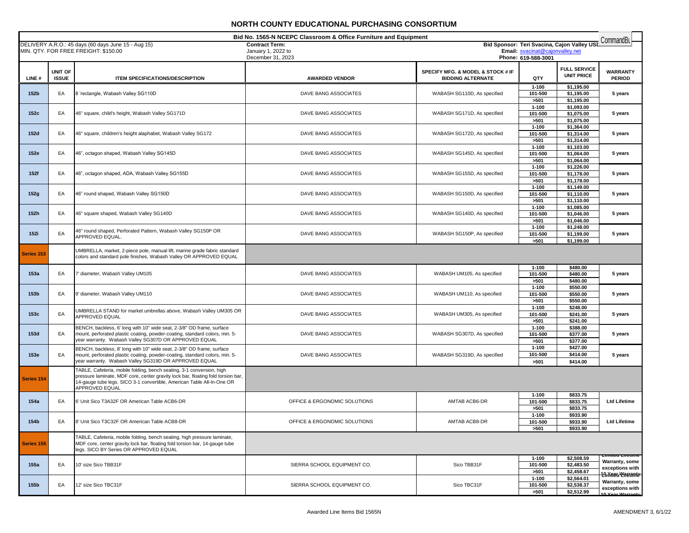| Bid No. 1565-N NCEPC Classroom & Office Furniture and Equipment |              |                                                                                                                                      |                                         |                                   | CommandBu                                              |                                             |                                    |
|-----------------------------------------------------------------|--------------|--------------------------------------------------------------------------------------------------------------------------------------|-----------------------------------------|-----------------------------------|--------------------------------------------------------|---------------------------------------------|------------------------------------|
|                                                                 |              | DELIVERY A.R.O.: 45 days (60 days June 15 - Aug 15)                                                                                  | <b>Contract Term:</b>                   |                                   |                                                        | Bid Sponsor: Teri Svacina, Cajon Valley USD |                                    |
|                                                                 |              | MIN. QTY. FOR FREE FREIGHT: \$150.00                                                                                                 | January 1, 2022 to<br>December 31, 2023 |                                   | Email: svacinat@cajonvalley.net<br>Phone: 619-588-3001 |                                             |                                    |
|                                                                 |              |                                                                                                                                      |                                         |                                   |                                                        |                                             |                                    |
|                                                                 | UNIT OF      |                                                                                                                                      |                                         | SPECIFY MFG. & MODEL & STOCK # IF |                                                        | <b>FULL SERVICE</b><br><b>UNIT PRICE</b>    | <b>WARRANTY</b>                    |
| LINE#                                                           | <b>ISSUE</b> | <b>ITEM SPECIFICATIONS/DESCRIPTION</b>                                                                                               | <b>AWARDED VENDOR</b>                   | <b>BIDDING ALTERNATE</b>          | QTY                                                    |                                             | <b>PERIOD</b>                      |
|                                                                 |              |                                                                                                                                      |                                         |                                   | $1 - 100$                                              | \$1,195.00                                  |                                    |
| 152b                                                            | EA           | 8 'rectangle, Wabash Valley SG110D                                                                                                   | DAVE BANG ASSOCIATES                    | WABASH SG110D, As specified       | 101-500<br>>501                                        | \$1,195.00<br>\$1,195.00                    | 5 years                            |
|                                                                 |              |                                                                                                                                      |                                         |                                   | $1 - 100$                                              | \$1,093.00                                  |                                    |
| 152c                                                            | EA           | 46" square, child's height, Wabash Valley SG171D                                                                                     | DAVE BANG ASSOCIATES                    | WABASH SG171D, As specified       | 101-500                                                | \$1,075.00                                  | 5 years                            |
|                                                                 |              |                                                                                                                                      |                                         |                                   | >501                                                   | $\overline{51,075.00}$                      |                                    |
|                                                                 |              |                                                                                                                                      |                                         |                                   | $1 - 100$                                              | \$1,364.00                                  |                                    |
| 152d                                                            | EA           | 46" square, children's height alaphabet, Wabash Valley SG172                                                                         | DAVE BANG ASSOCIATES                    | WABASH SG172D, As specified       | 101-500                                                | \$1,314.00                                  | 5 years                            |
|                                                                 |              |                                                                                                                                      |                                         |                                   | >501<br>$1 - 100$                                      | \$1,314.00<br>\$1,103.00                    |                                    |
| 152e                                                            | EA           | 46", octagon shaped, Wabash Valley SG145D                                                                                            | DAVE BANG ASSOCIATES                    | WABASH SG145D, As specified       | 101-500                                                | \$1,064.00                                  | 5 years                            |
|                                                                 |              |                                                                                                                                      |                                         |                                   | >501                                                   | \$1,064.00                                  |                                    |
|                                                                 |              |                                                                                                                                      |                                         |                                   | $1 - 100$                                              | \$1,226.00                                  |                                    |
| 152f                                                            | EA           | 46", octagon shaped, ADA, Wabash Valley SG155D                                                                                       | DAVE BANG ASSOCIATES                    | WABASH SG155D, As specified       | 101-500                                                | \$1,178.00                                  | 5 years                            |
|                                                                 |              |                                                                                                                                      |                                         |                                   | >501<br>$1 - 100$                                      | \$1,178.00<br>\$1,149.00                    |                                    |
| 152g                                                            | EA           | 46" round shaped, Wabash Valley SG150D                                                                                               | DAVE BANG ASSOCIATES                    | WABASH SG150D, As specified       | 101-500                                                | \$1,110.00                                  | 5 years                            |
|                                                                 |              |                                                                                                                                      |                                         |                                   | >501                                                   | \$1,110.00                                  |                                    |
|                                                                 |              |                                                                                                                                      |                                         |                                   | $1 - 100$                                              | \$1,085.00                                  |                                    |
| 152h                                                            | EA           | 46" square shaped, Wabash Valley SG140D                                                                                              | DAVE BANG ASSOCIATES                    | WABASH SG140D, As specified       | 101-500                                                | \$1,046.00                                  | 5 years                            |
|                                                                 |              |                                                                                                                                      |                                         |                                   | >501                                                   | \$1,046.00                                  |                                    |
| 152i                                                            | EA           | 46" round shaped, Perforated Pattern, Wabash Valley SG150P OR                                                                        | DAVE BANG ASSOCIATES                    | WABASH SG150P, As specified       | $1 - 100$<br>101-500                                   | \$1,248.00<br>\$1,199.00                    | 5 years                            |
|                                                                 |              | APPROVED EQUAL.                                                                                                                      |                                         |                                   | >501                                                   | \$1,199.00                                  |                                    |
|                                                                 |              | UMBRELLA, market, 2-piece pole, manual lift, marine grade fabric standard                                                            |                                         |                                   |                                                        |                                             |                                    |
| Series <sub>153</sub>                                           |              | colors and standard pole finishes, Wabash Valley OR APPROVED EQUAL                                                                   |                                         |                                   |                                                        |                                             |                                    |
|                                                                 |              |                                                                                                                                      |                                         |                                   | $1 - 100$                                              | \$480.00                                    |                                    |
| 153a                                                            | EA           | diameter, Wabash Valley UM105                                                                                                        | DAVE BANG ASSOCIATES                    | WABASH UM105, As specified        | 101-500                                                | \$480.00                                    | 5 years                            |
|                                                                 |              |                                                                                                                                      |                                         |                                   | >501                                                   | \$480.00                                    |                                    |
|                                                                 |              |                                                                                                                                      |                                         |                                   | $1 - 100$                                              | \$550.00                                    |                                    |
| 153 <sub>b</sub>                                                | EA           | 9' diameter, Wabash Valley UM110                                                                                                     | DAVE BANG ASSOCIATES                    | WABASH UM110, As specified        | 101-500                                                | \$550.00                                    | 5 years                            |
|                                                                 |              |                                                                                                                                      |                                         |                                   | >501                                                   | \$550.00                                    |                                    |
| 153c                                                            | EA           | UMBRELLA STAND for market umbrellas above, Wabash Valley UM305 OR                                                                    | DAVE BANG ASSOCIATES                    | WABASH UM305, As specified        | $1 - 100$<br>101-500                                   | \$248.00<br>\$241.00                        | 5 years                            |
|                                                                 |              | APPROVED EQUAL                                                                                                                       |                                         |                                   | >501                                                   | \$241.00                                    |                                    |
|                                                                 |              | BENCH, backless, 6' long with 10" wide seat, 2-3/8" OD frame, surface                                                                |                                         |                                   | $1 - 100$                                              | \$388.00                                    |                                    |
| 153d                                                            | EA           | mount, perforated plastic coating, powder-coating, standard colors, min. 5-                                                          | DAVE BANG ASSOCIATES                    | WABASH SG307D, As specified       | 101-500                                                | \$377.00                                    | 5 years                            |
|                                                                 |              | year warranty. Wabash Valley SG307D OR APPROVED EQUAL                                                                                |                                         |                                   | >501                                                   | \$377.00                                    |                                    |
|                                                                 |              | BENCH, backless, 8' long with 10" wide seat, 2-3/8" OD frame, surface                                                                |                                         |                                   | $1 - 100$<br>101-500                                   | \$427.00<br>\$414.00                        |                                    |
| 153e                                                            | EA           | mount, perforated plastic coating, powder-coating, standard colors, min. 5-<br>year warranty. Wabash Valley SG319D OR APPROVED EQUAL | DAVE BANG ASSOCIATES                    | WABASH SG319D, As specified       | >501                                                   | \$414.00                                    | 5 years                            |
|                                                                 |              | TABLE, Cafeteria, mobile folding, bench seating, 3-1 conversion, high                                                                |                                         |                                   |                                                        |                                             |                                    |
| Series 154                                                      |              | pressure laminate, MDF core, center gravity lock bar, floating fold torsion bar,                                                     |                                         |                                   |                                                        |                                             |                                    |
|                                                                 |              | 14-gauge tube legs. SICO 3-1 convertible, American Table All-In-One OR                                                               |                                         |                                   |                                                        |                                             |                                    |
|                                                                 |              | APPROVED EQUAL                                                                                                                       |                                         |                                   | $1 - 100$                                              | \$833.75                                    |                                    |
| 154a                                                            | EA           | 6' Unit Sico T3A32F OR American Table ACB6-DR                                                                                        | OFFICE & ERGONOMIC SOLUTIONS            | AMTAB ACB6-DR                     | 101-500                                                | \$833.75                                    | <b>Ltd Lifetime</b>                |
|                                                                 |              |                                                                                                                                      |                                         |                                   | >501                                                   | \$833.75                                    |                                    |
|                                                                 |              |                                                                                                                                      |                                         |                                   | $1 - 100$                                              | \$933.90                                    |                                    |
| 154b                                                            | EA           | 8' Unit Sico T3C32F OR American Table ACB8-DR                                                                                        | OFFICE & ERGONOMIC SOLUTIONS            | AMTAB ACB8-DR                     | 101-500                                                | \$933.90                                    | <b>Ltd Lifetime</b>                |
|                                                                 |              |                                                                                                                                      |                                         |                                   | >501                                                   | \$933.90                                    |                                    |
|                                                                 |              | TABLE, Cafeteria, mobile folding, bench seating, high pressure laminate,                                                             |                                         |                                   |                                                        |                                             |                                    |
| Series 155                                                      |              | MDF core, center gravity lock bar, floating fold torsion bar, 14-gauge tube<br>legs. SICO BY Series OR APPROVED EQUAL                |                                         |                                   |                                                        |                                             |                                    |
|                                                                 |              |                                                                                                                                      |                                         |                                   |                                                        | \$2,508.59                                  | cimited cheanic                    |
| 155a                                                            | EA           | 10' size Sico TBB31F                                                                                                                 | SIERRA SCHOOL EQUIPMENT CO.             | Sico TBB31F                       | $1 - 100$<br>101-500                                   | \$2,483.50                                  | Warranty, some                     |
|                                                                 |              |                                                                                                                                      |                                         |                                   | >501                                                   | \$2,458.67                                  | exceptions with                    |
|                                                                 |              |                                                                                                                                      |                                         |                                   | $1 - 100$                                              | \$2,564.01                                  | 19 Xeas Warrante<br>Warranty, some |
| 155b                                                            | EA           | 12' size Sico TBC31F                                                                                                                 | SIERRA SCHOOL EQUIPMENT CO.             | Sico TBC31F                       | 101-500                                                | \$2,538.37                                  | exceptions with                    |
|                                                                 |              |                                                                                                                                      |                                         |                                   | >501                                                   | \$2,512.99                                  | A Voor Worranty                    |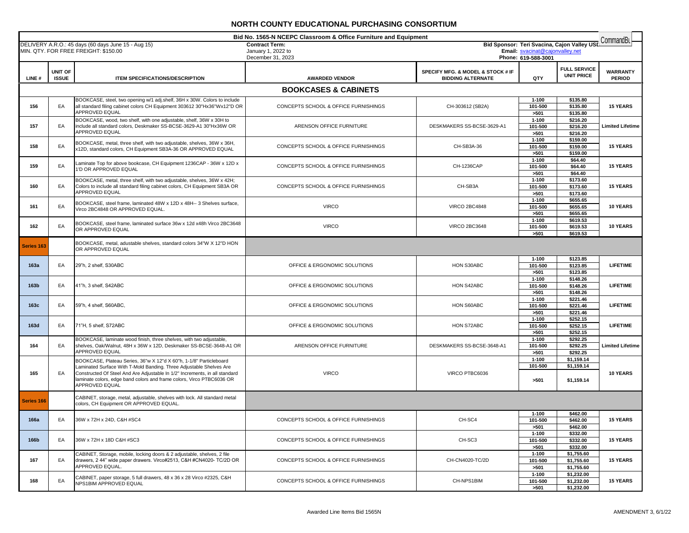| Bid No. 1565-N NCEPC Classroom & Office Furniture and Equipment<br>CommandBu<br>Bid Sponsor: Teri Svacina, Cajon Valley USL |                         |                                                                                                                                                      |                                             |                                                               |                                 |                                          |                                  |
|-----------------------------------------------------------------------------------------------------------------------------|-------------------------|------------------------------------------------------------------------------------------------------------------------------------------------------|---------------------------------------------|---------------------------------------------------------------|---------------------------------|------------------------------------------|----------------------------------|
|                                                                                                                             |                         | DELIVERY A.R.O.: 45 days (60 days June 15 - Aug 15)<br>MIN. QTY. FOR FREE FREIGHT: \$150.00                                                          | <b>Contract Term:</b><br>January 1, 2022 to |                                                               | Email: svacinat@cajonvalley.net |                                          |                                  |
|                                                                                                                             |                         |                                                                                                                                                      | December 31, 2023                           | Phone: 619-588-3001                                           |                                 |                                          |                                  |
| LINE#                                                                                                                       | UNIT OF<br><b>ISSUE</b> | <b>ITEM SPECIFICATIONS/DESCRIPTION</b>                                                                                                               | <b>AWARDED VENDOR</b>                       | SPECIFY MFG. & MODEL & STOCK # IF<br><b>BIDDING ALTERNATE</b> | QTY                             | <b>FULL SERVICE</b><br><b>UNIT PRICE</b> | <b>WARRANTY</b><br><b>PERIOD</b> |
|                                                                                                                             |                         |                                                                                                                                                      | <b>BOOKCASES &amp; CABINETS</b>             |                                                               |                                 |                                          |                                  |
|                                                                                                                             |                         | BOOKCASE, steel, two opening w/1 adj.shelf, 36H x 30W. Colors to include                                                                             |                                             |                                                               | $1 - 100$                       | \$135.80                                 |                                  |
| 156                                                                                                                         | EA                      | all standard filing cabinet colors CH Equipment 303612 30"Hx36"Wx12"D OR<br>APPROVED EQUAL                                                           | CONCEPTS SCHOOL & OFFICE FURNISHINGS        | CH-303612 (SB2A)                                              | 101-500<br>>501                 | \$135.80<br>\$135.80                     | <b>15 YEARS</b>                  |
|                                                                                                                             |                         | BOOKCASE, wood, two shelf, with one adjustable, shelf, 36W x 30H to                                                                                  |                                             |                                                               | $1 - 100$                       | \$216.20                                 |                                  |
| 157                                                                                                                         | EA                      | include all standard colors, Deskmaker SS-BCSE-3629-A1 30"Hx36W OR<br>APPROVED EQUAL                                                                 | ARENSON OFFICE FURNITURE                    | DESKMAKERS SS-BCSE-3629-A1                                    | 101-500                         | \$216.20                                 | <b>Limited Lifetime</b>          |
|                                                                                                                             |                         |                                                                                                                                                      |                                             |                                                               | >501<br>$1 - 100$               | \$216.20<br>\$159.00                     |                                  |
| 158                                                                                                                         | EA                      | BOOKCASE, metal, three shelf, with two adjustable, shelves, 36W x 36H,<br>x12D, standard colors, CH Equipment SB3A-36 OR APPROVED EQUAL              | CONCEPTS SCHOOL & OFFICE FURNISHINGS        | CH-SB3A-36                                                    | 101-500                         | \$159.00                                 | <b>15 YEARS</b>                  |
|                                                                                                                             |                         |                                                                                                                                                      |                                             |                                                               | >501<br>$1 - 100$               | \$159.00<br>\$64.40                      |                                  |
| 159                                                                                                                         | EA                      | Laminate Top for above bookcase, CH Equipment 1236CAP - 36W x 12D x<br>1'D OR APPROVED EQUAL                                                         | CONCEPTS SCHOOL & OFFICE FURNISHINGS        | CH-1236CAP                                                    | 101-500                         | \$64.40                                  | <b>15 YEARS</b>                  |
|                                                                                                                             |                         | BOOKCASE, metal, three shelf, with two adjustable, shelves, 36W x 42H;                                                                               |                                             |                                                               | >501<br>$1 - 100$               | \$64.40<br>\$173.60                      |                                  |
| 160                                                                                                                         | EA                      | Colors to include all standard filing cabinet colors, CH Equipment SB3A OR                                                                           | CONCEPTS SCHOOL & OFFICE FURNISHINGS        | CH-SB3A                                                       | 101-500                         | \$173.60                                 | <b>15 YEARS</b>                  |
|                                                                                                                             |                         | APPROVED EQUAL                                                                                                                                       |                                             |                                                               | >501<br>$1 - 100$               | \$173.60                                 |                                  |
| 161                                                                                                                         | EA                      | BOOKCASE, steel frame, laminated 48W x 12D x 48H-- 3 Shelves surface,<br>Virco 2BC4848 OR APPROVED EQUAL.                                            | <b>VIRCO</b>                                | <b>VIRCO 2BC4848</b>                                          | 101-500                         | \$655.65<br>\$655.65                     | 10 YEARS                         |
|                                                                                                                             |                         |                                                                                                                                                      |                                             |                                                               | >501                            | \$655.65                                 |                                  |
| 162                                                                                                                         | EA                      | BOOKCASE, steel frame, laminated surface 36w x 12d x48h Virco 2BC3648                                                                                | <b>VIRCO</b>                                | <b>VIRCO 2BC3648</b>                                          | $1 - 100$<br>101-500            | \$619.53<br>\$619.53                     | 10 YEARS                         |
|                                                                                                                             |                         | OR APPROVED EQUAL                                                                                                                                    |                                             |                                                               | >501                            | \$619.53                                 |                                  |
| Series 163                                                                                                                  |                         | BOOKCASE, metal, adustable shelves, standard colors 34"W X 12"D HON<br>OR APPROVED EQUAL                                                             |                                             |                                                               |                                 |                                          |                                  |
| 163a                                                                                                                        | EA                      | 29"h, 2 shelf, S30ABC                                                                                                                                | OFFICE & ERGONOMIC SOLUTIONS                | HON S30ABC                                                    | $1 - 100$<br>101-500<br>>501    | \$123.85<br>\$123.85<br>\$123.85         | <b>LIFETIME</b>                  |
| 163b                                                                                                                        | EA                      | 41"h, 3 shelf, S42ABC                                                                                                                                | OFFICE & ERGONOMIC SOLUTIONS                | HON S42ABC                                                    | $1 - 100$<br>101-500<br>>501    | \$148.26<br>\$148.26<br>\$148.26         | <b>LIFETIME</b>                  |
|                                                                                                                             |                         |                                                                                                                                                      |                                             |                                                               | $1 - 100$                       | \$221.46                                 |                                  |
| 163c                                                                                                                        | EA                      | 59"h, 4 shelf, S60ABC,                                                                                                                               | OFFICE & ERGONOMIC SOLUTIONS                | HON S60ABC                                                    | 101-500<br>>501                 | \$221.46<br>\$221.46                     | <b>LIFETIME</b>                  |
|                                                                                                                             |                         |                                                                                                                                                      |                                             |                                                               | $1 - 100$                       | \$252.15                                 |                                  |
| 163d                                                                                                                        | EA                      | 71"H, 5 shelf, S72ABC                                                                                                                                | OFFICE & ERGONOMIC SOLUTIONS                | HON S72ABC                                                    | 101-500                         | \$252.15<br>\$252.15                     | <b>LIFETIME</b>                  |
|                                                                                                                             |                         | BOOKCASE, laminate wood finish, three shelves, with two adjustable,                                                                                  |                                             |                                                               | >501<br>$1 - 100$               | \$292.25                                 |                                  |
| 164                                                                                                                         | EA                      | shelves, Oak/Walnut, 48H x 36W x 12D, Deskmaker SS-BCSE-3648-A1 OR<br>APPROVED EQUAL                                                                 | ARENSON OFFICE FURNITURE                    | DESKMAKERS SS-BCSE-3648-A1                                    | 101-500                         | \$292.25                                 | <b>Limited Lifetime</b>          |
|                                                                                                                             |                         | BOOKCASE, Plateau Series, 36"w X 12"d X 60"h, 1-1/8" Particleboard                                                                                   |                                             |                                                               | >501<br>$1 - 100$               | \$292.25<br>\$1,159.14                   |                                  |
|                                                                                                                             |                         | Laminated Surface With T-Mold Banding. Three Adjustable Shelves Are                                                                                  |                                             |                                                               | 101-500                         | \$1,159.14                               |                                  |
| 165                                                                                                                         | EA                      | Constructed Of Steel And Are Adjustable In 1/2" Increments, in all standard<br>laminate colors, edge band colors and frame colors, Virco PTBC6036 OR | <b>VIRCO</b>                                | VIRCO PTBC6036                                                | >501                            | \$1,159.14                               | 10 YEARS                         |
|                                                                                                                             |                         | <b>APPROVED EQUAL</b>                                                                                                                                |                                             |                                                               |                                 |                                          |                                  |
| Series 166                                                                                                                  |                         | CABINET, storage, metal, adjustable, shelves with lock. All standard metal<br>colors, CH Equipment OR APPROVED EQUAL.                                |                                             |                                                               |                                 |                                          |                                  |
|                                                                                                                             |                         |                                                                                                                                                      |                                             |                                                               | 1-100                           | \$462.00                                 |                                  |
| 166a                                                                                                                        | EA                      | 36W x 72H x 24D, C&H #SC4                                                                                                                            | CONCEPTS SCHOOL & OFFICE FURNISHINGS        | CH-SC4                                                        | 101-500<br>>501                 | \$462.00<br>\$462.00                     | <b>15 YEARS</b>                  |
|                                                                                                                             |                         |                                                                                                                                                      |                                             |                                                               | $1 - 100$                       | \$332.00                                 |                                  |
| 166b                                                                                                                        | EA                      | 36W x 72H x 18D C&H #SC3                                                                                                                             | CONCEPTS SCHOOL & OFFICE FURNISHINGS        | CH-SC3                                                        | 101-500                         | \$332.00                                 | <b>15 YEARS</b>                  |
|                                                                                                                             |                         | CABINET, Storage, mobile, locking doors & 2 adjustable, shelves, 2 file                                                                              |                                             | \$332.00<br>>501<br>\$1,755.60<br>1-100                       |                                 |                                          |                                  |
| 167                                                                                                                         | EA                      | drawers, 2 44" wide paper drawers. Virco#2513, C&H #CN4020- TC/2D OR                                                                                 | CONCEPTS SCHOOL & OFFICE FURNISHINGS        | CH-CN4020-TC/2D                                               | 101-500                         | <b>15 YEARS</b><br>\$1,755.60            |                                  |
|                                                                                                                             |                         | APPROVED EQUAL.                                                                                                                                      |                                             | \$1,755.60<br>>501                                            |                                 |                                          |                                  |
| 168                                                                                                                         | EA                      | CABINET, paper storage, 5 full drawers, 48 x 36 x 28 Virco #2325, C&H                                                                                | CONCEPTS SCHOOL & OFFICE FURNISHINGS        | CH-NPS1BIM                                                    | $1 - 100$<br>101-500            | \$1,232.00<br>\$1,232.00                 | 15 YEARS                         |
|                                                                                                                             | NPS1BIM APPROVED EQUAL  |                                                                                                                                                      |                                             | >501                                                          | \$1,232.00                      |                                          |                                  |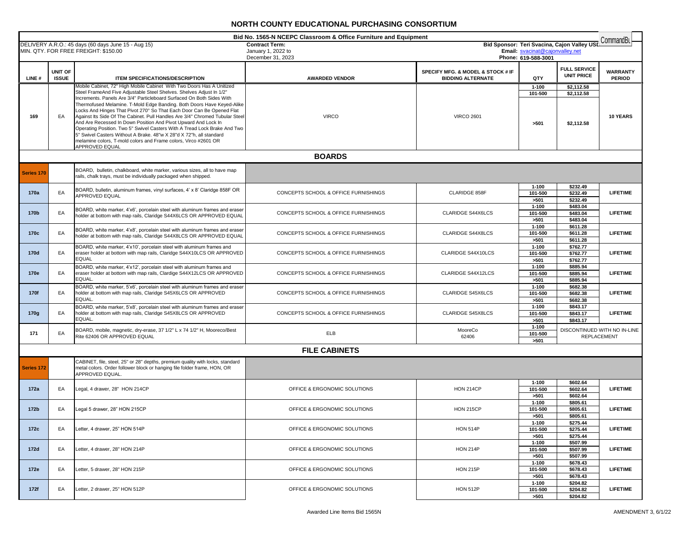| Bid No. 1565-N NCEPC Classroom & Office Furniture and Equipment<br>CommandBu |                         |                                                                                                                                                                                                                                                                                                                                                                                                                                                                                                                                                                                                                                                                                                                                                                      |                                         |                                                               |                                 |                                             |                                                    |
|------------------------------------------------------------------------------|-------------------------|----------------------------------------------------------------------------------------------------------------------------------------------------------------------------------------------------------------------------------------------------------------------------------------------------------------------------------------------------------------------------------------------------------------------------------------------------------------------------------------------------------------------------------------------------------------------------------------------------------------------------------------------------------------------------------------------------------------------------------------------------------------------|-----------------------------------------|---------------------------------------------------------------|---------------------------------|---------------------------------------------|----------------------------------------------------|
|                                                                              |                         | DELIVERY A.R.O.: 45 days (60 days June 15 - Aug 15)                                                                                                                                                                                                                                                                                                                                                                                                                                                                                                                                                                                                                                                                                                                  | <b>Contract Term:</b>                   |                                                               | Email: svacinat@cajonvalley.net | Bid Sponsor: Teri Svacina, Cajon Valley USI |                                                    |
|                                                                              |                         | MIN. QTY. FOR FREE FREIGHT: \$150.00                                                                                                                                                                                                                                                                                                                                                                                                                                                                                                                                                                                                                                                                                                                                 | January 1, 2022 to<br>December 31, 2023 |                                                               | Phone: 619-588-3001             |                                             |                                                    |
| LINE#                                                                        | UNIT OF<br><b>ISSUE</b> | <b>ITEM SPECIFICATIONS/DESCRIPTION</b>                                                                                                                                                                                                                                                                                                                                                                                                                                                                                                                                                                                                                                                                                                                               | <b>AWARDED VENDOR</b>                   | SPECIFY MFG. & MODEL & STOCK # IF<br><b>BIDDING ALTERNATE</b> | QTY                             | <b>FULL SERVICE</b><br><b>UNIT PRICE</b>    | <b>WARRANTY</b><br><b>PERIOD</b>                   |
| 169                                                                          | EA                      | Mobile Cabinet, 72" High Mobile Cabinet With Two Doors Has A Unitized<br>Steel FrameAnd Five Adjustable Steel Shelves. Shelves Adjust In 1/2"<br>Increments. Panels Are 3/4" Particleboard Surfaced On Both Sides With<br>Thermofused Melamine. T-Mold Edge Banding. Both Doors Have Keyed-Alike<br>Locks And Hinges That Pivot 270° So That Each Door Can Be Opened Flat<br>Against Its Side Of The Cabinet. Pull Handles Are 3/4" Chromed Tubular Steel<br>And Are Recessed In Down Position And Pivot Upward And Lock In<br>Operating Position. Two 5" Swivel Casters With A Tread Lock Brake And Two<br>5" Swivel Casters Without A Brake. 48"w X 28"d X 72"h, all standard<br>melamine colors, T-mold colors and Frame colors, Virco #2601 OR<br>APPROVED EQUAL | <b>VIRCO</b>                            | <b>VIRCO 2601</b>                                             | $1 - 100$<br>101-500<br>>501    | \$2,112.58<br>\$2,112.58<br>\$2,112.58      | <b>10 YEARS</b>                                    |
|                                                                              |                         |                                                                                                                                                                                                                                                                                                                                                                                                                                                                                                                                                                                                                                                                                                                                                                      | <b>BOARDS</b>                           |                                                               |                                 |                                             |                                                    |
| <b>Series 170</b>                                                            |                         | BOARD, bulletin, chalkboard, white marker, various sizes, all to have map<br>rails, chalk trays, must be individually packaged when shipped.                                                                                                                                                                                                                                                                                                                                                                                                                                                                                                                                                                                                                         |                                         |                                                               |                                 |                                             |                                                    |
| 170a                                                                         | EA                      | BOARD, bulletin, aluminum frames, vinyl surfaces, 4' x 8' Claridge 858F OR<br><b>APPROVED EQUAL</b>                                                                                                                                                                                                                                                                                                                                                                                                                                                                                                                                                                                                                                                                  | CONCEPTS SCHOOL & OFFICE FURNISHINGS    | CLARIDGE 858F                                                 | $1 - 100$<br>101-500<br>>501    | \$232.49<br>\$232.49<br>\$232.49            | <b>LIFETIME</b>                                    |
| 170b                                                                         | EA                      | BOARD, white marker, 4'x6', porcelain steel with aluminum frames and eraser<br>holder at bottom with map rails, Claridge S44X6LCS OR APPROVED EQUAL                                                                                                                                                                                                                                                                                                                                                                                                                                                                                                                                                                                                                  | CONCEPTS SCHOOL & OFFICE FURNISHINGS    | CLARIDGE S44X6LCS                                             | $1 - 100$<br>101-500<br>>501    | \$483.04<br>\$483.04<br>\$483.04            | <b>LIFETIME</b>                                    |
| 170c                                                                         | EA                      | BOARD, white marker, 4'x8', porcelain steel with aluminum frames and eraser<br>holder at bottom with map rails, Claridge S44X8LCS OR APPROVED EQUAL                                                                                                                                                                                                                                                                                                                                                                                                                                                                                                                                                                                                                  | CONCEPTS SCHOOL & OFFICE FURNISHINGS    | <b>CLARIDGE S44X8LCS</b>                                      | $1 - 100$<br>101-500<br>>501    | \$611.28<br>\$611.28<br>\$611.28            | <b>LIFETIME</b>                                    |
| 170d                                                                         | EA                      | BOARD, white marker, 4'x10', porcelain steel with aluminum frames and<br>eraser holder at bottom with map rails, Claridge S44X10LCS OR APPROVED<br><b>EQUAL</b>                                                                                                                                                                                                                                                                                                                                                                                                                                                                                                                                                                                                      | CONCEPTS SCHOOL & OFFICE FURNISHINGS    | CLARIDGE S44X10LCS                                            | $1 - 100$<br>101-500<br>>501    | \$762.77<br>\$762.77<br>\$762.77            | <b>LIFETIME</b>                                    |
| 170e                                                                         | EA                      | BOARD, white marker, 4'x12', porcelain steel with aluminum frames and<br>eraser holder at bottom with map rails, Clardige S44X12LCS OR APPROVED<br>EQUAL.                                                                                                                                                                                                                                                                                                                                                                                                                                                                                                                                                                                                            | CONCEPTS SCHOOL & OFFICE FURNISHINGS    | CLARIDGE S44X12LCS                                            | $1 - 100$<br>101-500<br>>501    | \$885.94<br>\$885.94<br>\$885.94            | <b>LIFETIME</b>                                    |
| 170f                                                                         | EA                      | BOARD, white marker, 5'x6', porcelain steel with aluminum frames and erase<br>holder at bottom with map rails, Claridge S45X6LCS OR APPROVED<br>EQUAL.                                                                                                                                                                                                                                                                                                                                                                                                                                                                                                                                                                                                               | CONCEPTS SCHOOL & OFFICE FURNISHINGS    | CLARIDGE S45X6LCS                                             | $1 - 100$<br>101-500<br>>501    | \$682.38<br>\$682.38<br>\$682.38            | <b>LIFETIME</b>                                    |
| 170g                                                                         | EA                      | BOARD, white marker, 5'x8', porcelain steel with aluminum frames and eraser<br>holder at bottom with map rails, Claridge S45X8LCS OR APPROVED<br>EQUAL.                                                                                                                                                                                                                                                                                                                                                                                                                                                                                                                                                                                                              | CONCEPTS SCHOOL & OFFICE FURNISHINGS    | CLARIDGE S45X8LCS                                             | $1 - 100$<br>101-500<br>>501    | \$843.17<br>\$843.17<br>\$843.17            | <b>LIFETIME</b>                                    |
| 171                                                                          | EA                      | BOARD, mobile, magnetic, dry-erase, 37 1/2" L x 74 1/2" H, Mooreco/Best<br>Rite 62406 OR APPROVED EQUAL                                                                                                                                                                                                                                                                                                                                                                                                                                                                                                                                                                                                                                                              | ELB                                     | MooreCo<br>62406                                              | $1 - 100$<br>101-500<br>>501    |                                             | DISCONTINUED WITH NO IN-LINE<br><b>REPLACEMENT</b> |
|                                                                              |                         |                                                                                                                                                                                                                                                                                                                                                                                                                                                                                                                                                                                                                                                                                                                                                                      | <b>FILE CABINETS</b>                    |                                                               |                                 |                                             |                                                    |
| Series 172                                                                   |                         | CABINET, file, steel, 25" or 28" depths, premium quality with locks, standard<br>metal colors. Order follower block or hanging file folder frame, HON, OR<br>APPROVED EQUAL.                                                                                                                                                                                                                                                                                                                                                                                                                                                                                                                                                                                         |                                         |                                                               |                                 |                                             |                                                    |
| 172a                                                                         | EA                      | Legal, 4 drawer, 28" HON 214CP                                                                                                                                                                                                                                                                                                                                                                                                                                                                                                                                                                                                                                                                                                                                       | OFFICE & ERGONOMIC SOLUTIONS            | <b>HON 214CP</b>                                              | $1 - 100$<br>101-500<br>>501    | \$602.64<br>\$602.64<br>\$602.64            | <b>LIFETIME</b>                                    |
| 172b                                                                         | EA                      | Legal 5 drawer, 28" HON 215CP                                                                                                                                                                                                                                                                                                                                                                                                                                                                                                                                                                                                                                                                                                                                        | OFFICE & ERGONOMIC SOLUTIONS            | <b>HON 215CP</b>                                              | $1 - 100$<br>101-500<br>>501    | \$805.61<br>\$805.61<br>\$805.61            | <b>LIFETIME</b>                                    |
| 172c                                                                         | EA                      | Letter, 4 drawer, 25" HON 514P                                                                                                                                                                                                                                                                                                                                                                                                                                                                                                                                                                                                                                                                                                                                       | OFFICE & ERGONOMIC SOLUTIONS            | <b>HON 514P</b>                                               | 1-100<br>101-500<br>>501        | \$275.44<br>\$275.44<br>\$275.44            | <b>LIFETIME</b>                                    |
| 172d                                                                         | EA                      | Letter, 4 drawer, 28" HON 214P                                                                                                                                                                                                                                                                                                                                                                                                                                                                                                                                                                                                                                                                                                                                       | OFFICE & ERGONOMIC SOLUTIONS            | <b>HON 214P</b>                                               | 1-100<br>101-500<br>>501        | \$507.99<br>\$507.99<br>\$507.99            | <b>LIFETIME</b>                                    |
| 172e                                                                         | EA                      | Letter, 5 drawer, 28" HON 215P                                                                                                                                                                                                                                                                                                                                                                                                                                                                                                                                                                                                                                                                                                                                       | OFFICE & ERGONOMIC SOLUTIONS            | <b>HON 215P</b>                                               | $1 - 100$<br>101-500<br>>501    | \$678.43<br>\$678.43<br>\$678.43            | <b>LIFETIME</b>                                    |
| 172f                                                                         | EA                      | Letter, 2 drawer, 25" HON 512P                                                                                                                                                                                                                                                                                                                                                                                                                                                                                                                                                                                                                                                                                                                                       | OFFICE & ERGONOMIC SOLUTIONS            | <b>HON 512P</b>                                               | $1 - 100$<br>101-500<br>>501    | \$204.82<br>\$204.82<br>\$204.82            | <b>LIFETIME</b>                                    |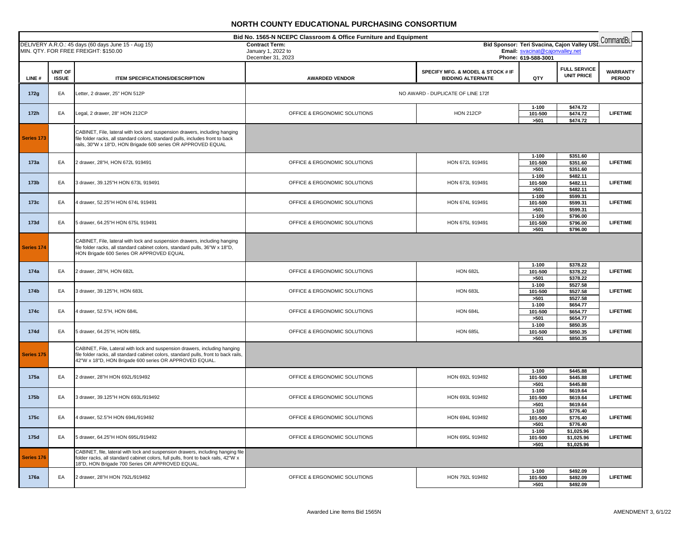| Bid No. 1565-N NCEPC Classroom & Office Furniture and Equipment |                |                                                                                                                                                                       |                                         |                                   |                                                        | CommandBu                                   |                 |
|-----------------------------------------------------------------|----------------|-----------------------------------------------------------------------------------------------------------------------------------------------------------------------|-----------------------------------------|-----------------------------------|--------------------------------------------------------|---------------------------------------------|-----------------|
|                                                                 |                | DELIVERY A.R.O.: 45 days (60 days June 15 - Aug 15)                                                                                                                   | <b>Contract Term:</b>                   |                                   |                                                        | Bid Sponsor: Teri Svacina, Cajon Valley USD |                 |
|                                                                 |                | MIN. QTY. FOR FREE FREIGHT: \$150.00                                                                                                                                  | January 1, 2022 to<br>December 31, 2023 |                                   | Email: svacinat@cajonvalley.net<br>Phone: 619-588-3001 |                                             |                 |
|                                                                 |                |                                                                                                                                                                       |                                         |                                   |                                                        |                                             |                 |
|                                                                 | <b>UNIT OF</b> |                                                                                                                                                                       |                                         | SPECIFY MFG. & MODEL & STOCK # IF |                                                        | <b>FULL SERVICE</b><br><b>UNIT PRICE</b>    | <b>WARRANTY</b> |
| LINE#                                                           | <b>ISSUE</b>   | ITEM SPECIFICATIONS/DESCRIPTION                                                                                                                                       | <b>AWARDED VENDOR</b>                   | <b>BIDDING ALTERNATE</b>          | QTY                                                    |                                             | <b>PERIOD</b>   |
|                                                                 |                |                                                                                                                                                                       |                                         |                                   |                                                        |                                             |                 |
| 172g                                                            | EA             | etter, 2 drawer, 25" HON 512P                                                                                                                                         |                                         | NO AWARD - DUPLICATE OF LINE 172f |                                                        |                                             |                 |
|                                                                 |                |                                                                                                                                                                       |                                         |                                   | $1 - 100$                                              | \$474.72                                    |                 |
| 172h                                                            | EA             | Legal, 2 drawer, 28" HON 212CP                                                                                                                                        | OFFICE & ERGONOMIC SOLUTIONS            | <b>HON 212CP</b>                  | 101-500                                                | \$474.72                                    | <b>LIFETIME</b> |
|                                                                 |                |                                                                                                                                                                       |                                         |                                   | >501                                                   | \$474.72                                    |                 |
|                                                                 |                | CABINET, File, lateral with lock and suspension drawers, including hanging                                                                                            |                                         |                                   |                                                        |                                             |                 |
| Series 173                                                      |                | file folder racks, all standard colors, standard pulls, includes front to back                                                                                        |                                         |                                   |                                                        |                                             |                 |
|                                                                 |                | rails, 30"W x 18"D, HON Brigade 600 series OR APPROVED EQUAL                                                                                                          |                                         |                                   |                                                        |                                             |                 |
|                                                                 |                |                                                                                                                                                                       |                                         |                                   | $1 - 100$                                              | \$351.60                                    |                 |
| 173a                                                            | EA             | 2 drawer, 28"H, HON 672L 919491                                                                                                                                       | OFFICE & ERGONOMIC SOLUTIONS            | HON 672L 919491                   | 101-500                                                | \$351.60                                    | <b>LIFETIME</b> |
|                                                                 |                |                                                                                                                                                                       |                                         |                                   | >501                                                   | \$351.60                                    |                 |
|                                                                 |                |                                                                                                                                                                       |                                         |                                   | $1 - 100$                                              | \$482.11                                    |                 |
| 173 <sub>b</sub>                                                | EA             | 3 drawer, 39.125"H HON 673L 919491                                                                                                                                    | OFFICE & ERGONOMIC SOLUTIONS            | HON 673L 919491                   | 101-500<br>>501                                        | \$482.11<br>\$482.11                        | <b>LIFETIME</b> |
|                                                                 |                |                                                                                                                                                                       |                                         |                                   | $1 - 100$                                              | \$599.31                                    |                 |
| 173c                                                            | EA             | 4 drawer, 52.25"H HON 674L 919491                                                                                                                                     | OFFICE & ERGONOMIC SOLUTIONS            | HON 674L 919491                   | 101-500                                                | \$599.31                                    | <b>LIFETIME</b> |
|                                                                 |                |                                                                                                                                                                       |                                         |                                   | >501                                                   | \$599.31                                    |                 |
|                                                                 |                |                                                                                                                                                                       |                                         |                                   | $1 - 100$                                              | \$796.00                                    |                 |
| 173d                                                            | EA             | 5 drawer, 64.25"H HON 675L 919491                                                                                                                                     | OFFICE & ERGONOMIC SOLUTIONS            | HON 675L 919491                   | 101-500<br>>501                                        | \$796.00<br>\$796.00                        | <b>LIFETIME</b> |
|                                                                 |                |                                                                                                                                                                       |                                         |                                   |                                                        |                                             |                 |
|                                                                 |                | CABINET, File, lateral with lock and suspension drawers, including hanging                                                                                            |                                         |                                   |                                                        |                                             |                 |
| Series 174                                                      |                | file folder racks, all standard cabinet colors, standard pulls, 36"W x 18"D,<br>HON Brigade 600 Series OR APPROVED EQUAL                                              |                                         |                                   |                                                        |                                             |                 |
|                                                                 |                |                                                                                                                                                                       |                                         |                                   |                                                        |                                             |                 |
| 174a                                                            | EA             | 2 drawer, 28"H, HON 682L                                                                                                                                              | OFFICE & ERGONOMIC SOLUTIONS            | <b>HON 682L</b>                   | $1 - 100$<br>101-500                                   | \$378.22<br>\$378.22                        | <b>LIFETIME</b> |
|                                                                 |                |                                                                                                                                                                       |                                         |                                   | >501                                                   | \$378.22                                    |                 |
|                                                                 |                |                                                                                                                                                                       |                                         |                                   | $1 - 100$                                              | \$527.58                                    |                 |
| 174b                                                            | EA             | 3 drawer, 39.125"H, HON 683L                                                                                                                                          | OFFICE & ERGONOMIC SOLUTIONS            | <b>HON 683L</b>                   | 101-500                                                | \$527.58                                    | <b>LIFETIME</b> |
|                                                                 |                |                                                                                                                                                                       |                                         |                                   | >501                                                   | \$527.58                                    |                 |
| 174c                                                            | EA             | 4 drawer, 52.5"H, HON 684L                                                                                                                                            | OFFICE & ERGONOMIC SOLUTIONS            | <b>HON 684L</b>                   | $1 - 100$<br>101-500                                   | \$654.77<br>\$654.77                        | <b>LIFETIME</b> |
|                                                                 |                |                                                                                                                                                                       |                                         |                                   | >501                                                   | \$654.77                                    |                 |
|                                                                 |                |                                                                                                                                                                       |                                         |                                   | $1 - 100$                                              | \$850.35                                    |                 |
| 174d                                                            | EA             | 5 drawer, 64.25"H, HON 685L                                                                                                                                           | OFFICE & ERGONOMIC SOLUTIONS            | <b>HON 685L</b>                   | 101-500                                                | \$850.35                                    | <b>LIFETIME</b> |
|                                                                 |                |                                                                                                                                                                       |                                         |                                   | >501                                                   | \$850.35                                    |                 |
|                                                                 |                | CABINET, File, Lateral with lock and suspension drawers, including hanging                                                                                            |                                         |                                   |                                                        |                                             |                 |
| Series 175                                                      |                | file folder racks, all standard cabinet colors, standard pulls, front to back rails,<br>42"W x 18"D, HON Brigade 600 series OR APPROVED EQUAL.                        |                                         |                                   |                                                        |                                             |                 |
|                                                                 |                |                                                                                                                                                                       |                                         |                                   |                                                        |                                             |                 |
| 175a                                                            | EA             | 2 drawer, 28"H HON 692L/919492                                                                                                                                        | OFFICE & ERGONOMIC SOLUTIONS            | HON 692L 919492                   | $1 - 100$<br>101-500                                   | \$445.88<br>\$445.88                        | <b>LIFETIME</b> |
|                                                                 |                |                                                                                                                                                                       |                                         |                                   | >501                                                   | \$445.88                                    |                 |
|                                                                 |                |                                                                                                                                                                       |                                         |                                   | $1 - 100$                                              | \$619.64                                    |                 |
| 175b                                                            | EA             | 3 drawer, 39.125"H HON 693L/919492                                                                                                                                    | OFFICE & ERGONOMIC SOLUTIONS            | HON 693L 919492                   | 101-500                                                | \$619.64                                    | <b>LIFETIME</b> |
|                                                                 |                |                                                                                                                                                                       |                                         |                                   | >501                                                   | \$619.64<br>\$776.40                        |                 |
| 175c                                                            | EA             | 4 drawer, 52.5"H HON 694L/919492                                                                                                                                      | OFFICE & ERGONOMIC SOLUTIONS            | HON 694L 919492                   | $1 - 100$<br>101-500                                   | \$776.40                                    | <b>LIFETIME</b> |
|                                                                 |                |                                                                                                                                                                       |                                         |                                   | >501                                                   | \$776.40                                    |                 |
|                                                                 |                |                                                                                                                                                                       |                                         |                                   | $1 - 100$                                              | \$1,025.96                                  |                 |
| 175d                                                            | EA             | 5 drawer, 64.25"H HON 695L/919492                                                                                                                                     | OFFICE & ERGONOMIC SOLUTIONS            | HON 695L 919492                   | 101-500                                                | \$1,025.96                                  | <b>LIFETIME</b> |
|                                                                 |                |                                                                                                                                                                       |                                         |                                   | >501                                                   | \$1,025.96                                  |                 |
| Series 176                                                      |                | CABINET, file, lateral with lock and suspension drawers, including hanging file<br>folder racks, all standard cabinet colors, full pulls, front to back rails, 42"W x |                                         |                                   |                                                        |                                             |                 |
|                                                                 |                | 18"D, HON Brigade 700 Series OR APPROVED EQUAL                                                                                                                        |                                         |                                   |                                                        |                                             |                 |
|                                                                 |                | 2 drawer, 28"H HON 792L/919492                                                                                                                                        |                                         |                                   | $1 - 100$                                              | \$492.09                                    | <b>LIFETIME</b> |
| 176a                                                            | EA             |                                                                                                                                                                       | OFFICE & ERGONOMIC SOLUTIONS            | HON 792L 919492                   | 101-500<br>>501                                        | \$492.09<br>\$492.09                        |                 |
|                                                                 |                |                                                                                                                                                                       |                                         |                                   |                                                        |                                             |                 |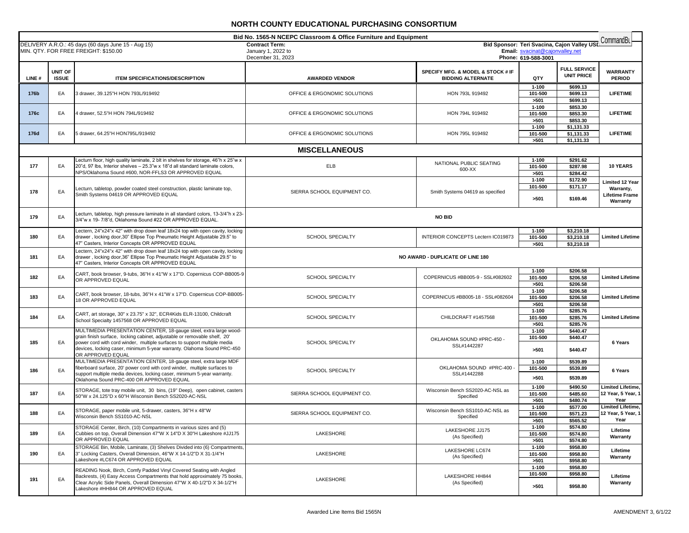| Bid No. 1565-N NCEPC Classroom & Office Furniture and Equipment                                                                                                                                                              |                         |                                                                                                                                                                                                                                                                                                                           |                                  |                                                               | CommandBu                    |                                          |                                                 |
|------------------------------------------------------------------------------------------------------------------------------------------------------------------------------------------------------------------------------|-------------------------|---------------------------------------------------------------------------------------------------------------------------------------------------------------------------------------------------------------------------------------------------------------------------------------------------------------------------|----------------------------------|---------------------------------------------------------------|------------------------------|------------------------------------------|-------------------------------------------------|
| DELIVERY A.R.O.: 45 days (60 days June 15 - Aug 15)<br>Bid Sponsor: Teri Svacina, Cajon Valley USD<br><b>Contract Term:</b><br>Email: svacinat@cajonvalley.net<br>MIN. QTY. FOR FREE FREIGHT: \$150.00<br>January 1, 2022 to |                         |                                                                                                                                                                                                                                                                                                                           |                                  |                                                               |                              |                                          |                                                 |
|                                                                                                                                                                                                                              |                         |                                                                                                                                                                                                                                                                                                                           | December 31, 2023                |                                                               | Phone: 619-588-3001          |                                          |                                                 |
| LINE#                                                                                                                                                                                                                        | UNIT OF<br><b>ISSUE</b> | <b>ITEM SPECIFICATIONS/DESCRIPTION</b>                                                                                                                                                                                                                                                                                    | <b>AWARDED VENDOR</b>            | SPECIFY MFG. & MODEL & STOCK # IF<br><b>BIDDING ALTERNATE</b> | QTY                          | <b>FULL SERVICE</b><br><b>UNIT PRICE</b> | <b>WARRANTY</b><br><b>PERIOD</b>                |
| 176b                                                                                                                                                                                                                         | EA                      | 3 drawer, 39.125"H HON 793L/919492                                                                                                                                                                                                                                                                                        | OFFICE & ERGONOMIC SOLUTIONS     | HON 793L 919492                                               | $1 - 100$<br>101-500<br>>501 | \$699.13<br>\$699.13<br>\$699.13         | <b>LIFETIME</b>                                 |
| 176c                                                                                                                                                                                                                         | EA                      | 4 drawer, 52.5"H HON 794L/919492                                                                                                                                                                                                                                                                                          | OFFICE & ERGONOMIC SOLUTIONS     | HON 794L 919492                                               | $1 - 100$<br>101-500<br>>501 | \$853.30<br>\$853.30<br>\$853.30         | <b>LIFETIME</b>                                 |
| 176d                                                                                                                                                                                                                         | EA                      | 5 drawer, 64.25"H HON795L/919492                                                                                                                                                                                                                                                                                          | OFFICE & ERGONOMIC SOLUTIONS     | HON 795L 919492                                               | $1 - 100$<br>101-500<br>>501 | \$1,131.33<br>\$1,131.33<br>\$1,131.33   | <b>LIFETIME</b>                                 |
|                                                                                                                                                                                                                              |                         |                                                                                                                                                                                                                                                                                                                           | <b>MISCELLANEOUS</b>             |                                                               |                              |                                          |                                                 |
|                                                                                                                                                                                                                              |                         | Lecturn floor, high quality laminate, 2 blt in shelves for storage, 46"h x 25"w x                                                                                                                                                                                                                                         |                                  |                                                               | $1 - 100$                    | \$291.62                                 |                                                 |
| 177                                                                                                                                                                                                                          | EA                      | 20"d, 97 lbs, Interior shelves - 25.3"w x 18"d all standard laminate colors,<br>NPS/Oklahoma Sound #600, NOR-FFLS3 OR APPROVED EQUAL                                                                                                                                                                                      | <b>ELB</b>                       | NATIONAL PUBLIC SEATING<br>600-XX                             | 101-500<br>>501              | \$287.98<br>\$284.42                     | 10 YEARS                                        |
|                                                                                                                                                                                                                              |                         |                                                                                                                                                                                                                                                                                                                           |                                  |                                                               | $1 - 100$<br>101-500         | \$172.90<br>\$171.17                     | <b>Limited 12 Year</b>                          |
| 178                                                                                                                                                                                                                          | EA                      | Lecturn, tabletop, powder coated steel construction, plastic laminate top,<br>Smith Systems 04619 OR APPROVED EQUAL                                                                                                                                                                                                       | SIERRA SCHOOL EQUIPMENT CO.      | Smith Systems 04619 as specified                              | >501                         | \$169.46                                 | Warranty,<br>Lifetime Frame<br>Warranty         |
| 179                                                                                                                                                                                                                          | EA                      | Lecturn, tabletop, high pressure laminate in all standard colors, 13-3/4"h x 23-<br>3/4"w x 19- 7/8"d, Oklahoma Sound #22 OR APPROVED EQUAL.                                                                                                                                                                              |                                  | NO BID                                                        |                              |                                          |                                                 |
| 180                                                                                                                                                                                                                          | EA                      | Lectern, 24"x24"x 42" with drop down leaf 18x24 top with open cavity, locking<br>drawer, locking door, 30" Ellipse Top Pneumatic Height Adjustable 29.5" to<br>47" Casters, Interior Concepts OR APPROVED EQUAL                                                                                                           | SCHOOL SPECIALTY                 | INTERIOR CONCEPTS Lectern IC019873                            | $1 - 100$<br>101-500<br>>501 | \$3,210.18<br>\$3,210.18<br>\$3,210.18   | <b>Limited Lifetime</b>                         |
| 181                                                                                                                                                                                                                          | EA                      | Lectern, 24"x24"x 42" with drop down leaf 18x24 top with open cavity, locking<br>drawer, locking door, 36" Ellipse Top Pneumatic Height Adjustable 29.5" to<br>47" Casters, Interior Concepts OR APPROVED EQUAL                                                                                                           | NO AWARD - DUPLICATE OF LINE 180 |                                                               |                              |                                          |                                                 |
| 182                                                                                                                                                                                                                          | EA                      | CART, book browser, 9-tubs, 36"H x 41"W x 17"D. Copernicus COP-BB005-9<br>OR APPROVED EQUAL                                                                                                                                                                                                                               | SCHOOL SPECIALTY                 | COPERNICUS #BB005-9 - SSL#082602                              | $1 - 100$<br>101-500<br>>501 | \$206.58<br>\$206.58<br>\$206.58         | <b>Limited Lifetime</b>                         |
| 183                                                                                                                                                                                                                          | EA                      | CART, book browser, 18-tubs, 36"H x 41"W x 17"D. Copernicus COP-BB005-<br>18 OR APPROVED EQUAL                                                                                                                                                                                                                            | <b>SCHOOL SPECIALTY</b>          | COPERNICUS #BB005-18 - SSL#082604                             | $1 - 100$<br>101-500<br>>501 | \$206.58<br>\$206.58<br>\$206.58         | <b>Limited Lifetime</b>                         |
| 184                                                                                                                                                                                                                          | EA                      | CART, art storage, 30" x 23.75" x 32", ECR4Kids ELR-13100, Childcraft<br>School Specialty 1457568 OR APPROVED EQUAL                                                                                                                                                                                                       | <b>SCHOOL SPECIALTY</b>          | CHILDCRAFT #1457568                                           | $1 - 100$<br>101-500<br>>501 | \$285.76<br>\$285.76<br>\$285.76         | <b>Limited Lifetime</b>                         |
| 185                                                                                                                                                                                                                          | EA                      | MULTIMEDIA PRESENTATION CENTER, 18-gauge steel, extra large wood-<br>grain finish surface, locking cabinet, adjustable or removable shelf, 20'<br>power cord with cord winder, multiple surfaces to support multiple media<br>devices, locking caser, minimum 5-year warranty. Olahoma Sound PRC-450<br>OR APPROVED EQUAL | SCHOOL SPECIALTY                 | OKLAHOMA SOUND #PRC-450 -<br>SSL#1442287                      | $1 - 100$<br>101-500<br>>501 | \$440.47<br>\$440.47<br>\$440.47         | 6 Years                                         |
| 186                                                                                                                                                                                                                          | EA                      | MULTIMEDIA PRESENTATION CENTER, 18-gauge steel, extra large MDF<br>fiberboard surface, 20' power cord with cord winder, multiple surfaces to<br>support multiple media devices, locking caser, minimum 5-year warranty.<br>Oklahoma Sound PRC-400 OR APPROVED EQUAL                                                       | <b>SCHOOL SPECIALTY</b>          | OKLAHOMA SOUND #PRC-400<br>SSL#1442288                        | $1 - 100$<br>101-500<br>>501 | \$539.89<br>\$539.89<br>\$539.89         | 6 Years                                         |
| 187                                                                                                                                                                                                                          | EA                      | STORAGE, tote tray mobile unit, 30 bins, (19" Deep), open cabinet, casters<br>50"W x 24.125"D x 60"H Wisconsin Bench SS2020-AC-NSL                                                                                                                                                                                        | SIERRA SCHOOL EQUIPMENT CO.      | Wisconsin Bench SS2020-AC-NSL as<br>Specified                 | $1 - 100$<br>101-500<br>>501 | \$490.50<br>\$485.60<br>\$480.74         | Limited Lifetime,<br>12 Year, 5 Year, 1<br>Year |
| 188                                                                                                                                                                                                                          | EA                      | STORAGE, paper mobile unit, 5-drawer, casters, 36"H x 48"W<br>Wisconsin Bench SS1010-AC-NSL                                                                                                                                                                                                                               | SIERRA SCHOOL EQUIPMENT CO.      | Wisconsin Bench SS1010-AC-NSL as<br>Specified                 | $1 - 100$<br>101-500<br>>501 | \$577.00<br>\$571.23<br>\$565.52         | Limited Lifetime,<br>12 Year, 5 Year, 1<br>Year |
| 189                                                                                                                                                                                                                          | EA                      | STORAGE Center, Birch, (10) Compartments in various sizes and (5)<br>Cubbies on top. Overall Dimension 47"W X 14"D X 30"H Lakeshore #JJ175<br>OR APPROVED EQUAL                                                                                                                                                           | LAKESHORE                        | LAKESHORE JJ175<br>(As Specified)                             | $1 - 100$<br>101-500<br>>501 | \$574.80<br>\$574.80<br>\$574.80         | Lifetime<br>Warranty                            |
| 190                                                                                                                                                                                                                          | EA                      | STORAGE Bin, Mobile, Laminate, (3) Shelves Divided into (6) Compartments.<br>3" Locking Casters, Overall Dimension, 46"W X 14-1/2"D X 31-1/4"H<br>Lakeshore #LC674 OR APPROVED EQUAL                                                                                                                                      | LAKESHORE                        | LAKESHORE LC674<br>(As Specified)                             | $1 - 100$<br>101-500<br>>501 | \$958.80<br>\$958.80<br>\$958.80         | Lifetime<br>Warranty                            |
| 191                                                                                                                                                                                                                          | EA                      | READING Nook, Birch, Comfy Padded Vinyl Covered Seating with Angled<br>Backrests, (4) Easy Access Compartments that hold approximately 75 books.<br>Clear Acrylic Side Panels, Overall Dimension 47"W X 40-1/2"D X 34-1/2"H<br>Lakeshore #HH844 OR APPROVED EQUAL                                                         | LAKESHORE                        | <b>LAKESHORE HH844</b><br>(As Specified)                      | $1 - 100$<br>101-500<br>>501 | \$958.80<br>\$958.80<br>\$958.80         | Lifetime<br>Warranty                            |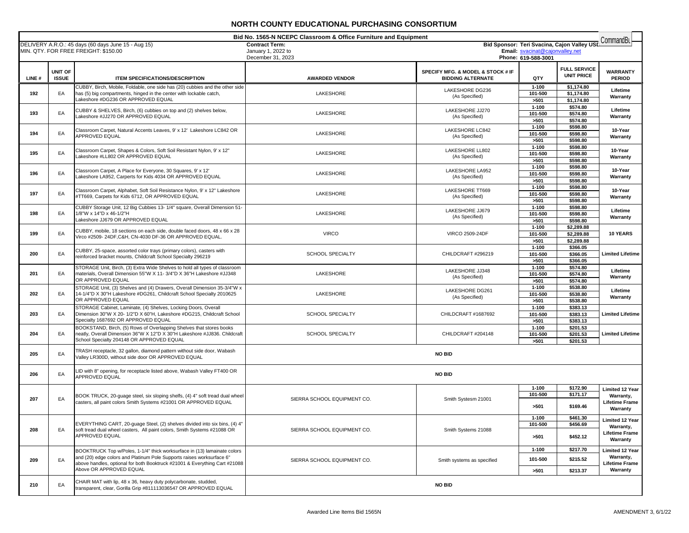| Bid No. 1565-N NCEPC Classroom & Office Furniture and Equipment |                         |                                                                                                                                                     |                                             |                                                               | CommandBu                       |                                             |                                    |
|-----------------------------------------------------------------|-------------------------|-----------------------------------------------------------------------------------------------------------------------------------------------------|---------------------------------------------|---------------------------------------------------------------|---------------------------------|---------------------------------------------|------------------------------------|
|                                                                 |                         | DELIVERY A.R.O.: 45 days (60 days June 15 - Aug 15)<br>MIN. QTY. FOR FREE FREIGHT: \$150.00                                                         | <b>Contract Term:</b><br>January 1, 2022 to |                                                               | Email: svacinat@cajonvalley.net | Bid Sponsor: Teri Svacina, Cajon Valley USD |                                    |
|                                                                 |                         |                                                                                                                                                     | December 31, 2023                           |                                                               | Phone: 619-588-3001             |                                             |                                    |
|                                                                 |                         |                                                                                                                                                     |                                             |                                                               |                                 | <b>FULL SERVICE</b>                         |                                    |
| LINE#                                                           | UNIT OF<br><b>ISSUE</b> | <b>ITEM SPECIFICATIONS/DESCRIPTION</b>                                                                                                              | <b>AWARDED VENDOR</b>                       | SPECIFY MFG. & MODEL & STOCK # IF<br><b>BIDDING ALTERNATE</b> | QTY                             | <b>UNIT PRICE</b>                           | <b>WARRANTY</b><br><b>PERIOD</b>   |
|                                                                 |                         |                                                                                                                                                     |                                             |                                                               |                                 |                                             |                                    |
| 192                                                             | EA                      | CUBBY, Birch, Mobile, Foldable, one side has (20) cubbies and the other side<br>has (5) big compartments, hinged in the center with lockable catch, | LAKESHORE                                   | LAKESHORE DG236                                               | $1 - 100$<br>101-500            | \$1,174.80<br>\$1,174.80                    | Lifetime                           |
|                                                                 |                         | Lakeshore #DG236 OR APPROVED EQUAL                                                                                                                  |                                             | (As Specified)                                                | >501                            | \$1,174.80                                  | Warranty                           |
|                                                                 |                         | CUBBY & SHELVES, Birch, (6) cubbies on top and (2) shelves below,                                                                                   |                                             | LAKESHORE JJ270                                               | $1 - 100$                       | \$574.80                                    | Lifetime                           |
| 193                                                             | EA                      | Lakeshore #JJ270 OR APPROVED EQUAL                                                                                                                  | LAKESHORE                                   | (As Specified)                                                | 101-500                         | \$574.80                                    | Warranty                           |
|                                                                 |                         |                                                                                                                                                     |                                             |                                                               | >501<br>$1 - 100$               | \$574.80<br>\$598.80                        |                                    |
| 194                                                             | EA                      | Classroom Carpet, Natural Accents Leaves, 9' x 12' Lakeshore LC842 OR                                                                               | LAKESHORE                                   | LAKESHORE LC842                                               | 101-500                         | \$598.80                                    | 10-Year                            |
|                                                                 |                         | APPROVED EQUAL                                                                                                                                      |                                             | (As Specified)                                                | >501                            | \$598.80                                    | Warranty                           |
|                                                                 |                         | Classroom Carpet, Shapes & Colors, Soft Soil Resistant Nylon, 9' x 12"                                                                              |                                             | LAKESHORE LL802                                               | $1 - 100$                       | \$598.80                                    | 10-Year                            |
| 195                                                             | EA                      | Lakeshore #LL802 OR APPROVED EQUAL                                                                                                                  | LAKESHORE                                   | (As Specified)                                                | 101-500                         | \$598.80                                    | Warranty                           |
|                                                                 |                         |                                                                                                                                                     |                                             |                                                               | >501<br>$1 - 100$               | \$598.80<br>\$598.80                        |                                    |
| 196                                                             | EA                      | Classroom Carpet, A Place for Everyone, 30 Squares, 9' x 12'                                                                                        | LAKESHORE                                   | LAKESHORE LA952                                               | 101-500                         | \$598.80                                    | 10-Year                            |
|                                                                 |                         | Lakeshore LA952, Carperts for Kids 4034 OR APPROVED EQUAL                                                                                           |                                             | (As Specified)                                                | >501                            | \$598.80                                    | Warranty                           |
|                                                                 |                         | Classroom Carpet, Alphabet, Soft Soil Resistance Nylon, 9' x 12" Lakeshore                                                                          |                                             | LAKESHORE TT669                                               | $1 - 100$                       | \$598.80                                    | 10-Year                            |
| 197                                                             | EA                      | #TT669, Carpets for Kids 6712, OR APPROVED EQUAL                                                                                                    | LAKESHORE                                   | (As Specified)                                                | 101-500                         | \$598.80                                    | Warranty                           |
|                                                                 |                         | CUBBY Storage Unit, 12 Big Cubbies 13- 1/4" square, Overall Dimension 51-                                                                           |                                             |                                                               | >501<br>$1 - 100$               | \$598.80<br>\$598.80                        |                                    |
| 198                                                             | EA                      | 1/8"W x 14"D x 46-1/2"H                                                                                                                             | LAKESHORE                                   | LAKESHORE JJ679                                               | 101-500                         | \$598.80                                    | Lifetime                           |
|                                                                 |                         | Lakeshore JJ679 OR APPROVED EQUAL                                                                                                                   |                                             | (As Specified)                                                | >501                            | \$598.80                                    | Warranty                           |
|                                                                 |                         | CUBBY, mobile, 18 sections on each side, double faced doors, 48 x 66 x 28                                                                           |                                             |                                                               | $1 - 100$                       | \$2,289.88                                  |                                    |
| 199                                                             | EA                      | Virco #2509-24DF, C&H, CN-4030 DF-36 OR APPROVED EQUAL.                                                                                             | <b>VIRCO</b>                                | <b>VIRCO 2509-24DF</b>                                        | 101-500<br>>501                 | \$2,289.88<br>\$2,289.88                    | <b>10 YEARS</b>                    |
|                                                                 |                         |                                                                                                                                                     |                                             |                                                               | $1 - 100$                       | \$366.05                                    |                                    |
| 200                                                             | EA                      | CUBBY, 25-space, assorted color trays (primary colors), casters with<br>reinforced bracket mounts, Childcraft School Specialty 296219               | <b>SCHOOL SPECIALTY</b>                     | CHILDCRAFT #296219                                            | 101-500                         | \$366.05                                    | <b>Limited Lifetime</b>            |
|                                                                 |                         |                                                                                                                                                     |                                             |                                                               | >501                            | \$366.05                                    |                                    |
|                                                                 |                         | STORAGE Unit, Birch, (3) Extra Wide Shelves to hold all types of classroom<br>materials. Overall Dimension 55"W X 11- 3/4"D X 36"H Lakeshore #JJ348 |                                             | LAKESHORE JJ348                                               | $1 - 100$                       | \$574.80                                    | Lifetime                           |
| 201                                                             | EA                      | OR APPROVED EQUAL                                                                                                                                   | LAKESHORE                                   | (As Specified)                                                | 101-500<br>>501                 | \$574.80<br>\$574.80                        | Warranty                           |
|                                                                 |                         | STORAGE Unit, (3) Shelves and (4) Drawers, Overall Dimension 35-3/4"W x                                                                             |                                             |                                                               | $1 - 100$                       | \$538.80                                    |                                    |
| 202                                                             | EA                      | 14-1/4"D X 30"H Lakeshore #DG261, Childcraft School Specialty 2010625                                                                               | LAKESHORE                                   | LAKESHORE DG261<br>(As Specified)                             | 101-500                         | \$538.80                                    | Lifetime<br>Warranty               |
|                                                                 |                         | OR APPROVED EQUAL                                                                                                                                   |                                             |                                                               | >501                            | \$538.80                                    |                                    |
| 203                                                             | EA                      | STORAGE Cabinet, Laminate, (4) Shelves, Locking Doors, Overall<br>Dimension 30"W X 20- 1/2"D X 60"H, Lakeshore #DG215, Childcraft School            | SCHOOL SPECIALTY                            | CHILDCRAFT #1687692                                           | $1 - 100$<br>101-500            | \$383.13<br>\$383.13                        | <b>Limited Lifetime</b>            |
|                                                                 |                         | Specialty 1687692 OR APPROVED EQUAL                                                                                                                 |                                             |                                                               | >501                            | \$383.13                                    |                                    |
|                                                                 |                         | BOOKSTAND, Birch, (5) Rows of Overlapping Shelves that stores books                                                                                 |                                             |                                                               | $1 - 100$                       | \$201.53                                    |                                    |
| 204                                                             | EA                      | neatly, Overall Dimension 36"W X 12"D X 30"H Lakeshore #JJ836. Childcraft                                                                           | <b>SCHOOL SPECIALTY</b>                     | CHILDCRAFT #204148                                            | 101-500                         | \$201.53                                    | <b>Limited Lifetime</b>            |
|                                                                 |                         | School Specialty 204148 OR APPROVED EQUAL                                                                                                           |                                             |                                                               | >501                            | \$201.53                                    |                                    |
| 205                                                             | EA                      | TRASH receptacle, 32 gallon, diamond pattern without side door, Wabash<br>Valley LR300D, without side door OR APPROVED EQUAL                        |                                             | <b>NO BID</b>                                                 |                                 |                                             |                                    |
| 206                                                             | EA                      | LID with 8" opening, for receptacle listed above, Wabash Valley FT400 OR<br>APPROVED EQUAL                                                          |                                             | <b>NO BID</b>                                                 |                                 |                                             |                                    |
|                                                                 |                         |                                                                                                                                                     |                                             |                                                               | $1 - 100$                       | \$172.90                                    | <b>Limited 12 Year</b>             |
| 207                                                             | EA                      | BOOK TRUCK, 20-guage steel, six sloping shelfs, (4) 4" soft tread dual wheel                                                                        | SIERRA SCHOOL EQUIPMENT CO.                 | Smith Systesm 21001                                           | 101-500                         | \$171.17                                    | Warranty,                          |
|                                                                 |                         | casters, all paint colors Smith Systems #21001 OR APPROVED EQUAL                                                                                    |                                             |                                                               | >501                            | \$169.46                                    | <b>Lifetime Frame</b>              |
|                                                                 |                         |                                                                                                                                                     |                                             |                                                               |                                 |                                             | Warranty                           |
|                                                                 |                         | EVERYTHING CART, 20-guage Steel, (2) shelves divided into six bins, (4) 4'                                                                          |                                             |                                                               | $1 - 100$                       | \$461.30                                    | Limited 12 Year                    |
| 208                                                             | EA                      | soft tread dual wheel casters, All paint colors, Smith Systems #21088 OR                                                                            | SIERRA SCHOOL EQUIPMENT CO.                 | Smith Systems 21088                                           | 101-500                         | \$456.69                                    | Warranty,<br><b>Lifetime Frame</b> |
|                                                                 |                         | APPROVED EQUAL                                                                                                                                      |                                             |                                                               | >501                            | \$452.12                                    | Warranty                           |
|                                                                 |                         |                                                                                                                                                     |                                             |                                                               |                                 |                                             |                                    |
|                                                                 |                         | BOOKTRUCK Top w/Poles, 1-1/4" thick worksurface in (13) lamainate colors<br>and (20) edge colors and Platinum Pole Supports raises worksurface 6"   |                                             |                                                               | 1-100                           | \$217.70                                    | Limited 12 Year<br>Warranty,       |
| 209                                                             | EA                      | above handles, optional for both Booktruck #21001 & Everything Cart #21088                                                                          | SIERRA SCHOOL EQUIPMENT CO.                 | Smith systems as specified                                    | 101-500                         | \$215.52                                    | Lifetime Frame                     |
|                                                                 |                         | Above OR APPROVED EQUAL                                                                                                                             |                                             |                                                               | >501                            | \$213.37                                    | Warranty                           |
|                                                                 |                         | CHAIR MAT with lip, 48 x 36, heavy duty polycarbonate, studded,                                                                                     |                                             |                                                               |                                 |                                             |                                    |
| 210                                                             | EA                      | transparent, clear, Gorilla Grip #811113036547 OR APPROVED EQUAL                                                                                    |                                             | <b>NO BID</b>                                                 |                                 |                                             |                                    |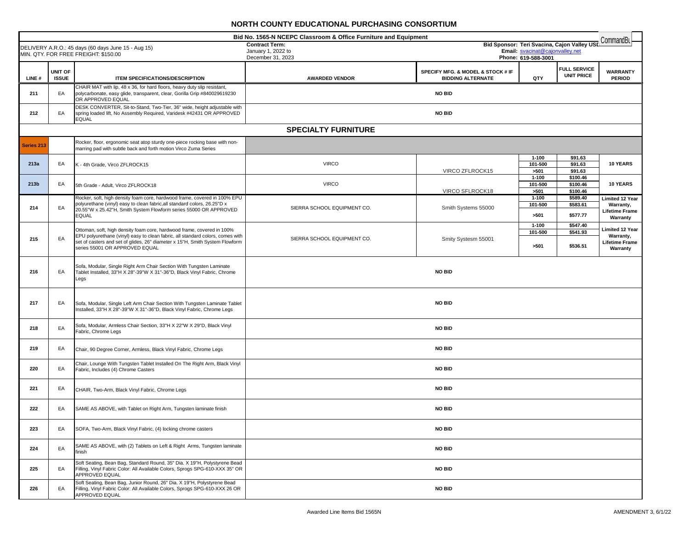|            | Bid No. 1565-N NCEPC Classroom & Office Furniture and Equipment<br>CommandBu |                                                                                                                                                                             |                                                                                                         |                                                               |                      |                                          |                                  |
|------------|------------------------------------------------------------------------------|-----------------------------------------------------------------------------------------------------------------------------------------------------------------------------|---------------------------------------------------------------------------------------------------------|---------------------------------------------------------------|----------------------|------------------------------------------|----------------------------------|
|            |                                                                              | DELIVERY A.R.O.: 45 days (60 days June 15 - Aug 15)                                                                                                                         | Bid Sponsor: Teri Svacina, Cajon Valley USD<br><b>Contract Term:</b><br>Email: svacinat@cajonvalley.net |                                                               |                      |                                          |                                  |
|            |                                                                              | MIN. QTY. FOR FREE FREIGHT: \$150.00                                                                                                                                        | January 1, 2022 to<br>December 31, 2023                                                                 |                                                               | Phone: 619-588-3001  |                                          |                                  |
|            |                                                                              |                                                                                                                                                                             |                                                                                                         |                                                               |                      |                                          |                                  |
| LINE#      | UNIT OF<br><b>ISSUE</b>                                                      | <b>ITEM SPECIFICATIONS/DESCRIPTION</b>                                                                                                                                      | <b>AWARDED VENDOR</b>                                                                                   | SPECIFY MFG. & MODEL & STOCK # IF<br><b>BIDDING ALTERNATE</b> | QTY                  | <b>FULL SERVICE</b><br><b>UNIT PRICE</b> | <b>WARRANTY</b><br><b>PERIOD</b> |
| 211        | EA                                                                           | CHAIR MAT with lip, 48 x 36, for hard floors, heavy duty slip resistant,<br>polycarbonate, easy glide, transparent, clear, Gorilla Grip #840029619230                       |                                                                                                         | <b>NO BID</b>                                                 |                      |                                          |                                  |
|            |                                                                              | OR APPROVED EQUAL<br>DESK CONVERTER, Sit-to-Stand, Two-Tier, 36" wide, height adjustable with                                                                               |                                                                                                         |                                                               |                      |                                          |                                  |
| 212        | EA                                                                           | spring loaded lift, No Assembly Required, Varidesk #42431 OR APPROVED<br><b>EQUAL</b>                                                                                       |                                                                                                         | <b>NO BID</b>                                                 |                      |                                          |                                  |
|            |                                                                              |                                                                                                                                                                             | <b>SPECIALTY FURNITURE</b>                                                                              |                                                               |                      |                                          |                                  |
| Series 213 |                                                                              | Rocker, floor, ergonomic seat atop sturdy one-piece rocking base with non-<br>marring pad with subtle back and forth motion Virco Zuma Series                               |                                                                                                         |                                                               |                      |                                          |                                  |
| 213a       | EA                                                                           |                                                                                                                                                                             | <b>VIRCO</b>                                                                                            |                                                               | $1 - 100$            | \$91.63                                  | 10 YEARS                         |
|            |                                                                              | K - 4th Grade, Virco ZFLROCK15                                                                                                                                              |                                                                                                         | VIRCO ZFLROCK15                                               | 101-500<br>>501      | \$91.63<br>\$91.63                       |                                  |
| 213b       | EA                                                                           | 5th Grade - Adult, Virco ZFLROCK18                                                                                                                                          | <b>VIRCO</b>                                                                                            |                                                               | $1 - 100$<br>101-500 | \$100.46<br>\$100.46                     | 10 YEARS                         |
|            |                                                                              | Rocker, soft, high density foam core, hardwood frame, covered in 100% EPU                                                                                                   |                                                                                                         | VIRCO SFLROCK18                                               | >501<br>$1 - 100$    | \$100.46<br>\$589.40                     |                                  |
|            |                                                                              | polyurethane (vinyl) easy to clean fabric, all standard colors, 26.25"D x                                                                                                   |                                                                                                         |                                                               | 101-500              | \$583.61                                 | Limited 12 Year<br>Warranty,     |
| 214        | EA                                                                           | 20.55"W x 25.42"H, Smith System Flowform series 55000 OR APPROVED<br><b>EQUAL</b>                                                                                           | SIERRA SCHOOL EQUIPMENT CO.                                                                             | Smith Systems 55000                                           | >501                 | \$577.77                                 | Lifetime Frame<br>Warranty       |
|            |                                                                              | Ottoman, soft, high density foam core, hardwood frame, covered in 100%                                                                                                      |                                                                                                         |                                                               | $1 - 100$<br>101-500 | \$547.40<br>\$541.93                     | Limited 12 Year                  |
| 215        | EA                                                                           | EPU polyurethane (vinyl) easy to clean fabric, all standard colors, comes with                                                                                              | SIERRA SCHOOL EQUIPMENT CO.                                                                             | Smity Systesm 55001                                           |                      |                                          | Warranty,                        |
|            |                                                                              | set of casters and set of glides, 26" diameter x 15"H, Smith System Flowform<br>series 55001 OR APPROVED EQUAL                                                              |                                                                                                         |                                                               | >501                 | \$536.51                                 | Lifetime Frame<br>Warranty       |
| 216        | EA                                                                           | Sofa, Modular, Single Right Arm Chair Section With Tungsten Laminate<br>Tablet Installed, 33"H X 28"-39"W X 31"-36"D, Black Vinyl Fabric, Chrome                            |                                                                                                         | <b>NO BID</b>                                                 |                      |                                          |                                  |
|            |                                                                              | Legs                                                                                                                                                                        |                                                                                                         |                                                               |                      |                                          |                                  |
| 217        | EA                                                                           | Sofa, Modular, Single Left Arm Chair Section With Tungsten Laminate Tablet<br>Installed, 33"H X 28"-39"W X 31"-36"D, Black Vinyl Fabric, Chrome Legs                        |                                                                                                         | <b>NO BID</b>                                                 |                      |                                          |                                  |
| 218        | EA                                                                           | Sofa, Modular, Armless Chair Section, 33"H X 22"W X 29"D, Black Vinyl<br>Fabric, Chrome Legs                                                                                |                                                                                                         | <b>NO BID</b>                                                 |                      |                                          |                                  |
| 219        | EA                                                                           | Chair, 90 Degree Corner, Armless, Black Vinyl Fabric, Chrome Legs                                                                                                           |                                                                                                         | <b>NO BID</b>                                                 |                      |                                          |                                  |
| 220        | EA                                                                           | Chair, Lounge With Tungsten Tablet Installed On The Right Arm, Black Vinyl<br>Fabric, Includes (4) Chrome Casters                                                           |                                                                                                         | <b>NO BID</b>                                                 |                      |                                          |                                  |
| 221        | EA                                                                           | CHAIR, Two-Arm, Black Vinyl Fabric, Chrome Legs                                                                                                                             |                                                                                                         | <b>NO BID</b>                                                 |                      |                                          |                                  |
| 222        | EA                                                                           | SAME AS ABOVE, with Tablet on Right Arm, Tungsten laminate finish                                                                                                           |                                                                                                         | <b>NO BID</b>                                                 |                      |                                          |                                  |
| 223        | EA                                                                           | SOFA, Two-Arm, Black Vinyl Fabric, (4) locking chrome casters                                                                                                               |                                                                                                         | <b>NO BID</b>                                                 |                      |                                          |                                  |
| 224        | EA                                                                           | SAME AS ABOVE, with (2) Tablets on Left & Right Arms, Tungsten laminate<br>finish                                                                                           |                                                                                                         | <b>NO BID</b>                                                 |                      |                                          |                                  |
| 225        | EA                                                                           | Soft Seating, Bean Bag, Standard Round, 35" Dia. X 19"H, Polystyrene Bead<br>Filling, Vinyl Fabric Color: All Available Colors, Sprogs SPG-610-XXX 35" OR<br>APPROVED EQUAL |                                                                                                         | <b>NO BID</b>                                                 |                      |                                          |                                  |
| 226        | EA                                                                           | Soft Seating, Bean Bag, Junior Round, 26" Dia. X 19"H, Polystyrene Bead<br>Filling, Vinyl Fabric Color: All Available Colors, Sprogs SPG-610-XXX 26 OR<br>APPROVED EQUAL    |                                                                                                         | <b>NO BID</b>                                                 |                      |                                          |                                  |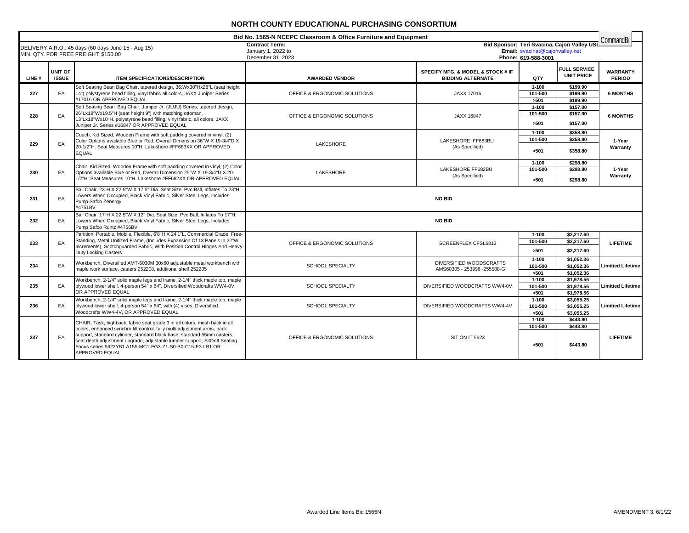|       | Bid No. 1565-N NCEPC Classroom & Office Furniture and Equipment |                                                                                                                                                                                                                                                                                                                                                                                              |                                                                  |                                                                                                       |                              | CommandBu                                |                           |
|-------|-----------------------------------------------------------------|----------------------------------------------------------------------------------------------------------------------------------------------------------------------------------------------------------------------------------------------------------------------------------------------------------------------------------------------------------------------------------------------|------------------------------------------------------------------|-------------------------------------------------------------------------------------------------------|------------------------------|------------------------------------------|---------------------------|
|       |                                                                 | DELIVERY A.R.O.: 45 days (60 days June 15 - Aug 15)<br>MIN. QTY. FOR FREE FREIGHT: \$150.00                                                                                                                                                                                                                                                                                                  | <b>Contract Term:</b><br>January 1, 2022 to<br>December 31, 2023 | Bid Sponsor: Teri Svacina, Cajon Valley USI<br>Email: svacinat@cajonvalley.net<br>Phone: 619-588-3001 |                              |                                          |                           |
| LINE# | <b>UNIT OF</b><br><b>ISSUE</b>                                  | <b>ITEM SPECIFICATIONS/DESCRIPTION</b>                                                                                                                                                                                                                                                                                                                                                       | <b>AWARDED VENDOR</b>                                            | <b>SPECIFY MFG. &amp; MODEL &amp; STOCK # IF</b><br><b>BIDDING ALTERNATE</b>                          | QTY                          | <b>FULL SERVICE</b><br><b>UNIT PRICE</b> | <b>WARRANTY</b><br>PERIOD |
| 227   | EA                                                              | Soft Seating Bean Bag Chair, tapered design, 36:Wx30"Hx28"L (seat height<br>14") polystyrene bead filling, vinyl fabric all colors, JAXX Juniper Series<br>#17016 OR APPROVED EQUAL                                                                                                                                                                                                          | OFFICE & ERGONOMIC SOLUTIONS                                     | JAXX 17016                                                                                            | $1 - 100$<br>101-500<br>>501 | \$199.90<br>\$199.90<br>\$199.90         | <b>6 MONTHS</b>           |
| 228   | EA                                                              | Soft Seating Bean Bag Chair, Juniper Jr. (JUJU) Series, tapered design,<br>26"Lx18"Wx19.5"H (seat height 9") with matching ottoman,<br>13"Lx18"Wx10"H, polystyrene bead filling, vinyl fabric, all colors, JAXX<br>Juniper Jr. Series #16847 OR APPROVED EQUAL                                                                                                                               | OFFICE & ERGONOMIC SOLUTIONS                                     | JAXX 16847                                                                                            | $1 - 100$<br>101-500<br>>501 | \$157.00<br>\$157.00<br>\$157.00         | <b>6 MONTHS</b>           |
| 229   | EA                                                              | Couch, Kid Sized, Wooden Frame with soft padding covered in vinyl, (2)<br>Color Options available Blue or Red, Overall Dimension 36"W X 19-3/4"D X<br>20-1/2"H. Seat Measures 10"H. Lakeshore #FF683XX OR APPROVED<br><b>EQUAL</b>                                                                                                                                                           | LAKESHORE                                                        | LAKESHORE FF683BU<br>(As Specified)                                                                   | $1 - 100$<br>101-500<br>>501 | \$358.80<br>\$358.80<br>\$358.80         | 1-Year<br>Warranty        |
| 230   | EA                                                              | Chair, Kid Sized, Wooden Frame with soft padding covered in vinyl, (2) Color<br>Options available Blue or Red. Overall Dimension 25"W X 19-3/4"D X 20-<br>1/2"H. Seat Measures 10"H. Lakeshore #FF682XX OR APPROVED EQUAL                                                                                                                                                                    | LAKESHORE                                                        | LAKESHORE FF682BU<br>(As Specified)                                                                   | $1 - 100$<br>101-500<br>>501 | \$298.80<br>\$298.80<br>\$298.80         | 1-Year<br>Warranty        |
| 231   | EA                                                              | Ball Chair, 23"H X 22.5"W X 17.5" Dia. Seat Size, Pvc Ball, Inflates To 23"H,<br>Lowers When Occupied, Black Vinyl Fabric, Silver Steel Legs, Includes<br>Pump Safco Zenergy<br>#4751BV                                                                                                                                                                                                      |                                                                  | <b>NO BID</b>                                                                                         |                              |                                          |                           |
| 232   | EA                                                              | Ball Chair, 17"H X 22.5"W X 12" Dia. Seat Size, Pvc Ball, Inflates To 17"H,<br>Lowers When Occupied, Black Vinyl Fabric, Silver Steel Legs, Includes<br>Pump Safco Runtz #4756BV                                                                                                                                                                                                             |                                                                  | <b>NO BID</b>                                                                                         |                              |                                          |                           |
| 233   | EA                                                              | Partition, Portable, Mobile, Flexible, 6'8"H X 24'1"L, Commercial Grade, Free-<br>Standing, Metal Unitized Frame, (Includes Expansion Of 13 Panels In 22"W<br>Increments), Scotchquarded Fabric, With Position Control Hinges And Heavy-<br><b>Duty Locking Casters</b>                                                                                                                      | OFFICE & ERGONOMIC SOLUTIONS                                     | SCREENFLEX CFSL6813                                                                                   | $1 - 100$<br>101-500<br>>501 | \$2.217.60<br>\$2,217.60<br>\$2,217.60   | <b>LIFETIME</b>           |
| 234   | EA                                                              | Workbench, Diversified AMT-6030M 30x60 adjustable metal workbench with<br>maple work surface, casters 252208, addtiional shelf 252205                                                                                                                                                                                                                                                        | <b>SCHOOL SPECIALTY</b>                                          | DIVERSIFIED WOODSCRAFTS<br>AMS60305 - 253996 -255588-G                                                | $1 - 100$<br>101-500<br>>501 | \$1,052.36<br>\$1.052.36<br>\$1,052.36   | <b>Limitied Lifetime</b>  |
| 235   | EA                                                              | Workbench, 2-1/4" solid maple legs and frame, 2-1/4" thick maple top, maple<br>plywood lower shelf, 4-person 54" x 64", Diversified Woodcrafts WW4-0V,<br>OR APPROVED EQUAL                                                                                                                                                                                                                  | <b>SCHOOL SPECIALTY</b>                                          | DIVERSIFIED WOODCRAFTS WW4-0V                                                                         | $1 - 100$<br>101-500<br>>501 | \$1,978.56<br>\$1,978.56<br>\$1,978.56   | <b>Limitied Lifetime</b>  |
| 236   | EA                                                              | Workbench, 2-1/4" solid maple legs and frame, 2-1/4" thick maple top, maple<br>plywood lower shelf, 4-person 54" x 64", with (4) vises, Diversified<br>Woodcrafts WW4-4V, OR APPROVED EQUAL                                                                                                                                                                                                  | <b>SCHOOL SPECIALTY</b>                                          | DIVERSIFIED WOODCRAFTS WW4-4V                                                                         | $1 - 100$<br>101-500<br>>501 | \$3,055.25<br>\$3.055.25<br>\$3,055.25   | <b>Limitied Lifetime</b>  |
| 237   | EA                                                              | CHAIR, Task, highback, fabric seat grade 3 in all colors, mesh back in all<br>colors, enhanced synchro tilt control, fully multi adjustment arms, back<br>support, standard cylinder, standard black base, standard 55mm casters,<br>seat depth adjustment upgrade, adjustable lumber support, SitOnIt Seating<br>Focus series 5623YB1.A155-MC1-FG3-Z1-S0-B0-C15-E3-LB1 OR<br>APPROVED EQUAL | OFFICE & ERGONOMIC SOLUTIONS                                     | <b>SIT ON IT 5623</b>                                                                                 | $1 - 100$<br>101-500<br>>501 | \$443.80<br>\$443.80<br>\$443.80         | <b>LIFETIME</b>           |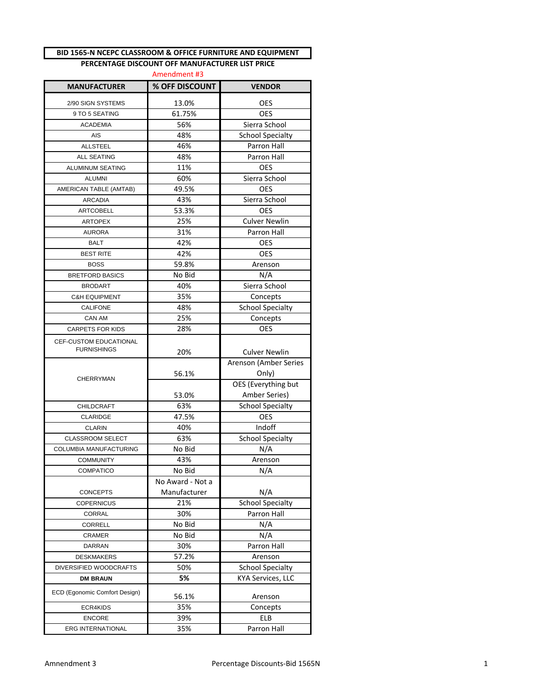### **BID 1565-N NCEPC CLASSROOM & OFFICE FURNITURE AND EQUIPMENT**

# **PERCENTAGE DISCOUNT OFF MANUFACTURER LIST PRICE**

| Amendment #3                                 |                  |                                      |  |  |  |
|----------------------------------------------|------------------|--------------------------------------|--|--|--|
| <b>MANUFACTURER</b>                          | % OFF DISCOUNT   | <b>VENDOR</b>                        |  |  |  |
| 2/90 SIGN SYSTEMS                            | 13.0%            | OES                                  |  |  |  |
| 9 TO 5 SEATING                               | 61.75%           | <b>OES</b>                           |  |  |  |
| <b>ACADEMIA</b>                              | 56%              | Sierra School                        |  |  |  |
| <b>AIS</b>                                   | 48%              | <b>School Specialty</b>              |  |  |  |
| <b>ALLSTEEL</b>                              | 46%              | <b>Parron Hall</b>                   |  |  |  |
| <b>ALL SEATING</b>                           | 48%              | Parron Hall                          |  |  |  |
| ALUMINUM SEATING                             | 11%              | <b>OES</b>                           |  |  |  |
| <b>ALUMNI</b>                                | 60%              | Sierra School                        |  |  |  |
| AMERICAN TABLE (AMTAB)                       | 49.5%            | <b>OES</b>                           |  |  |  |
| <b>ARCADIA</b>                               | 43%              | Sierra School                        |  |  |  |
| <b>ARTCOBELL</b>                             | 53.3%            | <b>OES</b>                           |  |  |  |
| <b>ARTOPEX</b>                               | 25%              | <b>Culver Newlin</b>                 |  |  |  |
| <b>AURORA</b>                                | 31%              | <b>Parron Hall</b>                   |  |  |  |
| <b>BALT</b>                                  | 42%              | <b>OES</b>                           |  |  |  |
| <b>BEST RITE</b>                             | 42%              | <b>OES</b>                           |  |  |  |
| <b>BOSS</b>                                  | 59.8%            | Arenson                              |  |  |  |
| <b>BRETFORD BASICS</b>                       | No Bid           | N/A                                  |  |  |  |
| <b>BRODART</b>                               | 40%              | Sierra School                        |  |  |  |
| <b>C&amp;H EQUIPMENT</b>                     | 35%              | Concepts                             |  |  |  |
| <b>CALIFONE</b>                              | 48%              | <b>School Specialty</b>              |  |  |  |
| CAN AM                                       | 25%              | Concepts                             |  |  |  |
| CARPETS FOR KIDS                             | 28%              | OES                                  |  |  |  |
| CEF-CUSTOM EDUCATIONAL<br><b>FURNISHINGS</b> | 20%              | <b>Culver Newlin</b>                 |  |  |  |
| <b>CHERRYMAN</b>                             | 56.1%            | Arenson (Amber Series<br>Only)       |  |  |  |
|                                              | 53.0%            | OES (Everything but<br>Amber Series) |  |  |  |
| CHILDCRAFT                                   | 63%              | <b>School Specialty</b>              |  |  |  |
| <b>CLARIDGE</b>                              | 47.5%            | <b>OES</b>                           |  |  |  |
| <b>CLARIN</b>                                | 40%              | Indoff                               |  |  |  |
| <b>CLASSROOM SELECT</b>                      | 63%              | <b>School Specialty</b>              |  |  |  |
| COLUMBIA MANUFACTURING                       | No Bid           | N/A                                  |  |  |  |
| <b>COMMUNITY</b>                             | 43%              | Arenson                              |  |  |  |
| <b>COMPATICO</b>                             | No Bid           | N/A                                  |  |  |  |
|                                              | No Award - Not a |                                      |  |  |  |
| <b>CONCEPTS</b>                              | Manufacturer     | N/A                                  |  |  |  |
| <b>COPERNICUS</b>                            | 21%              | <b>School Specialty</b>              |  |  |  |
| CORRAL                                       | 30%              | <b>Parron Hall</b>                   |  |  |  |
| <b>CORRELL</b>                               | No Bid           | N/A                                  |  |  |  |
| CRAMER                                       | No Bid           | N/A                                  |  |  |  |
| DARRAN                                       | 30%              | Parron Hall                          |  |  |  |
| <b>DESKMAKERS</b>                            | 57.2%            | Arenson                              |  |  |  |
| DIVERSIFIED WOODCRAFTS                       | 50%              | <b>School Specialty</b>              |  |  |  |
| <b>DM BRAUN</b>                              | 5%               | KYA Services, LLC                    |  |  |  |
| ECD (Egonomic Comfort Design)                | 56.1%            | Arenson                              |  |  |  |
| ECR4KIDS                                     | 35%              | Concepts                             |  |  |  |
| <b>ENCORE</b>                                | 39%              | ELB                                  |  |  |  |
| ERG INTERNATIONAL                            | 35%              | Parron Hall                          |  |  |  |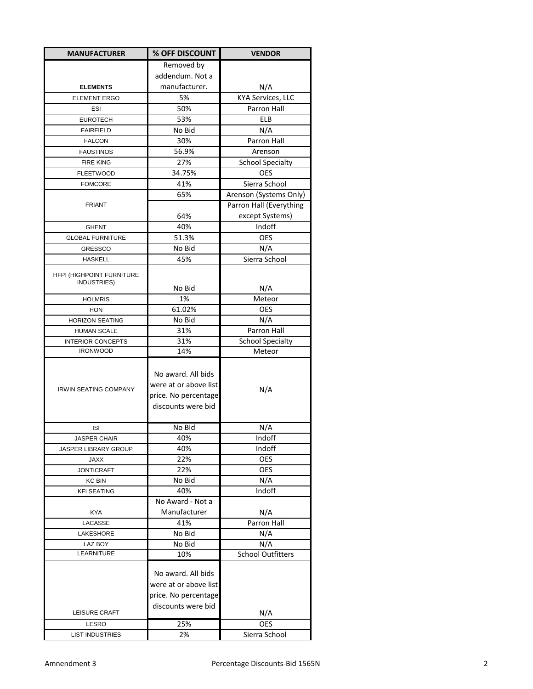| Removed by<br>addendum. Not a<br>manufacturer.<br>N/A<br><b>ELEMENTS</b><br>5%<br>KYA Services, LLC<br><b>ELEMENT ERGO</b><br>50%<br>Parron Hall<br>ESI<br>53%<br><b>ELB</b><br><b>EUROTECH</b><br>No Bid<br>N/A<br><b>FAIRFIELD</b><br>30%<br><b>Parron Hall</b><br><b>FALCON</b><br>56.9%<br><b>FAUSTINOS</b><br>Arenson<br>27%<br><b>School Specialty</b><br><b>FIRE KING</b><br>OES<br>34.75%<br><b>FLEETWOOD</b><br>Sierra School<br>41%<br><b>FOMCORE</b><br>65%<br>Arenson (Systems Only)<br>Parron Hall (Everything<br><b>FRIANT</b><br>except Systems)<br>64%<br>Indoff<br>40%<br><b>GHENT</b><br>51.3%<br><b>OES</b><br><b>GLOBAL FURNITURE</b><br>No Bid<br>N/A<br><b>GRESSCO</b><br>Sierra School<br>45%<br><b>HASKELL</b><br>HFPI (HIGHPOINT FURNITURE<br>INDUSTRIES)<br>No Bid<br>N/A<br>1%<br>Meteor<br><b>HOLMRIS</b><br>61.02%<br><b>OES</b><br><b>HON</b><br><b>HORIZON SEATING</b><br>No Bid<br>N/A<br>Parron Hall<br><b>HUMAN SCALE</b><br>31%<br>31%<br><b>INTERIOR CONCEPTS</b><br><b>School Specialty</b><br><b>IRONWOOD</b><br>14%<br>Meteor<br>No award. All bids<br>were at or above list<br><b>IRWIN SEATING COMPANY</b><br>N/A<br>price. No percentage<br>discounts were bid<br>No Bld<br>N/A<br><b>ISI</b><br><b>JASPER CHAIR</b><br>40%<br>Indoff<br>40%<br>Indoff<br>JASPER LIBRARY GROUP<br><b>JAXX</b><br>22%<br>OES<br><b>OES</b><br><b>JONTICRAFT</b><br>22%<br><b>KC BIN</b><br>No Bid<br>N/A<br>40%<br>Indoff<br><b>KFI SEATING</b><br>No Award - Not a<br>Manufacturer<br>N/A<br><b>KYA</b><br>Parron Hall<br>41%<br>LACASSE<br>No Bid<br>N/A<br>LAKESHORE<br>N/A<br>No Bid<br>LAZ BOY<br>LEARNITURE<br><b>School Outfitters</b><br>10%<br>No award. All bids<br>were at or above list<br>price. No percentage<br>discounts were bid<br>LEISURE CRAFT<br>N/A<br>OES<br>25%<br>LESRO<br>2%<br>Sierra School<br><b>LIST INDUSTRIES</b> | <b>MANUFACTURER</b> | % OFF DISCOUNT | <b>VENDOR</b> |
|----------------------------------------------------------------------------------------------------------------------------------------------------------------------------------------------------------------------------------------------------------------------------------------------------------------------------------------------------------------------------------------------------------------------------------------------------------------------------------------------------------------------------------------------------------------------------------------------------------------------------------------------------------------------------------------------------------------------------------------------------------------------------------------------------------------------------------------------------------------------------------------------------------------------------------------------------------------------------------------------------------------------------------------------------------------------------------------------------------------------------------------------------------------------------------------------------------------------------------------------------------------------------------------------------------------------------------------------------------------------------------------------------------------------------------------------------------------------------------------------------------------------------------------------------------------------------------------------------------------------------------------------------------------------------------------------------------------------------------------------------------------------------------------------------------------------------------------------------------------------------|---------------------|----------------|---------------|
|                                                                                                                                                                                                                                                                                                                                                                                                                                                                                                                                                                                                                                                                                                                                                                                                                                                                                                                                                                                                                                                                                                                                                                                                                                                                                                                                                                                                                                                                                                                                                                                                                                                                                                                                                                                                                                                                            |                     |                |               |
|                                                                                                                                                                                                                                                                                                                                                                                                                                                                                                                                                                                                                                                                                                                                                                                                                                                                                                                                                                                                                                                                                                                                                                                                                                                                                                                                                                                                                                                                                                                                                                                                                                                                                                                                                                                                                                                                            |                     |                |               |
|                                                                                                                                                                                                                                                                                                                                                                                                                                                                                                                                                                                                                                                                                                                                                                                                                                                                                                                                                                                                                                                                                                                                                                                                                                                                                                                                                                                                                                                                                                                                                                                                                                                                                                                                                                                                                                                                            |                     |                |               |
|                                                                                                                                                                                                                                                                                                                                                                                                                                                                                                                                                                                                                                                                                                                                                                                                                                                                                                                                                                                                                                                                                                                                                                                                                                                                                                                                                                                                                                                                                                                                                                                                                                                                                                                                                                                                                                                                            |                     |                |               |
|                                                                                                                                                                                                                                                                                                                                                                                                                                                                                                                                                                                                                                                                                                                                                                                                                                                                                                                                                                                                                                                                                                                                                                                                                                                                                                                                                                                                                                                                                                                                                                                                                                                                                                                                                                                                                                                                            |                     |                |               |
|                                                                                                                                                                                                                                                                                                                                                                                                                                                                                                                                                                                                                                                                                                                                                                                                                                                                                                                                                                                                                                                                                                                                                                                                                                                                                                                                                                                                                                                                                                                                                                                                                                                                                                                                                                                                                                                                            |                     |                |               |
|                                                                                                                                                                                                                                                                                                                                                                                                                                                                                                                                                                                                                                                                                                                                                                                                                                                                                                                                                                                                                                                                                                                                                                                                                                                                                                                                                                                                                                                                                                                                                                                                                                                                                                                                                                                                                                                                            |                     |                |               |
|                                                                                                                                                                                                                                                                                                                                                                                                                                                                                                                                                                                                                                                                                                                                                                                                                                                                                                                                                                                                                                                                                                                                                                                                                                                                                                                                                                                                                                                                                                                                                                                                                                                                                                                                                                                                                                                                            |                     |                |               |
|                                                                                                                                                                                                                                                                                                                                                                                                                                                                                                                                                                                                                                                                                                                                                                                                                                                                                                                                                                                                                                                                                                                                                                                                                                                                                                                                                                                                                                                                                                                                                                                                                                                                                                                                                                                                                                                                            |                     |                |               |
|                                                                                                                                                                                                                                                                                                                                                                                                                                                                                                                                                                                                                                                                                                                                                                                                                                                                                                                                                                                                                                                                                                                                                                                                                                                                                                                                                                                                                                                                                                                                                                                                                                                                                                                                                                                                                                                                            |                     |                |               |
|                                                                                                                                                                                                                                                                                                                                                                                                                                                                                                                                                                                                                                                                                                                                                                                                                                                                                                                                                                                                                                                                                                                                                                                                                                                                                                                                                                                                                                                                                                                                                                                                                                                                                                                                                                                                                                                                            |                     |                |               |
|                                                                                                                                                                                                                                                                                                                                                                                                                                                                                                                                                                                                                                                                                                                                                                                                                                                                                                                                                                                                                                                                                                                                                                                                                                                                                                                                                                                                                                                                                                                                                                                                                                                                                                                                                                                                                                                                            |                     |                |               |
|                                                                                                                                                                                                                                                                                                                                                                                                                                                                                                                                                                                                                                                                                                                                                                                                                                                                                                                                                                                                                                                                                                                                                                                                                                                                                                                                                                                                                                                                                                                                                                                                                                                                                                                                                                                                                                                                            |                     |                |               |
|                                                                                                                                                                                                                                                                                                                                                                                                                                                                                                                                                                                                                                                                                                                                                                                                                                                                                                                                                                                                                                                                                                                                                                                                                                                                                                                                                                                                                                                                                                                                                                                                                                                                                                                                                                                                                                                                            |                     |                |               |
|                                                                                                                                                                                                                                                                                                                                                                                                                                                                                                                                                                                                                                                                                                                                                                                                                                                                                                                                                                                                                                                                                                                                                                                                                                                                                                                                                                                                                                                                                                                                                                                                                                                                                                                                                                                                                                                                            |                     |                |               |
|                                                                                                                                                                                                                                                                                                                                                                                                                                                                                                                                                                                                                                                                                                                                                                                                                                                                                                                                                                                                                                                                                                                                                                                                                                                                                                                                                                                                                                                                                                                                                                                                                                                                                                                                                                                                                                                                            |                     |                |               |
|                                                                                                                                                                                                                                                                                                                                                                                                                                                                                                                                                                                                                                                                                                                                                                                                                                                                                                                                                                                                                                                                                                                                                                                                                                                                                                                                                                                                                                                                                                                                                                                                                                                                                                                                                                                                                                                                            |                     |                |               |
|                                                                                                                                                                                                                                                                                                                                                                                                                                                                                                                                                                                                                                                                                                                                                                                                                                                                                                                                                                                                                                                                                                                                                                                                                                                                                                                                                                                                                                                                                                                                                                                                                                                                                                                                                                                                                                                                            |                     |                |               |
|                                                                                                                                                                                                                                                                                                                                                                                                                                                                                                                                                                                                                                                                                                                                                                                                                                                                                                                                                                                                                                                                                                                                                                                                                                                                                                                                                                                                                                                                                                                                                                                                                                                                                                                                                                                                                                                                            |                     |                |               |
|                                                                                                                                                                                                                                                                                                                                                                                                                                                                                                                                                                                                                                                                                                                                                                                                                                                                                                                                                                                                                                                                                                                                                                                                                                                                                                                                                                                                                                                                                                                                                                                                                                                                                                                                                                                                                                                                            |                     |                |               |
|                                                                                                                                                                                                                                                                                                                                                                                                                                                                                                                                                                                                                                                                                                                                                                                                                                                                                                                                                                                                                                                                                                                                                                                                                                                                                                                                                                                                                                                                                                                                                                                                                                                                                                                                                                                                                                                                            |                     |                |               |
|                                                                                                                                                                                                                                                                                                                                                                                                                                                                                                                                                                                                                                                                                                                                                                                                                                                                                                                                                                                                                                                                                                                                                                                                                                                                                                                                                                                                                                                                                                                                                                                                                                                                                                                                                                                                                                                                            |                     |                |               |
|                                                                                                                                                                                                                                                                                                                                                                                                                                                                                                                                                                                                                                                                                                                                                                                                                                                                                                                                                                                                                                                                                                                                                                                                                                                                                                                                                                                                                                                                                                                                                                                                                                                                                                                                                                                                                                                                            |                     |                |               |
|                                                                                                                                                                                                                                                                                                                                                                                                                                                                                                                                                                                                                                                                                                                                                                                                                                                                                                                                                                                                                                                                                                                                                                                                                                                                                                                                                                                                                                                                                                                                                                                                                                                                                                                                                                                                                                                                            |                     |                |               |
|                                                                                                                                                                                                                                                                                                                                                                                                                                                                                                                                                                                                                                                                                                                                                                                                                                                                                                                                                                                                                                                                                                                                                                                                                                                                                                                                                                                                                                                                                                                                                                                                                                                                                                                                                                                                                                                                            |                     |                |               |
|                                                                                                                                                                                                                                                                                                                                                                                                                                                                                                                                                                                                                                                                                                                                                                                                                                                                                                                                                                                                                                                                                                                                                                                                                                                                                                                                                                                                                                                                                                                                                                                                                                                                                                                                                                                                                                                                            |                     |                |               |
|                                                                                                                                                                                                                                                                                                                                                                                                                                                                                                                                                                                                                                                                                                                                                                                                                                                                                                                                                                                                                                                                                                                                                                                                                                                                                                                                                                                                                                                                                                                                                                                                                                                                                                                                                                                                                                                                            |                     |                |               |
|                                                                                                                                                                                                                                                                                                                                                                                                                                                                                                                                                                                                                                                                                                                                                                                                                                                                                                                                                                                                                                                                                                                                                                                                                                                                                                                                                                                                                                                                                                                                                                                                                                                                                                                                                                                                                                                                            |                     |                |               |
|                                                                                                                                                                                                                                                                                                                                                                                                                                                                                                                                                                                                                                                                                                                                                                                                                                                                                                                                                                                                                                                                                                                                                                                                                                                                                                                                                                                                                                                                                                                                                                                                                                                                                                                                                                                                                                                                            |                     |                |               |
|                                                                                                                                                                                                                                                                                                                                                                                                                                                                                                                                                                                                                                                                                                                                                                                                                                                                                                                                                                                                                                                                                                                                                                                                                                                                                                                                                                                                                                                                                                                                                                                                                                                                                                                                                                                                                                                                            |                     |                |               |
|                                                                                                                                                                                                                                                                                                                                                                                                                                                                                                                                                                                                                                                                                                                                                                                                                                                                                                                                                                                                                                                                                                                                                                                                                                                                                                                                                                                                                                                                                                                                                                                                                                                                                                                                                                                                                                                                            |                     |                |               |
|                                                                                                                                                                                                                                                                                                                                                                                                                                                                                                                                                                                                                                                                                                                                                                                                                                                                                                                                                                                                                                                                                                                                                                                                                                                                                                                                                                                                                                                                                                                                                                                                                                                                                                                                                                                                                                                                            |                     |                |               |
|                                                                                                                                                                                                                                                                                                                                                                                                                                                                                                                                                                                                                                                                                                                                                                                                                                                                                                                                                                                                                                                                                                                                                                                                                                                                                                                                                                                                                                                                                                                                                                                                                                                                                                                                                                                                                                                                            |                     |                |               |
|                                                                                                                                                                                                                                                                                                                                                                                                                                                                                                                                                                                                                                                                                                                                                                                                                                                                                                                                                                                                                                                                                                                                                                                                                                                                                                                                                                                                                                                                                                                                                                                                                                                                                                                                                                                                                                                                            |                     |                |               |
|                                                                                                                                                                                                                                                                                                                                                                                                                                                                                                                                                                                                                                                                                                                                                                                                                                                                                                                                                                                                                                                                                                                                                                                                                                                                                                                                                                                                                                                                                                                                                                                                                                                                                                                                                                                                                                                                            |                     |                |               |
|                                                                                                                                                                                                                                                                                                                                                                                                                                                                                                                                                                                                                                                                                                                                                                                                                                                                                                                                                                                                                                                                                                                                                                                                                                                                                                                                                                                                                                                                                                                                                                                                                                                                                                                                                                                                                                                                            |                     |                |               |
|                                                                                                                                                                                                                                                                                                                                                                                                                                                                                                                                                                                                                                                                                                                                                                                                                                                                                                                                                                                                                                                                                                                                                                                                                                                                                                                                                                                                                                                                                                                                                                                                                                                                                                                                                                                                                                                                            |                     |                |               |
|                                                                                                                                                                                                                                                                                                                                                                                                                                                                                                                                                                                                                                                                                                                                                                                                                                                                                                                                                                                                                                                                                                                                                                                                                                                                                                                                                                                                                                                                                                                                                                                                                                                                                                                                                                                                                                                                            |                     |                |               |
|                                                                                                                                                                                                                                                                                                                                                                                                                                                                                                                                                                                                                                                                                                                                                                                                                                                                                                                                                                                                                                                                                                                                                                                                                                                                                                                                                                                                                                                                                                                                                                                                                                                                                                                                                                                                                                                                            |                     |                |               |
|                                                                                                                                                                                                                                                                                                                                                                                                                                                                                                                                                                                                                                                                                                                                                                                                                                                                                                                                                                                                                                                                                                                                                                                                                                                                                                                                                                                                                                                                                                                                                                                                                                                                                                                                                                                                                                                                            |                     |                |               |
|                                                                                                                                                                                                                                                                                                                                                                                                                                                                                                                                                                                                                                                                                                                                                                                                                                                                                                                                                                                                                                                                                                                                                                                                                                                                                                                                                                                                                                                                                                                                                                                                                                                                                                                                                                                                                                                                            |                     |                |               |
|                                                                                                                                                                                                                                                                                                                                                                                                                                                                                                                                                                                                                                                                                                                                                                                                                                                                                                                                                                                                                                                                                                                                                                                                                                                                                                                                                                                                                                                                                                                                                                                                                                                                                                                                                                                                                                                                            |                     |                |               |
|                                                                                                                                                                                                                                                                                                                                                                                                                                                                                                                                                                                                                                                                                                                                                                                                                                                                                                                                                                                                                                                                                                                                                                                                                                                                                                                                                                                                                                                                                                                                                                                                                                                                                                                                                                                                                                                                            |                     |                |               |
|                                                                                                                                                                                                                                                                                                                                                                                                                                                                                                                                                                                                                                                                                                                                                                                                                                                                                                                                                                                                                                                                                                                                                                                                                                                                                                                                                                                                                                                                                                                                                                                                                                                                                                                                                                                                                                                                            |                     |                |               |
|                                                                                                                                                                                                                                                                                                                                                                                                                                                                                                                                                                                                                                                                                                                                                                                                                                                                                                                                                                                                                                                                                                                                                                                                                                                                                                                                                                                                                                                                                                                                                                                                                                                                                                                                                                                                                                                                            |                     |                |               |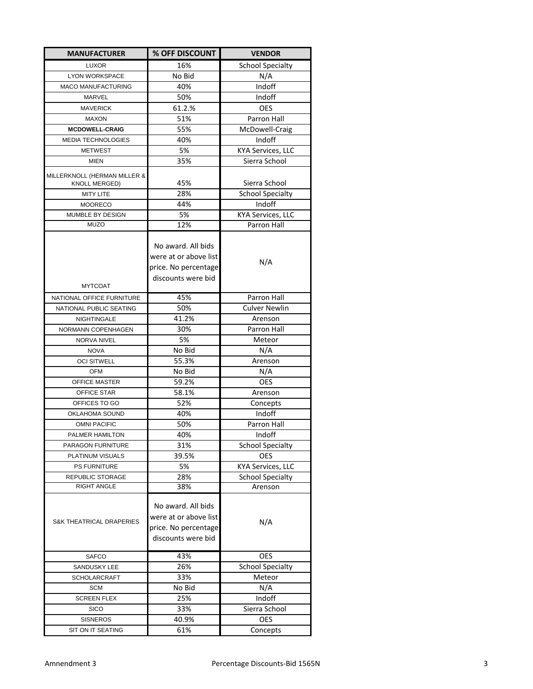| <b>MANUFACTURER</b>                 | % OFF DISCOUNT                                                                            | <b>VENDOR</b>            |
|-------------------------------------|-------------------------------------------------------------------------------------------|--------------------------|
| <b>LUXOR</b>                        | 16%                                                                                       | School Specialty         |
| <b>LYON WORKSPACE</b>               | No Bid                                                                                    | N/A                      |
| MACO MANUFACTURING                  | 40%                                                                                       | Indoff                   |
| MARVEL                              | 50%                                                                                       | Indoff                   |
| <b>MAVERICK</b>                     | 61.2.%                                                                                    | <b>OES</b>               |
| <b>MAXON</b>                        | 51%                                                                                       | Parron Hall              |
| <b>MCDOWELL-CRAIG</b>               | 55%                                                                                       | McDowell-Craig           |
| <b>MEDIA TECHNOLOGIES</b>           | 40%                                                                                       | Indoff                   |
| <b>METWEST</b>                      | 5%                                                                                        | <b>KYA Services, LLC</b> |
| <b>MIEN</b>                         | 35%                                                                                       | Sierra School            |
| MILLERKNOLL (HERMAN MILLER &        |                                                                                           |                          |
| <b>KNOLL MERGED)</b>                | 45%                                                                                       | Sierra School            |
| <b>MITY LITE</b>                    | 28%                                                                                       | <b>School Specialty</b>  |
| <b>MOORECO</b>                      | 44%                                                                                       | Indoff                   |
| MUMBLE BY DESIGN                    | 5%                                                                                        | <b>KYA Services, LLC</b> |
| <b>MUZO</b>                         | 12%                                                                                       | <b>Parron Hall</b>       |
| <b>MYTCOAT</b>                      | No award. All bids<br>were at or above list<br>price. No percentage<br>discounts were bid | N/A                      |
| NATIONAL OFFICE FURNITURE           | 45%                                                                                       | <b>Parron Hall</b>       |
| NATIONAL PUBLIC SEATING             | 50%                                                                                       | Culver Newlin            |
| NIGHTINGALE                         | 41.2%                                                                                     | Arenson                  |
| NORMANN COPENHAGEN                  | 30%                                                                                       | Parron Hall              |
| <b>NORVA NIVEL</b>                  | 5%                                                                                        | Meteor                   |
| <b>NOVA</b>                         | No Bid                                                                                    | N/A                      |
| <b>OCI SITWELL</b>                  | 55.3%                                                                                     | Arenson                  |
| <b>OFM</b>                          | No Bid                                                                                    | N/A                      |
| OFFICE MASTER                       | 59.2%                                                                                     | <b>OES</b>               |
| OFFICE STAR                         | 58.1%                                                                                     | Arenson                  |
| OFFICES TO GO                       | 52%                                                                                       | Concepts                 |
| OKLAHOMA SOUND                      | 40%                                                                                       | Indoff                   |
| <b>OMNI PACIFIC</b>                 | 50%                                                                                       | Parron Hall              |
| PALMER HAMILTON                     | 40%                                                                                       | Indoff                   |
| PARAGON FURNITURE                   | 31%                                                                                       | <b>School Specialty</b>  |
| PLATINUM VISUALS                    | 39.5%                                                                                     | <b>OES</b>               |
| PS FURNITURE                        | 5%                                                                                        | <b>KYA Services, LLC</b> |
| REPUBLIC STORAGE                    | 28%                                                                                       | <b>School Specialty</b>  |
| <b>RIGHT ANGLE</b>                  | 38%                                                                                       | Arenson                  |
| <b>S&amp;K THEATRICAL DRAPERIES</b> | No award. All bids<br>were at or above list<br>price. No percentage<br>discounts were bid | N/A                      |
| <b>SAFCO</b>                        | 43%                                                                                       | <b>OES</b>               |
| SANDUSKY LEE                        | 26%                                                                                       | <b>School Specialty</b>  |
| <b>SCHOLARCRAFT</b>                 | 33%                                                                                       | Meteor                   |
| <b>SCM</b>                          | No Bid                                                                                    | N/A                      |
| <b>SCREEN FLEX</b>                  | 25%                                                                                       | Indoff                   |
| <b>SICO</b>                         | 33%                                                                                       | Sierra School            |
| <b>SISNEROS</b>                     | 40.9%                                                                                     | <b>OES</b>               |
| SIT ON IT SEATING                   | 61%                                                                                       | Concepts                 |